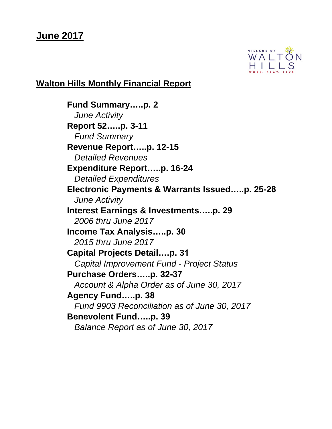# **June 2017**



# **Walton Hills Monthly Financial Report**

**Fund Summary…..p. 2** *June Activity* **Report 52…..p. 3-11** *Fund Summary* **Revenue Report…..p. 12-15** *Detailed Revenues* **Expenditure Report…..p. 16-24**  *Detailed Expenditures* **Electronic Payments & Warrants Issued…..p. 25-28** *June Activity* **Interest Earnings & Investments…..p. 29** *2006 thru June 2017* **Income Tax Analysis…..p. 30** *2015 thru June 2017* **Capital Projects Detail….p. 31** *Capital Improvement Fund - Project Status* **Purchase Orders…..p. 32-37** *Account & Alpha Order as of June 30, 2017* **Agency Fund…..p. 38** *Fund 9903 Reconciliation as of June 30, 2017* **Benevolent Fund…..p. 39** *Balance Report as of June 30, 2017*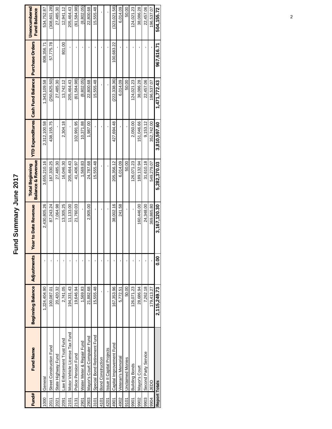# Fund Summary June 2017 **Fund Summary June 2017**

| Fund#                | <b>Fund Name</b>                 | <b>Beginning Balance</b> | Adjustments | <b>Year to Date Revenue</b> | <b>Balance &amp; Revenue</b><br><b>Total Beginning</b> |              | YTD Expenditures Cash Fund Balance   Purchase Orders |            | Unencumbered<br><b>Fund Balance</b> |
|----------------------|----------------------------------|--------------------------|-------------|-----------------------------|--------------------------------------------------------|--------------|------------------------------------------------------|------------|-------------------------------------|
| 1000                 | General                          | 1,224,404.90             |             | 2,430,805.26                | 3,655,210.16                                           | 2,312,100.58 | 1,343,109.58                                         | 808,356.71 | 534,752.87                          |
| 2011                 | Street Construction Fund         | 100,087.01               |             | 87,243.24                   | 187,330.25                                             | 438, 155.75  | (250, 825.50)                                        | 57,775.78  | (308, 601, 28)                      |
| 2021                 | State Highway Fund               | 20,420.32                |             | 7,064.98                    | 27,485.30                                              |              | 27,485.30                                            |            | 27,485.30                           |
| 2091                 | Law Enforcement Trust Fund       | 2,741.05                 |             | 13,305.25                   | 16,046.30                                              | 2,304.18     | 13,742.12                                            | 801.00     | 12,941.12                           |
| 2101                 | Motor Vehicle License Tax Fund   | 194.331.43               |             | 11,133.00                   | 205,464.43                                             |              | 205,464.43                                           |            | 205,464.43                          |
| 2131                 | Police Pension Fund              | 19,646.94                |             | 21,760.03                   | 41,406.97                                              | 102,991.95   | (61,584.98)                                          |            | (61,584.98)                         |
| 2901                 | Water Meter & Repair Fund        | 1,569.83                 |             | ı                           | 1,569.83                                               | 10,371.88    | (8,802.05)                                           |            | (8,802.05)                          |
| 2903                 | Mayor's Court Computer Fund      | 21,882.68                |             | 2,905.00                    | 24,787.68                                              | 1,987.00     | 22,800.68                                            |            | 22,800.68                           |
| 3101                 | Special Bond Retirement Fund     | 15,555.48                |             | ï                           | 15,555.48                                              |              | 15,555.48                                            |            | 15,555.48                           |
| 4101                 | <b>Bond Construction</b>         |                          |             |                             |                                                        |              |                                                      |            |                                     |
| 4201                 | <b>Issue II Capital Projects</b> |                          |             |                             |                                                        |              |                                                      |            |                                     |
| 4901                 | Capital Improvement Fund         | 167,353.96               |             | 38,002.16                   | 205,356.12                                             | 427.694.48   | (222, 338, 36)                                       | 100,683.22 | (323,021,58)                        |
| 4902                 | Veteran's Memorial               | 5,772.51                 |             | 241.58                      | 6,014.09                                               |              | 6,014.09                                             |            | 6,014.09                            |
| 9101                 | Unclaimed Monies                 | 50.00                    |             |                             | 50.00                                                  |              | 50.00                                                |            | 50.00                               |
| 9901                 | <b>Building Bonds</b>            | 126,071.23               |             |                             | 126,071.23                                             | 2,050.00     | 124,021.23                                           |            | 124,021.23                          |
| 9902                 | Mayor's Court                    | 28,686.94                |             | 160,446.00                  | 189, 132.94                                            | 151.046.66   | 38,086.28                                            |            | 38,086.28                           |
| 9903                 | Second Party Service             | 7,262.18                 |             | 24,348.00                   | 31,610.18                                              | 9.153.12     | 22,457.06                                            |            | 22,457.06                           |
| 9904                 | OCED                             | 179,413.27               |             | 369,865.80                  | 549,279.07                                             | 352,742.00   | 196,537.07                                           |            | 196,537.07                          |
| <b>Report Totals</b> |                                  | 2.115.249.73             | <b>80.0</b> | 3,167,120.30                | 5.282.370.03                                           | 3.810.597.60 | 1.471.772.43                                         | 967,616.71 | 504.155.72                          |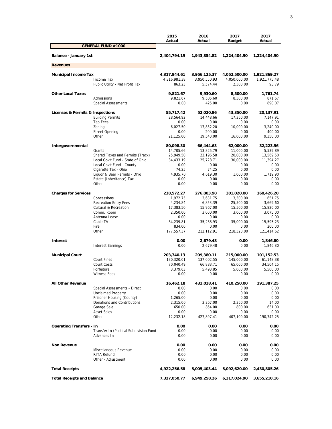|                                   |                                                          | 2015<br>Actual       | 2016<br>Actual       | 2017<br>Budget        | 2017<br>Actual     |
|-----------------------------------|----------------------------------------------------------|----------------------|----------------------|-----------------------|--------------------|
|                                   | <b>GENERAL FUND #1000</b>                                |                      |                      |                       |                    |
| Balance - January 1st             |                                                          | 2,404,794.19         | 1,943,854.82         | 1,224,404.90          | 1,224,404.90       |
| <b>Revenues</b>                   |                                                          |                      |                      |                       |                    |
| <b>Municipal Income Tax</b>       |                                                          | 4,317,844.61         | 3,956,125.37         | 4,052,500.00          | 1,921,869.27       |
|                                   | Income Tax                                               | 4,316,981.38         | 3,950,550.93         | 4,050,000.00          | 1,921,775.48       |
|                                   | Public Utility - Net Profit Tax                          | 863.23               | 5,574.44             | 2,500.00              | 93.79              |
| <b>Other Local Taxes</b>          |                                                          | 9,821.67             | 9,930.60             | 8,500.00              | 1,761.74           |
|                                   | Admissions                                               | 9,821.67             | 9,505.60             | 8,500.00              | 871.67             |
|                                   | <b>Special Assessments</b>                               | 0.00                 | 425.00               | 0.00                  | 890.07             |
| Licenses & Permits & Inspections  |                                                          | 55,717.42            | 52,020.86            | 43,350.00             | 20,137.91          |
|                                   | <b>Building Permits</b>                                  | 28,564.92            | 14,448.66            | 17,350.00             | 7,147.91           |
|                                   | Tap Fees                                                 | 0.00                 | 0.00                 | 0.00                  | 0.00               |
|                                   | Zoning                                                   | 6,027.50             | 17,832.20            | 10,000.00             | 3,240.00           |
|                                   | <b>Street Opening</b>                                    | 0.00                 | 200.00               | 0.00                  | 400.00             |
|                                   | Other                                                    | 21,125.00            | 19,540.00            | 16,000.00             | 9,350.00           |
| Intergovernmental                 |                                                          | 80,098.30            | 66,444.63            | 62,000.00             | 32,223.56          |
|                                   | Grants                                                   | 14,705.66            | 13,825.79            | 11,000.00             | 5,539.89           |
|                                   | Shared Taxes and Permits (Track)                         | 25,949.50            | 22,196.58            | 20,000.00             | 13,569.50          |
|                                   | Local Gov't Fund - State of Ohio                         | 34,433.19            | 25,728.71            | 30,000.00             | 11,394.27          |
|                                   | Local Gov't Fund - County                                | 0.00                 | 0.00                 | 0.00                  | 0.00               |
|                                   | Cigarette Tax - Ohio                                     | 74.25                | 74.25                | 0.00                  | 0.00               |
|                                   | Liquor & Beer Permits - Ohio<br>Estate (Inheritance) Tax | 4,935.70<br>0.00     | 4,619.30<br>0.00     | 1,000.00<br>0.00      | 1,719.90<br>0.00   |
|                                   | Other                                                    | 0.00                 | 0.00                 | 0.00                  | 0.00               |
|                                   |                                                          |                      |                      |                       |                    |
| <b>Charges for Services</b>       |                                                          | 238,572.27           | 276,803.98           | 301,020.00            | 160,426.20         |
|                                   | Concessions<br><b>Recreation Entry Fees</b>              | 1,972.75<br>4,234.84 | 3,631.75<br>6,853.39 | 3,500.00<br>25,500.00 | 651.75<br>3,669.60 |
|                                   | <b>Cultural &amp; Recreation</b>                         | 17,383.50            | 15,967.00            | 15,500.00             | 15,820.00          |
|                                   | Comm. Room                                               | 2,350.00             | 3,000.00             | 3,000.00              | 3,075.00           |
|                                   | Antenna Lease                                            | 0.00                 | 0.00                 | 0.00                  | 0.00               |
|                                   | Cable TV                                                 | 34,239.81            | 35,238.93            | 35,000.00             | 15,595.23          |
|                                   | Fire                                                     | 834.00               | 0.00                 | 0.00                  | 200.00             |
|                                   | Other                                                    | 177,557.37           | 212,112.91           | 218,520.00            | 121,414.62         |
| <b>Interest</b>                   |                                                          | 0.00                 | 2,679.48             | 0.00                  | 1,846.80           |
|                                   | <b>Interest Earnings</b>                                 | 0.00                 | 2,679.48             | 0.00                  | 1,846.80           |
| <b>Municipal Court</b>            |                                                          | 203,740.13           | 209,380.11           | 215,000.00            | 101,152.53         |
|                                   | <b>Court Fines</b>                                       | 130,320.01           | 137,002.55           | 145,000.00            | 61,148.38          |
|                                   | Court Costs                                              | 70,040.49            | 66,883.71            | 65,000.00             | 34,504.15          |
|                                   | Forfeiture                                               | 3,379.63             | 5,493.85             | 5,000.00              | 5,500.00           |
|                                   | <b>Witness Fees</b>                                      | 0.00                 | 0.00                 | 0.00                  | 0.00               |
| <b>All Other Revenue</b>          |                                                          | 16,462.18            | 432,018.41           | 410,250.00            | 191,387.25         |
|                                   | Special Assessments - Direct                             | 0.00                 | 0.00                 | 0.00                  | 0.00               |
|                                   | <b>Unclaimed Property</b>                                | 0.00                 | 0.00                 | 0.00                  | 0.00               |
|                                   | Prisoner Housing (County)                                | 1,265.00             | 0.00                 | 0.00                  | 0.00               |
|                                   | Donations and Contributions                              | 2,315.00             | 3,267.00             | 2,350.00              | 14.00              |
|                                   | Garage Sale                                              | 650.00               | 854.00               | 800.00                | 631.00             |
|                                   | <b>Asset Sales</b>                                       | 0.00                 | 0.00                 | 0.00                  | 0.00               |
|                                   | Other                                                    | 12,232.18            | 427,897.41           | 407,100.00            | 190,742.25         |
| <b>Operating Transfers - In</b>   |                                                          | 0.00                 | 0.00                 | 0.00                  | 0.00               |
|                                   | Transfer In (Political Subdivision Fund<br>Advances In   | 0.00<br>0.00         | 0.00<br>0.00         | 0.00<br>0.00          | 0.00<br>0.00       |
|                                   |                                                          |                      |                      |                       |                    |
| <b>Non Revenue</b>                |                                                          | 0.00                 | 0.00                 | 0.00                  | 0.00               |
|                                   | Miscellaneous Revenue                                    | 0.00                 | 0.00                 | 0.00                  | 0.00               |
|                                   | RITA Refund<br>Other - Adjustment                        | 0.00<br>0.00         | 0.00<br>0.00         | 0.00<br>0.00          | 0.00<br>0.00       |
| <b>Total Receipts</b>             |                                                          | 4,922,256.58         | 5,005,403.44         | 5,092,620.00          | 2,430,805.26       |
| <b>Total Receipts and Balance</b> |                                                          | 7,327,050.77         | 6,949,258.26         | 6,317,024.90          | 3,655,210.16       |
|                                   |                                                          |                      |                      |                       |                    |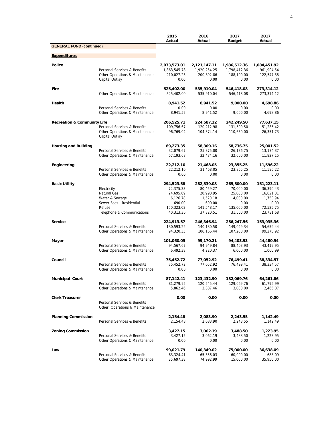|                                        |                                                                | 2015<br>Actual         | 2016<br>Actual          | 2017<br><b>Budget</b>  | 2017<br>Actual      |
|----------------------------------------|----------------------------------------------------------------|------------------------|-------------------------|------------------------|---------------------|
| <b>GENERAL FUND (continued)</b>        |                                                                |                        |                         |                        |                     |
| <b>Expenditures</b>                    |                                                                |                        |                         |                        |                     |
| <b>Police</b>                          |                                                                | 2,073,573.01           | 2,121,147.11            | 1,986,512.36           | 1,084,451.92        |
|                                        | Personal Services & Benefits                                   | 1,863,545.78           | 1,920,254.25            | 1,798,412.36           | 961,904.54          |
|                                        | Other Operations & Maintenance<br>Capital Outlay               | 210,027.23<br>0.00     | 200,892.86<br>0.00      | 188,100.00<br>0.00     | 122,547.38<br>0.00  |
| Fire                                   |                                                                | 525,402.00             | 535,910.04              | 546,418.08             | 273,314.12          |
|                                        | Other Operations & Maintenance                                 | 525,402.00             | 535,910.04              | 546,418.08             | 273,314.12          |
| Health                                 |                                                                | 8,941.52               | 8,941.52                | 9,000.00               | 4,698.86            |
|                                        | Personal Services & Benefits<br>Other Operations & Maintenance | 0.00<br>8,941.52       | 0.00<br>8,941.52        | 0.00<br>9.000.00       | 0.00<br>4,698.86    |
| <b>Recreation &amp; Community Life</b> |                                                                | 206,525.71             | 224,587.12              | 242,249.50             | 77,637.15           |
|                                        | Personal Services & Benefits                                   | 109,756.67             | 120,212.98              | 131,599.50             | 51,285.42           |
|                                        | Other Operations & Maintenance<br>Capital Outlay               | 96,769.04              | 104,374.14              | 110,650.00             | 26,351.73           |
| <b>Housing and Building</b>            |                                                                | 89,273.35              | 58,309.16               | 58,736.75              | 25,001.52           |
|                                        | Personal Services & Benefits                                   | 32,079.67              | 25,875.00               | 26,136.75              | 13,174.37           |
|                                        | Other Operations & Maintenance                                 | 57,193.68              | 32,434.16               | 32,600.00              | 11,827.15           |
| Engineering                            |                                                                | 22,212.10              | 21,468.05               | 23,855.25              | 11,596.22           |
|                                        | Personal Services & Benefits<br>Other Operations & Maintenance | 22,212.10<br>0.00      | 21,468.05<br>0.00       | 23,855.25<br>0.00      | 11,596.22<br>0.00   |
| <b>Basic Utility</b>                   |                                                                | 294,523.58             | 282,539.08              | 265,500.00             | 151,223.11          |
|                                        | Electricity                                                    | 72,375.33              | 80.469.27               | 70,000.00              | 36,390.43           |
|                                        | Natural Gas                                                    | 24,695.09              | 20,990.95               | 25,000.00              | 16,821.31           |
|                                        | Water & Sewage                                                 | 6,126.78               | 1,520.18                | 4,000.00               | 1,753.94            |
|                                        | Sewer Fees - Residential                                       | 690.00                 | 690.00                  | 0.00                   | 0.00                |
|                                        | Refuse                                                         | 150,323.02             | 141,548.17              | 135,000.00             | 72,525.75           |
|                                        | Telephone & Communications                                     | 40,313.36              | 37,320.51               | 31,500.00              | 23,731.68           |
| Service                                |                                                                | 224,913.57             | 246,346.94              | 256,247.56             | 153,935.36          |
|                                        | Personal Services & Benefits                                   | 130,593.22             | 140,180.50              | 149,049.34             | 54,659.44           |
|                                        | Other Operations & Maintenance                                 | 94,320.35              | 106,166.44              | 107,200.00             | 99,275.92           |
| Mayor                                  |                                                                | 101,060.05             | 99,170.21               | 94,403.93              | 44,480.94           |
|                                        | Personal Services & Benefits                                   | 94,567.67              | 94,949.84               | 88,403.93              | 43,419.95           |
|                                        | Other Operations & Maintenance                                 | 6,492.38               | 4,220.37                | 6,000.00               | 1,060.99            |
| Council                                |                                                                | 75,452.72              | 77,052.92               | 76,499.41              | 38,334.57           |
|                                        | Personal Services & Benefits<br>Other Operations & Maintenance | 75,452.72<br>0.00      | 77,052.92<br>0.00       | 76,499.41<br>0.00      | 38,334.57<br>0.00   |
| <b>Municipal Court</b>                 |                                                                | 87,142.41              | 123,432.90              | 132,069.76             | 64,261.86           |
|                                        | Personal Services & Benefits                                   | 81,279.95              | 120,545.44              | 129,069.76             | 61,795.99           |
|                                        | Other Operations & Maintenance                                 | 5,862.46               | 2,887.46                | 3,000.00               | 2,465.87            |
| <b>Clerk Treasurer</b>                 |                                                                | 0.00                   | 0.00                    | 0.00                   | 0.00                |
|                                        | Personal Services & Benefits<br>Other Operations & Maintenance |                        |                         |                        |                     |
| <b>Planning Commission</b>             |                                                                | 2,154.48               | 2,083.90                | 2,243.55               | 1,142.49            |
|                                        | Personal Services & Benefits                                   | 2,154.48               | 2,083.90                | 2,243.55               | 1,142.49            |
| <b>Zoning Commission</b>               |                                                                | 3,427.15               | 3,062.19                | 3,488.50               | 1,223.95            |
|                                        | Personal Services & Benefits<br>Other Operations & Maintenance | 3,427.15<br>0.00       | 3,062.19<br>0.00        | 3,488.50<br>0.00       | 1,223.95<br>0.00    |
|                                        |                                                                |                        |                         |                        |                     |
| Law                                    | Personal Services & Benefits                                   | 99,021.79<br>63,324.41 | 140,349.02<br>65,356.03 | 75,000.00<br>60,000.00 | 36,638.09<br>688.09 |
|                                        | Other Operations & Maintenance                                 | 35,697.38              | 74,992.99               | 15,000.00              | 35,950.00           |
|                                        |                                                                |                        |                         |                        |                     |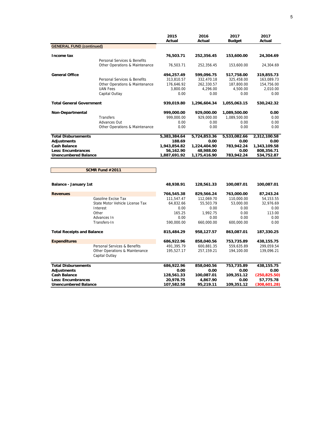|                                   |                                                  | 2015<br>Actual | 2016<br>Actual | 2017          | 2017<br>Actual |
|-----------------------------------|--------------------------------------------------|----------------|----------------|---------------|----------------|
| <b>GENERAL FUND (continued)</b>   |                                                  |                |                | <b>Budget</b> |                |
|                                   |                                                  |                |                |               |                |
| Income tax                        |                                                  | 76,503.71      | 252,356.45     | 153,600.00    | 24,304.69      |
|                                   | Personal Services & Benefits                     |                |                |               |                |
|                                   | Other Operations & Maintenance                   | 76,503.71      | 252,356.45     | 153,600.00    | 24,304.69      |
| <b>General Office</b>             |                                                  | 494,257.49     | 599,096.75     | 517,758.00    | 319,855.73     |
|                                   | Personal Services & Benefits                     | 313,810.57     | 332,470.18     | 325,458.00    | 163,089.73     |
|                                   | Other Operations & Maintenance                   | 176,646.92     | 262,330.57     | 187,800.00    | 154,756.00     |
|                                   | <b>UAN Fees</b>                                  | 3,800.00       | 4,296.00       | 4,500.00      | 2,010.00       |
|                                   | Capital Outlay                                   | 0.00           | 0.00           | 0.00          | 0.00           |
| <b>Total General Government</b>   |                                                  | 939,019.80     | 1,296,604.34   | 1,055,063.15  | 530,242.32     |
| Non-Departmental                  |                                                  | 999,000.00     | 929,000.00     | 1,089,500.00  | 0.00           |
|                                   | Transfers                                        | 999,000.00     | 929,000.00     | 1,089,500.00  | 0.00           |
|                                   | Advances Out                                     | 0.00           | 0.00           | 0.00          | 0.00           |
|                                   | Other Operations & Maintenance                   | 0.00           | 0.00           | 0.00          | 0.00           |
| <b>Total Disbursements</b>        |                                                  | 5,383,384.64   | 5,724,853.36   | 5,533,082.66  | 2,312,100.58   |
| <b>Adjustments</b>                |                                                  | 188.69         | 0.00           | 0.00          | 0.00           |
| <b>Cash Balance</b>               |                                                  | 1,943,854.82   | 1,224,404.90   | 783,942.24    | 1,343,109.58   |
| <b>Less: Encumbrances</b>         |                                                  | 56,162.90      | 48,988.00      | 0.00          | 808,356.71     |
| <b>Unencumbered Balance</b>       |                                                  | 1,887,691.92   | 1,175,416.90   | 783,942.24    | 534,752.87     |
|                                   | <b>SCMR Fund #2011</b>                           |                |                |               |                |
| Balance - January 1st             |                                                  | 48,938.91      | 128,561.33     | 100,087.01    | 100,087.01     |
| <b>Revenues</b>                   |                                                  | 766,545.38     | 829,566.24     | 763,000.00    | 87,243.24      |
|                                   | Gasoline Excise Tax                              | 111,547.47     | 112,069.70     | 110,000.00    | 54, 153. 55    |
|                                   | State Motor Vehicle License Tax                  | 64,832.66      | 55,503.79      | 53,000.00     | 32,976.69      |
|                                   | Interest                                         | 0.00           | 0.00           | 0.00          | 0.00           |
|                                   | Other                                            | 165.25         | 1,992.75       | 0.00          | 113.00         |
|                                   | Advances In                                      | 0.00           | 0.00           | 0.00          | 0.00           |
|                                   | Transfers-In                                     | 590,000.00     | 660,000.00     | 600,000.00    | 0.00           |
| <b>Total Receipts and Balance</b> |                                                  | 815,484.29     | 958,127.57     | 863,087.01    | 187,330.25     |
| <b>Expenditures</b>               |                                                  | 686,922.96     | 858,040.56     | 753,735.89    | 438, 155. 75   |
|                                   | Personal Services & Benefits                     | 491,395.79     | 600,881.35     | 559,635.89    | 299,059.54     |
|                                   | Other Operations & Maintenance<br>Capital Outlay | 195,527.17     | 257,159.21     | 194,100.00    | 139,096.21     |
| <b>Total Disbursements</b>        |                                                  | 686,922.96     | 858,040.56     | 753,735.89    | 438,155.75     |
| <b>Adjustments</b>                |                                                  | 0.00           | 0.00           | 0.00          | 0.00           |
| <b>Cash Balance</b>               |                                                  | 128,561.33     | 100,087.01     | 109,351.12    | (250, 825.50)  |
| <b>Less: Encumbrances</b>         |                                                  | 20,978.75      | 4,867.90       | 0.00          | 57,775.78      |
| <b>Unencumbered Balance</b>       |                                                  | 107,582.58     | 95,219.11      | 109,351.12    | (308, 601.28)  |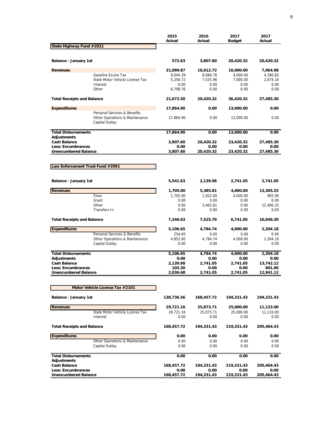|                                                          |                                                                                  | 2015<br>Actual     | 2016<br>Actual   | 2017<br><b>Budget</b> | 2017<br>Actual      |
|----------------------------------------------------------|----------------------------------------------------------------------------------|--------------------|------------------|-----------------------|---------------------|
| State Highway Fund #2021                                 |                                                                                  |                    |                  |                       |                     |
| Balance - January 1st                                    |                                                                                  | 572.63             | 3,807.60         | 20,420.32             | 20,420.32           |
| <b>Revenues</b>                                          |                                                                                  | 21,099.87          | 16,612.72        | 16,000.00             | 7,064.98            |
|                                                          | Gasoline Excise Tax                                                              | 9,044.39           | 9,086.76         | 9,000.00              | 4,390.82            |
|                                                          | State Motor Vehicle License Tax                                                  | 5,256.72           | 7,525.96         | 7,000.00              | 2,674.16            |
|                                                          | Interest<br>Other                                                                | 0.00<br>6,798.76   | 0.00<br>0.00     | 0.00<br>0.00          | 0.00<br>0.00        |
| <b>Total Receipts and Balance</b>                        |                                                                                  | 21,672.50          | 20,420.32        | 36,420.32             | 27,485.30           |
| <b>Expenditures</b>                                      |                                                                                  | 17,864.90          | 0.00             | 13,000.00             | 0.00                |
|                                                          | Personal Services & Benefits<br>Other Operations & Maintenance<br>Capital Outlay | 17,864.90          | 0.00             | 13,000.00             | 0.00                |
| <b>Total Disbursements</b>                               |                                                                                  | 17,864.90          | 0.00             | 13,000.00             | 0.00                |
| <b>Adjustments</b><br><b>Cash Balance</b>                |                                                                                  | 3,807.60           | 20,420.32        | 23,420.32             | 27,485.30           |
| Less: Encumbrances                                       |                                                                                  | 0.00               | 0.00             | 0.00                  | 0.00                |
| <b>Unencumbered Balance</b>                              |                                                                                  | 3,807.60           | 20,420.32        | 23,420.32             | 27,485.30           |
|                                                          |                                                                                  |                    |                  |                       |                     |
| Law Enforcement Trust Fund #2091                         |                                                                                  |                    |                  |                       |                     |
| Balance - January 1st                                    |                                                                                  | 5,541.63           | 2,139.98         | 2,741.05              | 2,741.05            |
| <b>Revenues</b>                                          |                                                                                  | 1,705.00           | 5,385.81         | 4,000.00              | 13,305.25           |
|                                                          | Fines                                                                            | 1,705.00           | 1,922.00         | 4,000.00              | 905.00              |
|                                                          | Grant                                                                            | 0.00               | 0.00             | 0.00                  | 0.00                |
|                                                          | Other                                                                            | 0.00               | 3,463.81         | 0.00                  | 12,400.25           |
|                                                          | Transfers In                                                                     | 0.00               | 0.00             | 0.00                  | 0.00                |
| <b>Total Receipts and Balance</b>                        |                                                                                  | 7,246.63           | 7,525.79         | 6,741.05              | 16,046.30           |
| <b>Expenditures</b>                                      |                                                                                  | 5,106.65           | 4,784.74         | 4,000.00              | 2,304.18            |
|                                                          | Personal Services & Benefits                                                     | 254.65             | 0.00             | 0.00                  | 0.00                |
|                                                          | Other Operations & Maintenance                                                   | 4,852.00           | 4,784.74         | 4,000.00              | 2,304.18            |
|                                                          | Capital Outlay                                                                   | 0.00               | 0.00             | 0.00                  | 0.00                |
| <b>Total Disbursements</b>                               |                                                                                  | 5,106.65           | 4,784.74         | 4,000.00              | 2,304.18            |
| Adjustments                                              |                                                                                  | 0.00               | 0.00             | 0.00                  | 0.00                |
| <b>Cash Balance</b>                                      |                                                                                  | 2,139.98           | 2,741.05         | 2,741.05              | 13,742.12           |
| <b>Less: Encumbrances</b><br><b>Unencumbered Balance</b> |                                                                                  | 103.30<br>2,036.68 | 0.00<br>2,741.05 | 0.00<br>2,741.05      | 801.00<br>12,941.12 |
|                                                          |                                                                                  |                    |                  |                       |                     |
|                                                          | Motor Vehicle License Tax #2101                                                  |                    |                  |                       |                     |
| Balance - January 1st                                    |                                                                                  | 138,736.56         | 168,457.72       | 194,331.43            | 194,331.43          |
| <b>Revenues</b>                                          |                                                                                  | 29,721.16          | 25,873.71        | 25,000.00             | 11,133.00           |
|                                                          | State Motor Vehicle License Tax                                                  | 29,721.16          | 25,873.71        | 25,000.00             | 11,133.00           |
|                                                          | Interest                                                                         | 0.00               | 0.00             | 0.00                  | 0.00                |
| <b>Total Receipts and Balance</b>                        |                                                                                  | 168,457.72         | 194,331.43       | 219,331.43            | 205,464.43          |
| <b>Expenditures</b>                                      |                                                                                  | 0.00               | 0.00             | 0.00                  | 0.00                |
|                                                          | Other Operations & Maintenance                                                   | 0.00               | 0.00             | 0.00                  | 0.00                |
|                                                          | Capital Outlay                                                                   | 0.00               | 0.00             | 0.00                  | 0.00                |
| <b>Total Disbursements</b><br><b>Adjustments</b>         |                                                                                  | 0.00               | 0.00             | 0.00                  | 0.00                |
| <b>Cash Balance</b>                                      |                                                                                  | 168,457.72         | 194,331.43       | 219,331.43            | 205,464.43          |
| Less: Encumbrances                                       |                                                                                  | 0.00               | 0.00             | 0.00                  | 0.00                |
| <b>Unencumbered Balance</b>                              |                                                                                  | 168,457.72         | 194,331.43       | 219,331.43            | 205,464.43          |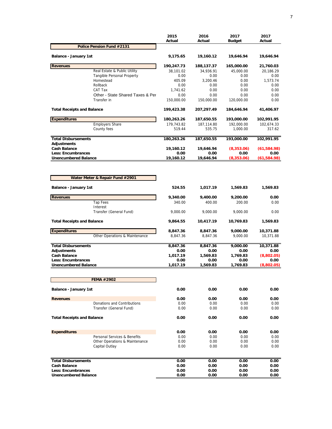|                                           |                                     | 2015<br>Actual   | 2016<br>Actual | 2017<br><b>Budget</b> | 2017<br>Actual |
|-------------------------------------------|-------------------------------------|------------------|----------------|-----------------------|----------------|
|                                           | Police Pension Fund #2131           |                  |                |                       |                |
| Balance - January 1st                     |                                     | 9,175.65         | 19,160.12      | 19,646.94             | 19,646.94      |
| <b>Revenues</b>                           |                                     | 190,247.73       | 188,137.37     | 165,000.00            | 21,760.03      |
|                                           | Real Estate & Public Utility        | 38,101.02        | 34,936.91      | 45,000.00             | 20,186.29      |
|                                           | <b>Tangible Personal Property</b>   | 0.00             | 0.00           | 0.00                  | 0.00           |
|                                           | Homestead                           | 405.09           | 3,200.46       | 0.00                  | 1,573.74       |
|                                           | Rollback<br>CAT Tax                 | 0.00<br>1,741.62 | 0.00<br>0.00   | 0.00<br>0.00          | 0.00<br>0.00   |
|                                           | Other - State Shared Taxes & Per    | 0.00             | 0.00           | 0.00                  | 0.00           |
|                                           | Transfer in                         | 150,000.00       | 150,000.00     | 120,000.00            | 0.00           |
| <b>Total Receipts and Balance</b>         |                                     | 199,423.38       | 207,297.49     | 184,646.94            | 41,406.97      |
| <b>Expenditures</b>                       |                                     | 180,263.26       | 187,650.55     | 193,000.00            | 102,991.95     |
|                                           | <b>Employers Share</b>              | 179,743.82       | 187,114.80     | 192,000.00            | 102,674.33     |
|                                           | County fees                         | 519.44           | 535.75         | 1,000.00              | 317.62         |
| <b>Total Disbursements</b><br>Adjustments |                                     | 180,263.26       | 187,650.55     | 193,000.00            | 102,991.95     |
| <b>Cash Balance</b>                       |                                     | 19,160.12        | 19,646.94      | (8,353.06)            | (61, 584.98)   |
| <b>Less: Encumbrances</b>                 |                                     | 0.00             | 0.00           | 0.00                  | 0.00           |
| <b>Unencumbered Balance</b>               |                                     | 19,160.12        | 19,646.94      | (8,353.06)            | (61, 584.98)   |
|                                           | Water Meter & Repair Fund #2901     |                  |                |                       |                |
| Balance - January 1st                     |                                     | 524.55           | 1,017.19       | 1,569.83              | 1,569.83       |
| <b>Revenues</b>                           |                                     | 9,340.00         | 9,400.00       | 9,200.00              | 0.00           |
|                                           | <b>Tap Fees</b>                     | 340.00           | 400.00         | 200.00                | 0.00           |
|                                           | Interest<br>Transfer (General Fund) | 9,000.00         | 9,000.00       | 9,000.00              | 0.00           |
| <b>Total Receipts and Balance</b>         |                                     | 9,864.55         | 10,417.19      | 10,769.83             | 1,569.83       |
| <b>Expenditures</b>                       |                                     | 8,847.36         | 8,847.36       | 9,000.00              | 10,371.88      |
|                                           | Other Operations & Maintenance      | 8,847.36         | 8,847.36       | 9,000.00              | 10,371.88      |
| <b>Total Disbursements</b>                |                                     | 8,847.36         | 8,847.36       | 9,000.00              | 10,371.88      |
| Adjustments                               |                                     | 0.00             | 0.00           | 0.00                  | 0.00           |
| <b>Cash Balance</b>                       |                                     | 1,017.19         | 1,569.83       | 1,769.83              | (8,802.05)     |
| <b>Less: Encumbrances</b>                 |                                     | 0.00             | 0.00           | 0.00                  | 0.00           |
| <b>Unencumbered Balance</b>               |                                     | 1,017.19         | 1,569.83       | 1,769.83              | (8,802.05)     |
|                                           | <b>FEMA #2902</b>                   |                  |                |                       |                |
| <b>Balance - January 1st</b>              |                                     | 0.00             | 0.00           | 0.00                  | 0.00           |
|                                           |                                     |                  |                |                       |                |
| <b>Revenues</b>                           | Donations and Contributions         | 0.00<br>0.00     | 0.00<br>0.00   | 0.00<br>0.00          | 0.00<br>0.00   |
|                                           | Transfer (General Fund)             | 0.00             | 0.00           | 0.00                  | 0.00           |
| <b>Total Receipts and Balance</b>         |                                     | 0.00             | 0.00           | 0.00                  | 0.00           |
|                                           |                                     |                  |                |                       |                |
| <b>Expenditures</b>                       |                                     | 0.00             | 0.00           | 0.00                  | 0.00           |
|                                           | Personal Services & Benefits        | 0.00             | 0.00           | 0.00                  | 0.00           |
|                                           | Other Operations & Maintenance      | 0.00             | 0.00           | 0.00                  | 0.00           |
|                                           | Capital Outlay                      | 0.00             | 0.00           | 0.00                  | 0.00           |
| <b>Total Disbursements</b>                |                                     | 0.00             | 0.00           | 0.00                  | 0.00           |
| <b>Cash Balance</b>                       |                                     | 0.00             | 0.00           | 0.00                  | 0.00           |
| Less: Encumbrances                        |                                     | 0.00             | 0.00           | 0.00                  | 0.00           |
| <b>Unencumbered Balance</b>               |                                     | 0.00             | 0.00           | 0.00                  | 0.00           |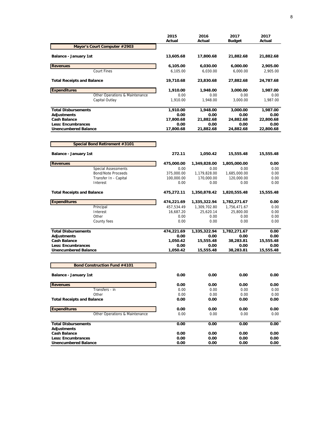|                                                          | 2015<br>Actual    | 2016<br>Actual    | 2017<br><b>Budget</b> | 2017<br>Actual    |
|----------------------------------------------------------|-------------------|-------------------|-----------------------|-------------------|
| Mayor's Court Computer #2903                             |                   |                   |                       |                   |
| Balance - January 1st                                    | 13,605.68         | 17,800.68         | 21,882.68             | 21,882.68         |
| <b>Revenues</b>                                          | 6,105.00          | 6,030.00          | 6,000.00              | 2,905.00          |
| <b>Court Fines</b>                                       | 6,105.00          | 6,030.00          | 6,000.00              | 2,905.00          |
| <b>Total Receipts and Balance</b>                        | 19,710.68         | 23,830.68         | 27,882.68             | 24,787.68         |
| <b>Expenditures</b>                                      | 1,910.00          | 1,948.00          | 3,000.00              | 1,987.00          |
| Other Operations & Maintenance                           | 0.00              | 0.00              | 0.00                  | 0.00              |
| Capital Outlay                                           | 1,910.00          | 1,948.00          | 3,000.00              | 1,987.00          |
| <b>Total Disbursements</b>                               | 1,910.00          | 1,948.00          | 3,000.00              | 1,987.00          |
| Adjustments                                              | 0.00              | 0.00              | 0.00                  | 0.00              |
| <b>Cash Balance</b>                                      | 17,800.68         | 21,882.68         | 24,882.68             | 22,800.68         |
| Less: Encumbrances<br><b>Unencumbered Balance</b>        | 0.00<br>17,800.68 | 0.00<br>21,882.68 | 0.00<br>24,882.68     | 0.00              |
|                                                          |                   |                   |                       | 22,800.68         |
| Special Bond Retirement #3101                            |                   |                   |                       |                   |
| Balance - January 1st                                    | 272.11            | 1,050.42          | 15,555.48             | 15,555.48         |
| <b>Revenues</b>                                          | 475,000.00        | 1,349,828.00      | 1,805,000.00          | 0.00              |
| <b>Special Assessments</b>                               | 0.00              | 0.00              | 0.00                  | 0.00              |
| <b>Bond/Note Proceeds</b>                                | 375,000.00        | 1,179,828.00      | 1,685,000.00          | 0.00              |
| Transfer In - Capital                                    | 100,000.00        | 170,000.00        | 120,000.00            | 0.00              |
| Interest                                                 | 0.00              | 0.00              | 0.00                  | 0.00              |
| <b>Total Receipts and Balance</b>                        | 475,272.11        | 1,350,878.42      | 1,820,555.48          | 15,555.48         |
| <b>Expenditures</b>                                      | 474,221.69        | 1,335,322.94      | 1,782,271.67          | 0.00              |
| Principal                                                | 457,534.49        | 1,309,702.80      | 1,756,471.67          | 0.00              |
| Interest                                                 | 16,687.20         | 25,620.14         | 25,800.00             | 0.00              |
| Other                                                    | 0.00              | 0.00              | 0.00                  | 0.00              |
| County fees                                              | 0.00              | 0.00              | 0.00                  | 0.00              |
| <b>Total Disbursements</b>                               | 474,221.69        | 1,335,322.94      | 1,782,271.67          | 0.00              |
| <b>Adjustments</b>                                       | 0.00              | 0.00              | 0.00                  | 0.00              |
| <b>Cash Balance</b>                                      | 1,050.42          | 15,555.48         | 38,283.81             | 15,555.48         |
| <b>Less: Encumbrances</b><br><b>Unencumbered Balance</b> | 0.00<br>1,050.42  | 0.00<br>15,555.48 | 0.00<br>38,283.81     | 0.00<br>15,555.48 |
|                                                          |                   |                   |                       |                   |
| <b>Bond Construction Fund #4101</b>                      |                   |                   |                       |                   |
| <b>Balance - January 1st</b>                             | 0.00              | 0.00              | 0.00                  | 0.00              |
| <b>Revenues</b>                                          | 0.00              | 0.00              | 0.00                  | 0.00              |
| Transfers - in                                           | 0.00              | 0.00              | 0.00                  | 0.00              |
| Other<br><b>Total Receipts and Balance</b>               | 0.00              | 0.00              | 0.00                  | 0.00              |
|                                                          | 0.00              | 0.00              | 0.00                  | 0.00              |
| <b>Expenditures</b>                                      | 0.00              | 0.00              | 0.00                  | 0.00              |
| Other Operations & Maintenance                           | 0.00              | 0.00              | 0.00                  | 0.00              |
| <b>Total Disbursements</b>                               | 0.00              | 0.00              | 0.00                  | 0.00              |
| <b>Adjustments</b>                                       |                   |                   |                       |                   |
| <b>Cash Balance</b><br><b>Less: Encumbrances</b>         | 0.00<br>0.00      | 0.00              | 0.00                  | 0.00<br>0.00      |
| <b>Unencumbered Balance</b>                              | 0.00              | 0.00<br>0.00      | 0.00<br>0.00          | 0.00              |
|                                                          |                   |                   |                       |                   |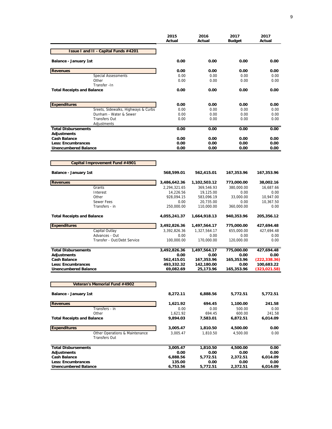|                                                    | 2015<br>Actual     | 2016<br>Actual          | 2017<br><b>Budget</b> | 2017<br>Actual    |
|----------------------------------------------------|--------------------|-------------------------|-----------------------|-------------------|
| <b>Issue I and II - Capital Funds #4201</b>        |                    |                         |                       |                   |
| Balance - January 1st                              | 0.00               | 0.00                    | 0.00                  | 0.00              |
| <b>Revenues</b>                                    | 0.00               | 0.00                    | 0.00                  | 0.00              |
| <b>Special Assessments</b>                         | 0.00               | 0.00                    | 0.00                  | 0.00              |
| Other                                              | 0.00               | 0.00                    | 0.00                  | 0.00              |
| Transfer - In<br><b>Total Receipts and Balance</b> | 0.00               | 0.00                    | 0.00                  | 0.00              |
| <b>Expenditures</b>                                | 0.00               | 0.00                    | 0.00                  | 0.00              |
| Sreets, Sidewalks, Highways & Curbs                | 0.00               | 0.00                    | 0.00                  | 0.00              |
| Dunham - Water & Sewer                             | 0.00               | 0.00                    | 0.00                  | 0.00              |
| <b>Transfers Out</b><br>Adjustments                | 0.00               | 0.00                    | 0.00                  | 0.00              |
| <b>Total Disbursements</b>                         | 0.00               | 0.00                    | 0.00                  | 0.00              |
| <b>Adjustments</b>                                 |                    |                         |                       |                   |
| <b>Cash Balance</b><br><b>Less: Encumbrances</b>   | 0.00<br>0.00       | 0.00<br>0.00            | 0.00<br>0.00          | 0.00<br>0.00      |
| <b>Unencumbered Balance</b>                        | 0.00               | 0.00                    | 0.00                  | 0.00              |
|                                                    |                    |                         |                       |                   |
| Capital Improvement Fund #4901                     |                    |                         |                       |                   |
| <b>Balance - January 1st</b>                       | 568,599.01         | 562,415.01              | 167,353.96            | 167,353.96        |
| <b>Revenues</b>                                    | 3,486,642.36       | 1,102,503.12            | 773,000.00            | 38,002.16         |
| Grants                                             | 2,294,321.65       | 369,546.93              | 380,000.00            | 16,687.66         |
| Interest                                           | 14,226.56          | 19,125.00               | 0.00                  | 0.00              |
| Other                                              | 928,094.15         | 583,096.19              | 33,000.00             | 10,947.00         |
| Sewer Fees<br>Transfers - in                       | 0.00<br>250,000.00 | 20,735.00<br>110,000.00 | 0.00<br>360,000.00    | 10,367.50<br>0.00 |
| <b>Total Receipts and Balance</b>                  | 4,055,241.37       | 1,664,918.13            | 940,353.96            | 205,356.12        |
| <b>Expenditures</b>                                | 3,492,826.36       | 1,497,564.17            | 775,000.00            | 427,694.48        |
| Capital Outlay                                     | 3,392,826.36       | 1,327,564.17            | 655,000.00            | 427,694.48        |
| Advances - Out                                     | 0.00               | 0.00                    | 0.00                  | 0.00              |
| Transfer - Out/Debt Service                        | 100,000.00         | 170,000.00              | 120,000.00            | 0.00              |
| <b>Total Disbursements</b>                         | 3,492,826.36       | 1,497,564.17            | 775,000.00            | 427,694.48        |
| <b>Adjustments</b>                                 | 0.00               | 0.00                    | 0.00                  | 0.00              |
| <b>Cash Balance</b>                                | 562,415.01         | 167,353.96              | 165,353.96            | (222, 338.36)     |
| <b>Less: Encumbrances</b>                          | 493,332.32         | 142,180.00              | 0.00                  | 100,683.22        |
| <b>Unencumbered Balance</b>                        | 69,082.69          | 25,173.96               | 165,353.96            | (323, 021.58)     |
| Veteran's Memorial Fund #4902                      |                    |                         |                       |                   |
| <b>Balance - January 1st</b>                       | 8,272.11           | 6,888.56                | 5,772.51              | 5,772.51          |
| <b>Revenues</b>                                    | 1,621.92           | 694.45                  | 1,100.00              | 241.58            |
| Transfers - in                                     | 0.00               | 0.00                    | 500.00                | 0.00              |
| Other                                              | 1,621.92           | 694.45                  | 600.00                | 241.58            |
| <b>Total Receipts and Balance</b>                  | 9,894.03           | 7,583.01                | 6,872.51              | 6,014.09          |
| <b>Expenditures</b>                                | 3,005.47           | 1,810.50                | 4,500.00              | 0.00              |
| Other Operations & Maintenance<br>Transfers Out    | 3,005.47           | 1,810.50                | 4,500.00              | 0.00              |
| <b>Total Disbursements</b>                         | 3,005.47           | 1,810.50                | 4,500.00              | 0.00              |
| <b>Adjustments</b>                                 | 0.00               | 0.00                    | 0.00                  | 0.00              |
| <b>Cash Balance</b>                                | 6,888.56           | 5,772.51                | 2,372.51              | 6,014.09          |
| <b>Less: Encumbrances</b>                          | 135.00             | 0.00                    | 0.00                  | 0.00              |
| <b>Unencumbered Balance</b>                        | 6,753.56           | 5,772.51                | 2,372.51              | 6,014.09          |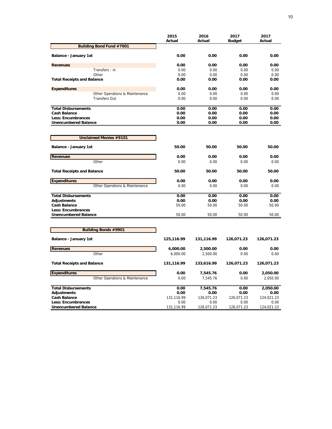|                                   | 2015<br>Actual | 2016<br>Actual | 2017<br><b>Budget</b> | 2017<br>Actual |
|-----------------------------------|----------------|----------------|-----------------------|----------------|
| <b>Building Bond Fund #7001</b>   |                |                |                       |                |
| Balance - January 1st             | 0.00           | 0.00           | 0.00                  | 0.00           |
| <b>Revenues</b>                   | 0.00           | 0.00           | 0.00                  | 0.00           |
| Transfers - in                    | 0.00           | 0.00           | 0.00                  | 0.00           |
| Other                             | 0.00           | 0.00           | 0.00                  | 0.00           |
| <b>Total Receipts and Balance</b> | 0.00           | 0.00           | 0.00                  | 0.00           |
| <b>Expenditures</b>               | 0.00           | 0.00           | 0.00                  | 0.00           |
| Other Operations & Maintenance    | 0.00           | 0.00           | 0.00                  | 0.00           |
| <b>Transfers Out</b>              | 0.00           | 0.00           | 0.00                  | 0.00           |
| <b>Total Disbursements</b>        | 0.00           | 0.00           | 0.00                  | 0.00           |
| <b>Cash Balance</b>               | 0.00           | 0.00           | 0.00                  | 0.00           |
| Less: Encumbrances                | 0.00           | 0.00           | 0.00                  | 0.00           |
| <b>Unencumbered Balance</b>       | 0.00           | 0.00           | 0.00                  | 0.00           |
| <b>Unclaimed Monies #9101</b>     |                |                |                       |                |
| Balance - January 1st             | 50.00          | 50.00          | 50.00                 | 50.00          |
| <b>Revenues</b>                   | 0.00           | 0.00           | 0.00                  | 0.00           |
| Other                             | 0.00           | 0.00           | 0.00                  | 0.00           |
|                                   |                |                |                       |                |
| <b>Total Receipts and Balance</b> | 50.00          | 50.00          | 50.00                 | 50.00          |
| <b>Expenditures</b>               | 0.00           | 0.00           | 0.00                  | 0.00           |
| Other Operations & Maintenance    | 0.00           | 0.00           | 0.00                  | 0.00           |
| <b>Total Disbursements</b>        | 0.00           | 0.00           | 0.00                  | 0.00           |
| <b>Adjustments</b>                | 0.00           | 0.00           | 0.00                  | 0.00           |
| <b>Cash Balance</b>               | 50.00          | 50.00          | 50.00                 | 50.00          |
| Less: Encumbrances                |                |                |                       |                |
| <b>Unencumbered Balance</b>       | 50.00          | 50.00          | 50.00                 | 50.00          |
| <b>Building Bonds #9901</b>       |                |                |                       |                |
| Balance - January 1st             | 125,116.99     | 131,116.99     | 126,071.23            | 126,071.23     |
| <b>Revenues</b>                   | 6,000.00       | 2,500.00       | 0.00                  | 0.00           |
| Other                             | 6,000.00       | 2,500.00       | 0.00                  | 0.00           |
| <b>Total Receipts and Balance</b> | 131,116.99     | 133,616.99     | 126,071.23            | 126,071.23     |
| <b>Expenditures</b>               | 0.00           | 7,545.76       | 0.00                  | 2,050.00       |
| Other Operations & Maintenance    | 0.00           | 7,545.76       | 0.00                  | 2,050.00       |
| <b>Total Disbursements</b>        | 0.00           | 7,545.76       | 0.00                  | 2,050.00       |
| <b>Adjustments</b>                | 0.00           | 0.00           | 0.00                  | 0.00           |
| <b>Cash Balance</b>               | 131,116.99     | 126,071.23     | 126,071.23            | 124,021.23     |
| Less: Encumbrances                | 0.00           | 0.00           | 0.00                  | 0.00           |
| <b>Unencumbered Balance</b>       | 131,116.99     | 126,071.23     | 126,071.23            | 124,021.23     |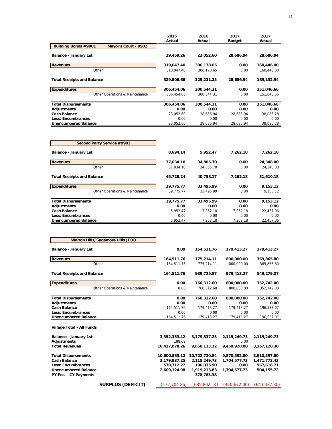|                                                     | 2015       | 2016       | 2017          | 2017       |
|-----------------------------------------------------|------------|------------|---------------|------------|
|                                                     | Actual     | Actual     | <b>Budget</b> | Actual     |
| <b>Building Bonds #9901</b><br>Mayor's Court - 9902 |            |            |               |            |
| Balance - January 1st                               | 19,459.26  | 23,052.60  | 28,686.94     | 28,686.94  |
| <b>Revenues</b>                                     | 310,047.40 | 306,178.65 | 0.00          | 160,446.00 |
| Other                                               | 310.047.40 | 306.178.65 | 0.00          | 160.446.00 |
| <b>Total Receipts and Balance</b>                   | 329,506.66 | 329,231.25 | 28.686.94     | 189,132.94 |
| <b>Expenditures</b>                                 | 306,454.06 | 300,544.31 | 0.00          | 151,046.66 |
| Other Operations & Maintenance                      | 306.454.06 | 300.544.31 | 0.00          | 151.046.66 |
| <b>Total Disbursements</b>                          | 306,454.06 | 300,544.31 | 0.00          | 151,046.66 |
| Adjustments                                         | 0.00       | 0.00       | 0.00          | 0.00       |
| <b>Cash Balance</b>                                 | 23.052.60  | 28.686.94  | 28.686.94     | 38,086.28  |
| <b>Less: Encumbrances</b>                           | 0.00       | 0.00       | 0.00          | 0.00       |
| <b>Unencumbered Balance</b>                         | 23,052.60  | 28,686.94  | 28,686.94     | 38,086.28  |

| Second Party Service #9903        |           |           |          |           |
|-----------------------------------|-----------|-----------|----------|-----------|
| Balance - January 1st             | 8,694.14  | 5.952.47  | 7.262.18 | 7,262.18  |
| <b>Revenues</b>                   | 37,034.10 | 34,805.70 | 0.00     | 24,348.00 |
| Other                             | 37.034.10 | 34,805.70 | 0.00     | 24,348.00 |
| <b>Total Receipts and Balance</b> | 45,728.24 | 40,758.17 | 7.262.18 | 31,610.18 |
| <b>Expenditures</b>               | 39,775.77 | 33,495.99 | 0.00     | 9,153.12  |
| Other Operations & Maintenance    | 39.775.77 | 33.495.99 | 0.00     | 9.153.12  |
| <b>Total Disbursements</b>        | 39,775.77 | 33,495.99 | 0.00     | 9,153.12  |
| Adjustments                       | 0.00      | 0.00      | 0.00     | 0.00      |
| <b>Cash Balance</b>               | 5.952.47  | 7.262.18  | 7.262.18 | 22,457.06 |
| Less: Encumbrances                | 0.00      | 0.00      | 0.00     | 0.00      |
| <b>Unencumbered Balance</b>       | 5.952.47  | 7.262.18  | 7.262.18 | 22.457.06 |

 $\overline{\phantom{a}}$ 

| <b>Walton Hills/Sagamore Hills JEDD</b>     |                        |               |                      |              |
|---------------------------------------------|------------------------|---------------|----------------------|--------------|
| <b>Balance - January 1st</b>                | 0.00                   | 164,511.76    | 179,413.27           | 179,413.27   |
| <b>Revenues</b>                             | 164,511.76             | 775,214.11    | 800,000.00           | 369,865.80   |
| Other                                       | 164,511.76             | 775,214.11    | 800,000.00           | 369,865.80   |
| <b>Total Receipts and Balance</b>           | 164,511.76             | 939,725.87    | 979,413.27           | 549,279.07   |
| <b>Expenditures</b>                         | 0.00                   | 760,312.60    | 800,000.00           | 352,742.00   |
| Other Operations & Maintenance              | 0.00                   | 760,312.60    | 800.000.00           | 352,742.00   |
| <b>Total Disbursements</b>                  | 0.00                   | 760,312.60    | 800,000.00           | 352,742.00   |
| Adjustments                                 | 0.00                   | 0.00          | 0.00                 | 0.00         |
| <b>Cash Balance</b>                         | 164,511.76             | 179,413.27    | 179,413.27           | 196,537.07   |
| <b>Less: Encumbrances</b>                   | 0.00                   | 0.00          | 0.00                 | 0.00         |
| <b>Unencumbered Balance</b>                 | 164,511.76             | 179,413.27    | 179,413.27           | 196,537.07   |
| Village Total - All Funds                   |                        |               |                      |              |
| Balance - January 1st<br><b>Adjustments</b> | 3,352,353.42<br>188.69 | 3,179,837.25  | 2,115,249.73<br>0.00 | 2,115,249.73 |
| <b>Total Revenues</b>                       | 10,427,878.26          | 9,658,133.32  | 9,459,920.00         | 3,167,120.30 |
| <b>Total Disbursements</b>                  | 10,600,583.12          | 10,722,720.84 | 9,870,592.00         | 3,810,597.60 |
| <b>Cash Balance</b>                         | 3,179,837.25           | 2,115,249.73  | 1,704,577.73         | 1,471,772.43 |
| Less: Encumbrances                          | 570.712.27             | 196.035.90    | 0.00                 | 967.616.71   |
| <b>Unencumbered Balance</b>                 | 2,609,124.98           | 1,919,213.83  | 1,704,577.73         | 504,155.72   |
| PY Pos - CY Payments                        |                        | 378,785.38    |                      |              |
| <b>SURPLUS (DEFICIT)</b>                    | 172,704.86)            | (685,802.14)  | (410,672.00)         | (643,477.30) |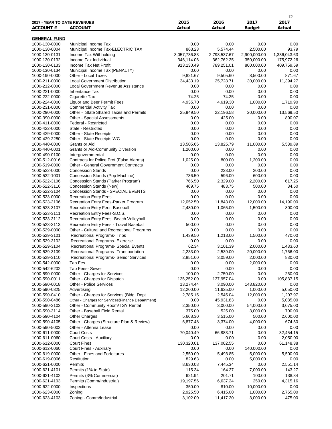| 2017 - YEAR TO DATE REVENUES   |                                                                                          | 2015                    | 2016                   | 2017                  | 12<br>2017            |
|--------------------------------|------------------------------------------------------------------------------------------|-------------------------|------------------------|-----------------------|-----------------------|
| <b>ACCOUNT #</b>               | <b>ACCOUNT</b>                                                                           | Actual                  | Actual                 | <b>Budget</b>         | Actual                |
| <b>GENERAL FUND</b>            |                                                                                          |                         |                        |                       |                       |
| 1000-130-0000                  | Municipal Income Tax                                                                     | 0.00                    | 0.00                   | 0.00                  | 0.00                  |
| 1000-130-0004                  | Municipal Income Tax-ELECTRIC TAX                                                        | 863.23                  | 5,574.44               | 2,500.00              | 93.79                 |
| 1000-130-0131                  | Income Tax Withholding                                                                   | 3,057,736.83            | 2,798,537.67           | 2,900,000.00          | 1,336,043.63          |
| 1000-130-0132                  | Income Tax Individual                                                                    | 346,114.06              | 362,762.25             | 350,000.00            | 175,972.26            |
| 1000-130-0133<br>1000-130-0134 | Income Tax Net Profit<br>Municipal Income Tax (PENALTY)                                  | 913,130.49<br>0.00      | 789,251.01<br>0.00     | 800,000.00<br>0.00    | 409,759.59<br>0.00    |
| 1000-190-0000                  | Other - Local Taxes                                                                      | 9,821.67                | 9,505.60               | 8,500.00              | 871.67                |
| 1000-211-0000                  | <b>Local Government Distribution</b>                                                     | 34,433.19               | 25,728.71              | 30,000.00             | 11,394.27             |
| 1000-212-0000                  | Local Government Revenue Assistance                                                      | 0.00                    | 0.00                   | 0.00                  | 0.00                  |
| 1000-221-0000                  | <b>Inheritance Tax</b>                                                                   | 0.00                    | 0.00                   | 0.00                  | 0.00                  |
| 1000-222-0000                  | Cigarette Tax                                                                            | 74.25                   | 74.25                  | 0.00                  | 0.00                  |
| 1000-224-0000                  | Liquor and Beer Permit Fees                                                              | 4,935.70                | 4,619.30               | 1,000.00              | 1,719.90              |
| 1000-231-0000                  | <b>Commercial Activity Tax</b>                                                           | 0.00                    | 0.00                   | 0.00                  | 0.00                  |
| 1000-290-0000<br>1000-390-0000 | Other - State Shared Taxes and Permits<br>Other - Special Assessments                    | 25,949.50<br>0.00       | 22,196.58<br>425.00    | 20,000.00<br>0.00     | 13,569.50<br>890.07   |
| 1000-411-0000                  | Federal - Restricted                                                                     | 0.00                    | 0.00                   | 0.00                  | 0.00                  |
| 1000-422-0000                  | State - Restricted                                                                       | 0.00                    | 0.00                   | 0.00                  | 0.00                  |
| 1000-429-0000                  | Other - State Receipts                                                                   | 0.00                    | 0.00                   | 0.00                  | 0.00                  |
| 1000-429-2250                  | Other - State Receipts WC                                                                | 0.00                    | 0.00                   | 0.00                  | 0.00                  |
| 1000-440-0000                  | Grants or Aid                                                                            | 13,505.66               | 13,825.79              | 11,000.00             | 5,539.89              |
| 1000-440-0001                  | <b>Grants or Aid-Community Diversion</b>                                                 | 1,200.00                | 0.00                   | 0.00                  | 0.00                  |
| 1000-490-0100                  | Intergovernmental                                                                        | 0.00                    | 0.00                   | 0.00                  | 0.00                  |
| 1000-512-0016<br>1000-519-0000 | Contracts for Police Prot. (False Alarms)<br><b>Other - General Government Contracts</b> | 1,025.00<br>0.00        | 800.00<br>0.00         | 1,200.00<br>0.00      | 0.00<br>0.00          |
| 1000-522-0000                  | <b>Concession Stands</b>                                                                 | 0.00                    | 223.00                 | 200.00                | 0.00                  |
| 1000-522-1001                  | Concession Stands (Pop Machine)                                                          | 736.50                  | 596.00                 | 600.00                | 0.00                  |
| 1000-522-3106                  | Concession Stands (Parker Program)                                                       | 766.50                  | 2,329.00               | 2,200.00              | 617.25                |
| 1000-522-3116                  | Concession Stands (New)                                                                  | 469.75                  | 483.75                 | 500.00                | 34.50                 |
| 1000-522-3104                  | Concession Stands - SPECIAL EVENTS                                                       | 0.00                    | 0.00                   | 0.00                  | 0.00                  |
| 1000-523-0000                  | <b>Recreation Entry Fees</b>                                                             | 0.00                    | 0.00                   | 0.00                  | 0.00                  |
| 1000-523-3106                  | Recreation Entry Fees-Parker Program                                                     | 12,052.50               | 11,843.00              | 12,000.00             | 14,190.00             |
| 1000-523-3107                  | Recreation Entry Fees-Baseball                                                           | 2,480.00                | 1,065.00               | 1,500.00              | 800.00                |
| 1000-523-3111<br>1000-523-3112 | Recreation Entry Fees-S.O.S.<br>Recreation Entry Fees- Beach Volleyball                  | 0.00<br>0.00            | 0.00<br>0.00           | 0.00<br>0.00          | 0.00<br>0.00          |
| 1000-523-3113                  | Recreation Entry Fees - Travel Baseball                                                  | 500.00                  | 0.00                   | 0.00                  | 0.00                  |
| 1000-529-0000                  | Other - Cultural and Recreational Programs                                               | 0.00                    | 0.00                   | 0.00                  | 0.00                  |
| 1000-529-3101                  | Recreational Programs- Trips                                                             | 1,439.50                | 1,213.00               | 1,500.00              | 470.00                |
| 1000-529-3102                  | Recreational Programs- Exercise                                                          | 0.00                    | 0.00                   | 0.00                  | 0.00                  |
| 1000-529-3104                  | Recreational Programs- Special Events                                                    | 62.34                   | 3,101.39               | 2,000.00              | 1,433.60              |
| 1000-529-3109                  | Recreational Programs-Transportation                                                     | 2,233.00                | 2,539.00               | 20,000.00             | 1,766.00              |
| 1000-529-3110                  | Recreational Programs- Senior Services                                                   | 2,851.00                | 3,059.00               | 2,000.00              | 830.00                |
| 1000-542-0000                  | Tap Fes                                                                                  | 0.00                    | 0.00                   | 2,000.00              | 0.00                  |
| 1000-542-6202                  | Tap Fees- Sewer                                                                          | 0.00                    | 0.00                   | 0.00                  | 0.00                  |
| 1000-590-0000                  | Other - Charges for Services                                                             | 100.00                  | 2,750.00               | 0.00                  | 260.00                |
| 1000-590-0011<br>1000-590-0018 | Other - Charges for Dispatch<br><b>Other - Police Services</b>                           | 135,252.00<br>13,274.44 | 137,957.04<br>3,090.00 | 0.00<br>143,820.00    | 105,837.15<br>0.00    |
| 1000-590-0325                  | Advertising                                                                              | 12,200.00               | 11,625.00              | 1,000.00              | 5,050.00              |
| 1000-590-0410                  | Other - Charges for Services (Bldg. Dept.                                                | 2,785.15                | 2,545.04               | 12,000.00             | 1,207.97              |
| 1000-590-0486                  | Other - Charges for Services{Finance Department}                                         | 0.00                    | 45,931.83              | 0.00                  | 5,085.00              |
| 1000-590-3103                  | Other - Community Room/TGY Rental                                                        | 2,350.00                | 3,000.00               | 54,000.00             | 3,075.00              |
| 1000-590-3114                  | Other - Baseball Field Rental                                                            | 375.00                  | 525.00                 | 3,000.00              | 700.00                |
| 1000-590-4104                  | <b>Other Charges</b>                                                                     | 5,668.30                | 3,515.00               | 500.00                | 2,600.00              |
| 1000-590-4105                  | Other - Charges (Structure Plan & Review)                                                | 6,877.48                | 3,374.00               | 4,000.00              | 674.50                |
| 1000-590-5002                  | Other - Attenna Lease<br><b>Court Costs</b>                                              | 0.00<br>70,040.49       | 0.00<br>66,883.71      | 0.00<br>0.00          | 0.00                  |
| 1000-611-0000<br>1000-611-0060 | Court Costs - Auxiliary                                                                  | 0.00                    | 0.00                   | 0.00                  | 32,454.15<br>2,050.00 |
| 1000-612-0000                  | <b>Court Fines</b>                                                                       | 130,320.01              | 137,002.55             | 0.00                  | 61,148.38             |
| 1000-612-0060                  | Court Fines - Auxiliary                                                                  | 0.00                    | 0.00                   | 140,000.00            | 0.00                  |
| 1000-619-0000                  | Other - Fines and Forfeitures                                                            | 2,550.00                | 5,493.85               | 5,000.00              | 5,500.00              |
| 1000-619-0006                  | Restitution                                                                              | 829.63                  | 0.00                   | 5,000.00              | 0.00                  |
| 1000-621-0000                  | Permits                                                                                  | 8,630.08                | 7,445.34               | 0.00                  | 2,551.14              |
| 1000-621-4101                  | Permits (1% to State)                                                                    | 115.34                  | 164.37                 | 7,000.00              | 143.27                |
| 1000-621-4102                  | Permits (3% Commercial)                                                                  | 621.94                  | 201.71                 | 100.00                | 138.34                |
| 1000-621-4103                  | Permits (Comm/Industrial)                                                                | 19,197.56               | 6,637.24               | 250.00                | 4,315.16              |
| 1000-622-0000<br>1000-623-0000 | Inspections                                                                              | 350.00<br>2,925.50      | 810.00                 | 10,000.00<br>1,000.00 | 0.00                  |
| 1000-623-4103                  | Zoning<br>Zoning - Comm/Industrial                                                       | 3,102.00                | 6,415.00<br>11,417.20  | 3,000.00              | 2,765.00<br>475.00    |
|                                |                                                                                          |                         |                        |                       |                       |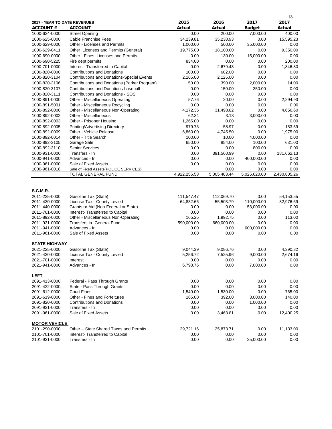|                              |                                                   |              |              |               | 13           |
|------------------------------|---------------------------------------------------|--------------|--------------|---------------|--------------|
| 2017 - YEAR TO DATE REVENUES |                                                   | 2015         | 2016         | 2017          | 2017         |
| <b>ACCOUNT #</b>             | ACCOUNT                                           | Actual       | Actual       | <b>Budget</b> | Actual       |
| 1000-624-0000                | <b>Street Opening</b>                             | 0.00         | 200.00       | 7,000.00      | 400.00       |
| 1000-625-0000                | Cable Franchise Fees                              | 34,239.81    | 35,238.93    | 0.00          | 15,595.23    |
| 1000-629-0000                | Other - Licenses and Permits                      | 1,000.00     | 500.00       | 35,000.00     | 0.00         |
| 1000-629-0411                | Other Licenses and Permits (General)              | 19,775.00    | 18,100.00    | 0.00          | 9,350.00     |
|                              |                                                   |              |              |               |              |
| 1000-690-0000                | Other - Fines, Licenses and Permits               | 0.00         | 130.00       | 15,000.00     | 0.00         |
| 1000-690-5225                | Fire dept permits                                 | 834.00       | 0.00         | 0.00          | 200.00       |
| 1000-701-0000                | Interest- Transferred to Capital                  | 0.00         | 2,679.48     | 0.00          | 1,846.80     |
| 1000-820-0000                | <b>Contributions and Donations</b>                | 100.00       | 602.00       | 0.00          | 0.00         |
| 1000-820-3104                | <b>Contributions and Donations-Special Events</b> | 2,165.00     | 2,125.00     | 0.00          | 0.00         |
| 1000-820-3106                | Contributions and Donations (Parker Program)      | 50.00        | 390.00       | 2,000.00      | 14.00        |
| 1000-820-3107                | Contributions and Donations-baseball              | 0.00         | 150.00       | 350.00        | 0.00         |
| 1000-820-3111                | Contributions and Donations - SOS                 | 0.00         | 0.00         | 0.00          | 0.00         |
| 1000-891-0000                | Other - Miscellaneous Operating                   | 57.76        | 20.00        | 0.00          | 2,294.93     |
| 1000-891-5001                | Other - Miscellaneous Recycling                   | 0.00         | 0.00         | 0.00          | 0.00         |
| 1000-892-0000                | Other - Miscellaneous Non-Operating               | 4,172.35     | 31,498.82    | 0.00          | 4,656.60     |
| 1000-892-0002                | Other - Miscellaneous                             | 62.34        | 3.13         | 3,000.00      | 0.00         |
| 1000-892-0003                | Other - Prisoner Housing                          | 1,265.00     | 0.00         | 0.00          | 0.00         |
| 1000-892-0005                | Printing/Advertising Directory                    | 979.73       | 58.97        | 0.00          | 153.59       |
| 1000-892-0009                | Other - Vehicle Release                           | 6,860.00     | 4,745.50     | 0.00          | 1,975.00     |
| 1000-892-0014                | Other - Title Search                              | 100.00       | 10.00        | 4,000.00      | 0.00         |
| 1000-892-3105                | Garage Sale                                       | 650.00       | 854.00       | 100.00        | 631.00       |
| 1000-892-3110                | <b>Senior Services</b>                            | 0.00         | 0.00         | 800.00        | 0.00         |
| 1000-931-0000                | Transfers - In                                    | 0.00         | 391,560.99   | 0.00          | 181,662.13   |
| 1000-941-0000                | Advances - In                                     | 0.00         | 0.00         | 400,000.00    | 0.00         |
| 1000-961-0000                | Sale of Fixed Assets                              | 0.00         | 0.00         | 0.00          | 0.00         |
| 1000-961-0018                | Sale of Fixed Assets{POLICE SERVICES}             |              | 0.00         | 0.00          | 0.00         |
|                              | TOTAL GENERAL FUND                                | 4,922,256.58 | 5,005,403.44 | 5,025,620.00  | 2,430,805.26 |
| <b>S.C.M.R.</b>              |                                                   |              |              |               |              |
| 2011-225-0000                | Gasoline Tax (State)                              | 111,547.47   | 112,069.70   | 0.00          | 54,153.55    |
| 2011-430-0000                | License Tax - County Levied                       | 64,832.66    | 55,503.79    | 110,000.00    | 32,976.69    |
| 2011-440-0000                | Grants or Aid (Non-Federal or State)              | 0.00         | 0.00         | 53,000.00     | 0.00         |
| 2011-701-0000                | Interest- Transferred to Capital                  | 0.00         | 0.00         | 0.00          | 0.00         |
| 2011-892-0000                | Other - Miscellaneous Non-Operating               | 165.25       | 1,992.75     | 0.00          | 113.00       |
| 2011-931-0000                | Transfers in- General Fund                        | 590,000.00   | 660,000.00   | 0.00          | 0.00         |
| 2011-941-0000                | Advances - In                                     | 0.00         | 0.00         | 600,000.00    | 0.00         |
| 2011-961-0000                | Sale of Fixed Assets                              | 0.00         | 0.00         | 0.00          | 0.00         |
|                              |                                                   |              |              |               |              |
| STATE HIGHWAY                |                                                   |              |              |               |              |
| 2021-225-0000                | Gasoline Tax (State)                              | 9,044.39     | 9,086.76     | 0.00          | 4,390.82     |
| 2021-430-0000                | License Tax - County Levied                       | 5,256.72     | 7,525.96     | 9,000.00      | 2,674.16     |
| 2021-701-0000                | Interest                                          | 0.00         | 0.00         | 0.00          | 0.00         |
| 2021-941-0000                | Advances - In                                     | 6,798.76     | 0.00         | 7,000.00      | 0.00         |
|                              |                                                   |              |              |               |              |
| <b>LEFT</b>                  |                                                   |              |              |               |              |
| 2091-413-0000                | Federal - Pass Through Grants                     | 0.00         | 0.00         | 0.00          | 0.00         |
| 2091-422-0000                | State - Pass Through Grants                       | 0.00         | 0.00         | 0.00          | 0.00         |
| 2091-612-0000                | <b>Court Fines</b>                                | 1,540.00     | 1,530.00     | 0.00          | 765.00       |
| 2091-619-0000                | Other - Fines and Forfeitures                     | 165.00       | 392.00       | 3,000.00      | 140.00       |
| 2091-820-0000                | <b>Contributions and Donations</b>                | 0.00         | 0.00         | 1,000.00      | 0.00         |
| 2091-931-0000                | Transfers - In                                    | 0.00         | 0.00         | 0.00          | 0.00         |
| 2091-961-0000                | Sale of Fixed Assets                              | 0.00         | 3,463.81     | 0.00          | 12,400.25    |
|                              |                                                   |              |              |               |              |
| <b>MOTOR VEHICLE</b>         |                                                   |              |              |               |              |
| 2101-290-0000                | Other - State Shared Taxes and Permits            | 29,721.16    | 25,873.71    | 0.00          | 11,133.00    |
| 2101-701-0000                | Interest- Transferred to Capital                  | 0.00         | 0.00         | 0.00          | 0.00         |
| 2101-931-0000                | Transfers - In                                    | 0.00         | 0.00         | 25,000.00     | 0.00         |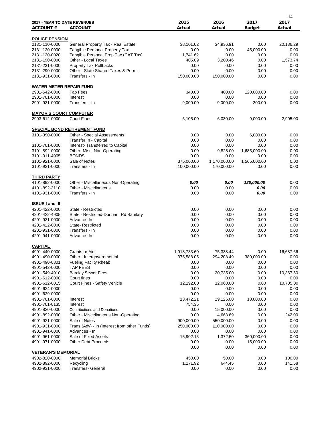| <b>2017 - YEAR TO DATE REVENUES</b><br><b>ACCOUNT#</b> | <b>ACCOUNT</b>                                                            | 2015<br>Actual | 2016<br>Actual    | 2017<br><b>Budget</b> | 14<br>2017<br>Actual |
|--------------------------------------------------------|---------------------------------------------------------------------------|----------------|-------------------|-----------------------|----------------------|
|                                                        |                                                                           |                |                   |                       |                      |
| <b>POLICE PENSION</b>                                  |                                                                           |                |                   |                       |                      |
| 2131-110-0000                                          | General Property Tax - Real Estate                                        | 38,101.02      | 34,936.91         | 0.00                  | 20,186.29            |
| 2131-120-0000                                          | Tangible Personal Property Tax                                            | 0.00           | 0.00              | 45,000.00             | 0.00                 |
| 2131-120-0020                                          | Tangible Personal Prop Tac (CAT Tax)                                      | 1,741.62       | 0.00              | 0.00                  | 0.00                 |
| 2131-190-0000                                          | Other - Local Taxes                                                       | 405.09         | 3,200.46          | 0.00                  | 1,573.74             |
| 2131-231-0000                                          | <b>Property Tax Rollbacks</b>                                             | 0.00           | 0.00              | 0.00                  | 0.00                 |
| 2131-290-0000                                          | Other - State Shared Taxes & Permit                                       | 0.00           | 0.00              | 0.00                  | 0.00                 |
| 2131-931-0000                                          | Transfers - In                                                            | 150,000.00     | 150,000.00        | 0.00                  | 0.00                 |
| <b>WATER METER REPAIR FUND</b>                         |                                                                           |                |                   |                       |                      |
| 2901-542-0000                                          | <b>Tap Fees</b>                                                           | 340.00         | 400.00            | 120,000.00            | 0.00                 |
| 2901-701-0000                                          | Interest                                                                  | 0.00           | 0.00              | 0.00                  | 0.00                 |
| 2901-931-0000                                          | Transfers - In                                                            | 9,000.00       | 9,000.00          | 200.00                | 0.00                 |
| <b>MAYOR'S COURT COMPUTER</b>                          |                                                                           |                |                   |                       |                      |
| 2903-612-0000                                          | <b>Court Fines</b>                                                        | 6,105.00       | 6.030.00          | 9,000.00              | 2,905.00             |
|                                                        |                                                                           |                |                   |                       |                      |
| 3101-390-0000                                          | <b>SPECIAL BOND RETIREMENT FUND</b><br>Other - Special Assessments        | 0.00           | 0.00              | 6,000.00              | 0.00                 |
|                                                        | Transfer In - Capital                                                     | 0.00           | 0.00              | 0.00                  | 0.00                 |
| 3101-701-0000                                          | Interest- Transferred to Capital                                          | 0.00           | 0.00              | 0.00                  | 0.00                 |
| 3101-892-0000                                          | Other- Misc. Non-Operating                                                | 0.00           | 9,828.00          | 1,685,000.00          | 0.00                 |
| 3101-911-4905                                          | <b>BONDS</b>                                                              | 0.00           | 0.00              | 0.00                  | 0.00                 |
| 3101-921-0000                                          | Sale of Notes                                                             | 375,000.00     | 1,170,000.00      | 1,565,000.00          | 0.00                 |
| 3101-931-0000                                          | Transfers - In                                                            | 100,000.00     | 170,000.00        | 0.00                  | 0.00                 |
| <b>THIRD PARTY</b>                                     |                                                                           |                |                   |                       |                      |
| 4101-892-0000                                          | Other - Miscellaneous Non-Operating                                       | 0.00           | 0.00              | 120,000.00            | 0.00                 |
| 4101-892-3110                                          | Other - Miscellaneous                                                     | 0.00           | 0.00              | 0.00                  | 0.00                 |
| 4101-931-0000                                          | Transfers - In                                                            | 0.00           | 0.00              | 0.00                  | 0.00                 |
|                                                        |                                                                           |                |                   |                       |                      |
| <b>ISSUE I and II</b>                                  |                                                                           |                |                   |                       |                      |
| 4201-422-0000                                          | State - Restricted                                                        | 0.00           | 0.00              | 0.00                  | 0.00                 |
| 4201-422-4905                                          | State - Restricted-Dunham Rd Sanitary                                     | 0.00           | 0.00              | 0.00                  | 0.00                 |
| 4201-931-0000                                          | Advance-In                                                                | 0.00           | 0.00              | 0.00                  | 0.00                 |
| 4201-422-0000                                          | <b>State-Restricted</b><br>Transfers - In                                 | 0.00           | 0.00              | 0.00                  | 0.00                 |
| 4201-931-0000                                          |                                                                           | 0.00           | 0.00              | 0.00                  | 0.00                 |
| 4201-941-0000                                          | Advance-In                                                                | 0.00           | 0.00              | 0.00                  | 0.00                 |
| <b>CAPITAL</b>                                         |                                                                           |                |                   |                       |                      |
| 4901-440-0000                                          | Grants or Aid                                                             | 1.918.733.60   | 75,338.44         | 0.00                  | 16,687.66            |
| 4901-490-0000                                          | Other - Intergovernmental                                                 | 375,588.05     | 294,208.49        | 380,000.00            | 0.00                 |
| 4901-490-0801                                          | <b>Fueling Facilty Rheab</b>                                              | 0.00           | 0.00              | 0.00                  | 0.00                 |
| 4901-542-0000                                          | <b>TAP FEES</b>                                                           | 0.00           | 0.00              | 0.00                  | 0.00                 |
| 4901-549-4910                                          | <b>Barclay Sewer Fees</b>                                                 | 0.00           | 20,735.00         | 0.00                  | 10,367.50            |
| 4901-612-0000                                          | Court fines<br>Court Fines - Safety Vehicle                               | 0.00           | 0.00<br>12,060.00 | 0.00<br>0.00          | 0.00<br>10,705.00    |
| 4901-612-0015                                          |                                                                           | 12,192.00      |                   | 0.00                  | 0.00                 |
| 4901-624-0000<br>4901-629-0000                         |                                                                           | 0.00<br>0.00   | 0.00<br>0.00      | 0.00                  | 0.00                 |
| 4901-701-0000                                          | Interest                                                                  | 13,472.21      | 19,125.00         | 18,000.00             | 0.00                 |
| 4901-701-0135                                          |                                                                           | 754.35         | 0.00              | 0.00                  | 0.00                 |
|                                                        | Interest                                                                  |                |                   |                       |                      |
| 4901-820-0000                                          | <b>Contributions and Donations</b><br>Other - Miscellaneous Non-Operating | 0.00<br>0.00   | 15,000.00         | 0.00                  | 0.00<br>242.00       |
| 4901-892-0000                                          |                                                                           |                | 4,663.69          | 0.00                  |                      |
| 4901-921-0000                                          | Sale of Notes                                                             | 900,000.00     | 550,000.00        | 0.00                  | 0.00                 |
| 4901-931-0000                                          | Trans (Adv) - In (Interest from other Funds)                              | 250,000.00     | 110,000.00        | 0.00                  | 0.00                 |
| 4901-941-0000                                          | Advances - In                                                             | 0.00           | 0.00              | 0.00                  | 0.00                 |
| 4901-961-0000                                          | Sale of Fixed Assets                                                      | 15,902.15      | 1,372.50          | 360,000.00            | 0.00                 |
| 4901-971-0000                                          | Other Debt Proceeds                                                       | 0.00<br>0.00   | 0.00<br>0.00      | 15,000.00<br>0.00     | 0.00<br>0.00         |
| <b>VETERAN'S MEMORIAL</b>                              |                                                                           |                |                   |                       |                      |
| 4902-820-0000                                          | <b>Memorial Bricks</b>                                                    | 450.00         | 50.00             | 0.00                  | 100.00               |
| 4902-892-0000                                          | Recycling                                                                 | 1,171.92       | 644.45            | 0.00                  | 141.58               |
| 4902-931-0000                                          | <b>Transfers- General</b>                                                 | 0.00           | 0.00              | 0.00                  | 0.00                 |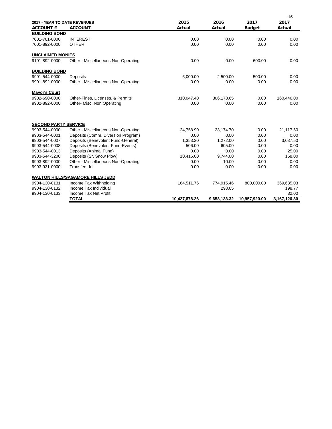|                                                 |                                         |                |                |                       | 15             |
|-------------------------------------------------|-----------------------------------------|----------------|----------------|-----------------------|----------------|
| 2017 - YEAR TO DATE REVENUES<br><b>ACCOUNT#</b> | <b>ACCOUNT</b>                          | 2015<br>Actual | 2016<br>Actual | 2017<br><b>Budget</b> | 2017<br>Actual |
| <b>BUILDING BOND</b>                            |                                         |                |                |                       |                |
| 7001-701-0000                                   | <b>INTEREST</b>                         | 0.00           | 0.00           | 0.00                  | 0.00           |
| 7001-892-0000                                   | <b>OTHER</b>                            | 0.00           | 0.00           | 0.00                  | 0.00           |
| <b>UNCLAIMED MONIES</b>                         |                                         |                |                |                       |                |
| 9101-892-0000                                   | Other - Miscellaneous Non-Operating     | 0.00           | 0.00           | 600.00                | 0.00           |
| <b>BUILDING BOND</b>                            |                                         |                |                |                       |                |
| 9901-544-0000                                   | Deposits                                | 6,000.00       | 2,500.00       | 500.00                | 0.00           |
| 9901-892-0000                                   | Other - Miscellaneous Non-Operating     | 0.00           | 0.00           | 0.00                  | 0.00           |
| <b>Mayor's Court</b>                            |                                         |                |                |                       |                |
| 9902-690-0000                                   | Other-Fines, Licenses, & Permits        | 310,047.40     | 306,178.65     | 0.00                  | 160,446.00     |
| 9902-892-0000                                   | Other- Misc. Non Operating              | 0.00           | 0.00           | 0.00                  | 0.00           |
| <b>SECOND PARTY SERVICE</b>                     |                                         |                |                |                       |                |
| 9903-544-0000                                   | Other - Miscellaneous Non-Operating     | 24,758.90      | 23,174.70      | 0.00                  | 21,117.50      |
| 9903-544-0001                                   | Deposits (Comm. Diversion Program)      | 0.00           | 0.00           | 0.00                  | 0.00           |
| 9903-544-0007                                   | Deposits (Benevolent Fund-General)      | 1,353.20       | 1,272.00       | 0.00                  | 3,037.50       |
| 9903-544-0008                                   | Deposits (Benevolent Fund-Events)       | 506.00         | 605.00         | 0.00                  | 0.00           |
| 9903-544-0013                                   | Deposits (Animal Fund)                  | 0.00           | 0.00           | 0.00                  | 25.00          |
| 9903-544-3200                                   | Deposits (Sr. Snow Plow)                | 10,416.00      | 9,744.00       | 0.00                  | 168.00         |
| 9903-892-0000                                   | Other - Miscellaneous Non-Operating     | 0.00           | 10.00          | 0.00                  | 0.00           |
| 9903-931-0000                                   | Transfers-In                            | 0.00           | 0.00           | 0.00                  | 0.00           |
|                                                 | <b>WALTON HILLS/SAGAMORE HILLS JEDD</b> |                |                |                       |                |
| 9904-130-0131                                   | Income Tax Withholding                  | 164,511.76     | 774,915.46     | 800,000.00            | 369,635.03     |
| 9904-130-0132                                   | Income Tax Individual                   |                | 298.65         |                       | 198.77         |
| 9904-130-0133                                   | Income Tax Net Profit                   |                |                |                       | 32.00          |
|                                                 | <b>TOTAL</b>                            | 10,427,878.26  | 9,658,133.32   | 10,957,920.00         | 3,167,120.30   |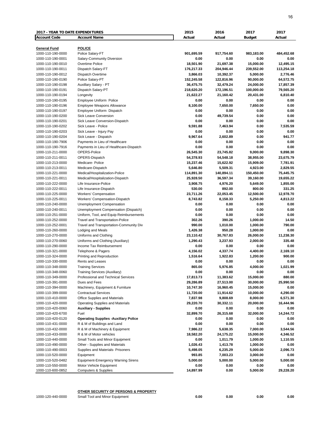| <b>2017 - YEAR TO DATE EXPENDITURES</b> |                                                                    | 2015                    | 2016                   | 2017                   | 2017                   |
|-----------------------------------------|--------------------------------------------------------------------|-------------------------|------------------------|------------------------|------------------------|
| <b>Account Code</b>                     | <b>Account Name</b>                                                | Actual                  | Actual                 | <b>Budget</b>          | Actual                 |
|                                         |                                                                    |                         |                        |                        |                        |
| General Fund                            | <b>POLICE</b>                                                      |                         |                        |                        |                        |
| 1000-110-190-0000                       | Police Salary-FT                                                   | 901,695.59              | 917,754.60             | 983,183.00             | 484,452.68             |
| 1000-110-190-0001                       | Salary-Community Diversion                                         | 0.00                    | 0.00                   | 0.00                   | 0.00                   |
| 1000-110-190-0010                       | Overtime Police                                                    | 18,501.90               | 21,697.38              | 15.000.00              | 12,495.15              |
| 1000-110-190-0011                       | Dispatch Salary-FT                                                 | 176,217.33              | 204,946.44             | 239,552.00             | 113,254.18             |
| 1000-110-190-0012                       | Dispatch Overtime                                                  | 3,866.03                | 10,392.37              | 5,000.00               | 2,776.46               |
| 1000-110-190-0190                       | Police Salary-PT                                                   | 152,245.58              | 122,816.96             | 90,000.00              | 64,572.75              |
| 1000-110-190-0198                       | Auxillary Salary - PT                                              | 36,475.75               | 32,479.24              | 24,000.00              | 17,857.39              |
| 1000-110-190-0191                       | Dispatch Salary-PT                                                 | 218,620.20              | 172,196.51             | 100,000.00             | 79,565.20              |
| 1000-110-190-0194                       | Longevity                                                          | 21,622.27               | 21,160.42              | 20,431.00              | 6,810.40               |
| 1000-110-190-0195                       | Employee Uniform Police                                            | 0.00                    | 0.00                   | 0.00                   | 0.00                   |
| 1000-110-190-0196                       | <b>Employee Weapons Allowance</b>                                  | 8,100.00                | 7,650.00               | 7,650.00               | 0.00                   |
| 1000-110-190-0197                       | Employee Uniform Dispatch                                          | 0.00                    | 0.00                   | 0.00                   | 0.00                   |
| 1000-110-190-0200                       | Sick Leave Conversion                                              | 0.00<br>0.00            | 49,739.54              | 0.00<br>0.00           | 0.00                   |
| 1000-110-190-0201                       | Sick Leave Conversion-Dispatch                                     |                         | 0.00                   |                        | 0.00                   |
| 1000-110-190-0202                       | Sick Leave - Police                                                | 9,591.88                | 7,463.94               | 0.00                   | 7,535.59               |
| 1000-110-190-0203                       | Sick Leave - Injury Pay                                            | 0.00                    | 0.00                   | 0.00<br>0.00           | 0.00<br>941.77         |
| 1000-110-190-0204                       | Sick Leave - Dispatch<br>Payments in Lieu of Healthcare            | 9,967.64                | 2,602.89<br>0.00       |                        |                        |
| 1000-110-190-7906                       | Payments in Lieu of Healthcare-Dispatch                            | 0.00<br>0.00            | 0.00                   | 0.00<br>0.00           | 0.00<br>0.00           |
| 1000-110-190-7916<br>1000-110-211-0000  |                                                                    | 26,545.30               |                        |                        |                        |
| 1000-110-211-0011                       | OPERS-Police<br>OPERS-Dispatch                                     | 54,378.93               | 23,745.82              | 9,000.00               | 9,898.30               |
| 1000-110-213-0000                       | Medicare-Police                                                    | 15,237.46               | 54,548.18<br>15,622.92 | 38,955.00<br>15,909.00 | 23,675.79<br>7,781.91  |
|                                         |                                                                    | 5,646.80                |                        |                        |                        |
| 1000-110-213-0011                       | Medicare-Dispatch                                                  |                         | 5,509.31<br>140,894.11 | 4,923.00<br>150,450.00 | 2,829.55               |
| 1000-110-221-0000<br>1000-110-221-0011  | Medical/Hospitalization-Police<br>Medical/Hospitalization-Dispatch | 114,891.30<br>25,928.50 | 36,597.34              | 39,160.00              | 75,445.75<br>19,655.22 |
| 1000-110-222-0000                       | Life Insurance-Police                                              |                         |                        |                        |                        |
| 1000-110-222-0011                       | Life Insurance-Dispatch                                            | 3,908.75<br>530.00      | 4,976.20<br>892.00     | 5,649.00<br>800.00     | 1,855.00<br>331.25     |
| 1000-110-225-0000                       | Workers' Compensation                                              | 23,711.26               | 22,053.45              | 12,500.00              | 12,978.70              |
| 1000-110-225-0011                       | Workers' Compensation-Dispatch                                     | 8,743.82                | 8,158.33               | 5,250.00               | 4,813.22               |
| 1000-110-240-0000                       | Unemployment Compensation                                          | 0.00                    | 0.00                   | 0.00                   | 0.00                   |
| 1000-110-240-0011                       | Unemployment Compensation (Dispatch)                               | 0.00                    | 0.00                   | 0.00                   | 0.00                   |
| 1000-110-251-0000                       | Uniform, Tool, and Equip Reimbursements                            | 0.00                    | 0.00                   | 0.00                   | 0.00                   |
| 1000-110-252-0000                       | Travel and Transportation-Police                                   | 302.26                  | 390.26                 | 1,000.00               | 14.50                  |
| 1000-110-252-0001                       | Travel and Transportation-Community Div                            | 990.00                  | 1,010.00               | 1,000.00               | 790.00                 |
| 1000-110-260-0000                       | Lodging and Meals                                                  | 1,426.38                | 950.28                 | 1,000.00               | 0.00                   |
| 1000-110-270-0000                       | Uniforms and Clothing                                              | 23,110.42               | 30,767.83              | 26,000.00              | 11,238.30              |
| 1000-110-270-0060                       | Uniforms and Clothing (Auxiliary)                                  | 1,290.43                | 3,237.93               | 2,000.00               | 335.48                 |
| 1000-110-290-0000                       | Income Tax Reimbursement                                           | 0.00                    | 0.00                   | 0.00                   | 0.00                   |
| 1000-110-321-0000                       | Telephone & Pagers                                                 | 4,156.02                | 4,337.74               | 4,400.00               | 2,169.10               |
| 1000-110-324-0000                       | Printing and Reproduction                                          | 1,516.64                | 1,922.83               | 1,200.00               | 900.00                 |
| 1000-110-330-0000                       | Rents and Leases                                                   | 0.00                    | 0.00                   | 0.00                   | 0.00                   |
| 1000-110-348-0000                       | <b>Training Services</b>                                           | 865.00                  | 5,976.85               | 4,000.00               | 1,021.99               |
| 1000-110-348-0060                       | Training Services (Auxiliary)                                      | 0.00                    | 0.00                   | 0.00                   | 0.00                   |
| 1000-110-349-0000                       | Professional and Technical Services                                | 17,813.73               | 11,383.62              | 15,000.00              | 880.00                 |
| 1000-110-391-0000                       | Dues and Fees                                                      | 29,286.89               | 27,513.00              | 30,000.00              | 25,990.50              |
| 1000-110-394-0000                       | Machinery, Equipment & Furniture                                   | 10,747.30               | 16,960.45              | 15,000.00              | 0.00                   |
| 1000-110-399-0000                       | <b>Contractual Services</b>                                        | 11,720.00               | 11,914.62              | 10,000.00              | 4,290.00               |
| 1000-110-410-0000                       | Office Supplies and Materials                                      | 7,837.98                | 9,808.69               | 8,000.00               | 6,571.30               |
| 1000-110-420-0000                       | <b>Operating Supplies and Materials</b>                            | 29,220.70               | 30,332.11              | 20,000.00              | 16,444.96              |
| 1000-110-420-0060                       | <b>Auxiliary - Supplies</b>                                        | 0.00                    | 0.00                   | 0.00                   | 0.00                   |
| 1000-110-420-6700                       | Fuel                                                               | 32,899.70               | 26,315.68              | 32,000.00              | 14,244.72              |
| 1000-110-420-0120                       | <b>Operating Supplies - Auxiliary Police</b>                       | 0.00                    | 0.00                   | 0.00                   | 0.00                   |
| 1000-110-431-0000                       | R & M of Buildings and Land                                        | 0.00                    | 0.00                   | 0.00                   | 0.00                   |
| 1000-110-432-0000                       | R & M of Machinery & Equipment                                     | 7,986.22                | 5,638.35               | 7,000.00               | 3,544.56               |
| 1000-110-433-0000                       | R & M of Motor vehicles                                            | 18,582.20               | 24,175.22              | 15,000.00              | 4,346.52               |
| 1000-110-440-0000                       | Small Tools and Minor Equipment                                    | 0.00                    | 1,011.79               | 1,000.00               | 1,110.55               |
| 1000-110-490-0000                       | Other - Supplies and Materials                                     | 1,026.43                | 1,413.78               | 1,000.00               | 0.00                   |
| 1000-110-490-0003                       | Supplies and Materials- Prisoners                                  | 5,498.05                | 6,235.29               | 5,000.00               | 2,096.73               |
| 1000-110-520-0000                       | Equipment                                                          | 993.85                  | 7,003.23               | 3,000.00               | 0.00                   |
| 1000-110-520-0482                       | <b>Equipment-Emergency Warning Sirens</b>                          | 5,000.00                | 5,000.00               | 5,000.00               | 5,000.00               |
| 1000-110-550-0000                       | Motor Vehicle Equipment                                            | 0.00                    | 0.00                   | 0.00                   | 0.00                   |
| 1000-110-600-0852                       | <b>Computers &amp; Supplies</b>                                    | 14,897.99               | 0.00                   | 5,000.00               | 29,228.20              |
|                                         |                                                                    |                         |                        |                        |                        |

**OTHER SECURITY OF PERSONS & PROPERTY**

1000-120-440-0000 Small Tool and Minor Equipment **0.00 0.00 0.00 0.00**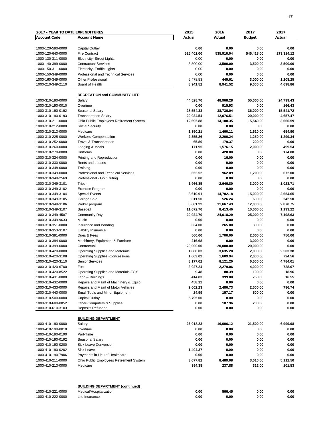| 2017 - YEAR TO DATE EXPENDITURES       |                                                                        | 2015       | 2016       | 2017               | 2017       |
|----------------------------------------|------------------------------------------------------------------------|------------|------------|--------------------|------------|
| <b>Account Code</b>                    | <b>Account Name</b>                                                    | Actual     | Actual     | <b>Budget</b>      | Actual     |
|                                        |                                                                        |            |            |                    |            |
| 1000-120-590-0000                      | Capital Outlay                                                         | 0.00       | 0.00       | 0.00               | 0.00       |
| 1000-120-640-0000                      | <b>Fire Contract</b>                                                   | 525,402.00 | 535,910.04 | 546,418.00         | 273,314.12 |
| 1000-130-311-0000                      | <b>Electricity- Street Lights</b>                                      | 0.00       | 0.00       | 0.00               | 0.00       |
| 1000-140-399-0000                      | <b>Contractual Services</b>                                            | 3,500.00   | 3,500.00   | 3,500.00           | 3,500.00   |
| 1000-150-311-0000                      | <b>Electricity- Traffic Lights</b>                                     | 0.00       | 0.00       | 0.00               | 0.00       |
| 1000-150-349-0000                      | <b>Professional and Technical Services</b>                             | 0.00       | 0.00       | 0.00               | 0.00       |
| 1000-160-349-0000                      | <b>Other Professional</b>                                              | 6,478.53   | 449.61     | 3,000.00           | 1,208.25   |
| 1000-210-349-2110                      | Board of Health                                                        | 8,941.52   | 8,941.52   | 9,000.00           | 4,698.86   |
|                                        |                                                                        |            |            |                    |            |
|                                        | <b>RECREATION and COMMUNITY LIFE</b>                                   |            |            |                    |            |
| 1000-310-190-0000                      | Salary                                                                 | 44,528.70  | 48,968.28  | 55,000.00          | 24,799.43  |
| 1000-310-190-0010                      | Overtime                                                               | 0.00       | 915.93     | 0.00               | 166.43     |
| 1000-310-190-0192                      | Seasonal Salary                                                        | 28,554.33  | 38,736.04  | 36,000.00          | 15,541.72  |
| 1000-310-190-0193                      | <b>Transportation Salary</b>                                           | 20,034.54  | 12,076.51  | 20,000.00          | 4,657.47   |
| 1000-310-211-0000                      | Ohio Public Employees Retirement System                                | 12,695.88  | 14,100.35  | 15,540.00          | 3,666.59   |
| 1000-310-212-0000                      | <b>Social Security</b>                                                 | 0.00       | 0.00       | 0.00               | 0.00       |
| 1000-310-213-0000                      | Medicare                                                               | 1,350.21   | 1,460.11   | 1,610.00           | 654.90     |
| 1000-310-225-0000                      | <b>Workers' Compensation</b>                                           | 2,355.26   | 2,200.24   | 1,250.00           | 1,299.34   |
| 1000-310-252-0000                      | Travel & Transportation                                                | 65.80      | 179.37     | 200.00             | 0.00       |
| 1000-310-260-0000                      | Lodging & Meals                                                        | 171.95     | 1,576.15   | 2,000.00           | 499.54     |
| 1000-310-270-0000                      | Uniforms                                                               | 0.00       | 420.00     | 0.00               | 174.00     |
| 1000-310-324-0000                      | Printing and Reproduction                                              | 0.00       | 16.00      | 0.00               | 0.00       |
| 1000-310-330-0000                      | Rents and Leases                                                       | 0.00       | 0.00       | 0.00               | 0.00       |
| 1000-310-348-0000                      | Training                                                               | 0.00       | 0.00       | 0.00               | 0.00       |
| 1000-310-349-0000                      | <b>Professional and Technical Services</b>                             | 652.52     | 962.09     | 1,200.00           | 672.00     |
| 1000-310-349-2569                      | Professional - Golf Outing                                             | 0.00       | 0.00       | 0.00               | 0.00       |
| 1000-310-349-3101                      | Trips                                                                  | 1,966.85   | 2,646.80   | 3,000.00           | 1,023.71   |
| 1000-310-349-3102                      | Exercise Program                                                       | 0.00       | 0.00       | 0.00               | 0.00       |
| 1000-310-349-3104                      | <b>Special Events</b>                                                  | 8,610.91   | 14,782.18  | 15,000.00          | 2,654.65   |
| 1000-310-349-3105                      | Garage Sale                                                            | 311.50     | 526.24     | 600.00             | 242.50     |
| 1000-310-349-3106                      | Parker program                                                         | 8,681.22   | 11,667.43  | 12,000.00          | 2,870.75   |
| 1000-310-349-3107                      | Baseball                                                               | 11,072.70  | 8,413.46   | 10,000.00          | 1,193.22   |
| 1000-310-349-4587                      | Community Day                                                          | 20,924.70  | 24,018.29  | 25,000.00          | 7,198.63   |
| 1000-310-349-9633                      | Music                                                                  | 0.00       | 0.00       | 0.00               | 0.00       |
| 1000-310-351-0000                      | Insurance and Bonding                                                  | 334.00     | 265.00     | 300.00             | 0.00       |
| 1000-310-353-3107                      | Liability Insurance                                                    | 0.00       | 0.00       | 0.00               | 0.00       |
| 1000-310-391-0000                      | Dues & Fees                                                            | 560.00     | 1,700.00   | 2,000.00           | 750.00     |
| 1000-310-394-0000                      | Machinery, Equipment & Furniture                                       | 216.68     | 0.00       | 3,000.00           | 0.00       |
| 1000-310-399-0000                      | Contractual                                                            | 20,000.00  | 20,000.00  | 20,000.00          | 0.00       |
| 1000-310-420-0000                      | <b>Operating Supplies and Materials</b>                                | 1,866.03   | 3,635.20   | 2,000.00           | 2,503.38   |
| 1000-310-420-3108                      | <b>Operating Supplies -Concessions</b>                                 | 1,663.02   | 1,609.94   | 2,000.00           | 724.56     |
| 1000-310-420-3110                      | <b>Senior Services</b>                                                 | 8,177.02   | 8,121.20   | 6,500.00           | 4,784.01   |
| 1000-310-420-6700                      | Fuel                                                                   | 3,027.24   | 2,279.06   | 4,000.00           | 728.07     |
| 1000-310-420-8522                      |                                                                        | 9.48       | 80.39      | 100.00             | 18.96      |
|                                        | Operating Supplies and Materials-TGY<br>Land & Buildings               | 414.83     | 399.00     | 750.00             | 16.55      |
| 1000-310-431-0000<br>1000-310-432-0000 | Repairs and Maint of Machinery & Equip                                 | 458.12     | 0.00       | 0.00               | 0.00       |
|                                        |                                                                        | 2,002.23   |            |                    | 796.74     |
| 1000-310-433-0000                      | Repairs and Maint of Motor Vehicles<br>Small Tools and Minor Equipment |            | 2,486.73   | 2,500.00<br>500.00 |            |
| 1000-310-440-0000                      |                                                                        | 24.99      | 157.17     |                    | 0.00       |
| 1000-310-500-0000                      | Capital Outlay                                                         | 5,795.00   | 0.00       | 0.00               | 0.00       |
| 1000-310-600-0852                      | Other-Computers & Supplies                                             | 0.00       | 187.96     | 200.00             | 0.00       |
| 1000-310-610-3103                      | Deposits Refunded                                                      | 0.00       | 0.00       | 0.00               | 0.00       |
|                                        |                                                                        |            |            |                    |            |
|                                        | <b>BUILDING DEPARTMENT</b>                                             |            |            |                    |            |
| 1000-410-190-0000                      | Salary                                                                 | 26,018.23  | 16,006.12  | 21,500.00          | 6,999.98   |
| 1000-410-190-0010                      | Overtime                                                               | 0.00       | 0.00       | 0.00               | 0.00       |
| 1000-410-190-0190                      | Part-Time                                                              | 0.00       | 0.00       | 0.00               | 0.00       |
| 1000-410-190-0192                      | Seasonal Salary                                                        | 0.00       | 0.00       | 0.00               | 0.00       |
| 1000-410-190-0200                      | <b>Sick Leave Conversion</b>                                           | 0.00       | 0.00       | 0.00               | 0.00       |
| 1000-410-190-0202                      | Sick Leave                                                             | 1,404.37   | 0.00       | 0.00               | 0.00       |
| 1000-410-190-7906                      | Payments in Lieu of Healthcare                                         | 0.00       | 0.00       | 0.00               | 0.00       |
| 1000-410-211-0000                      | Ohio Public Employees Retirement System                                | 3,677.82   | 8,489.08   | 3,010.00           | 5,112.50   |
| 1000-410-213-0000                      | Medicare                                                               | 394.38     | 237.88     | 312.00             | 101.53     |
|                                        |                                                                        |            |            |                    |            |
|                                        | <b>BUILDING DEPARTMENT (continued)</b>                                 |            |            |                    |            |
| 1000-410-221-0000                      | Medical/Hospitalization                                                | 0.00       | 566.45     | 0.00               | 0.00       |
| 1000-410-222-0000                      | Life Insurance                                                         | 0.00       | 0.00       | 0.00               | 0.00       |
|                                        |                                                                        |            |            |                    |            |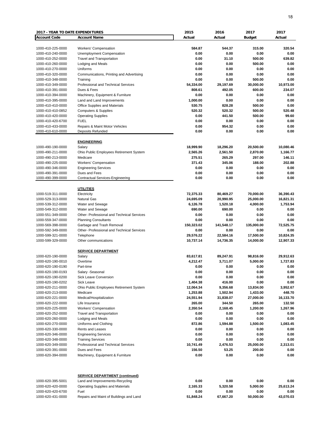| <b>2017 - YEAR TO DATE EXPENDITURES</b> |                                            | 2015       | 2016             | 2017          | 2017      |
|-----------------------------------------|--------------------------------------------|------------|------------------|---------------|-----------|
| <b>Account Code</b>                     | <b>Account Name</b>                        | Actual     | Actual           | <b>Budget</b> | Actual    |
|                                         |                                            |            |                  |               |           |
| 1000-410-225-0000                       | <b>Workers' Compensation</b>               | 584.87     | 544.37           | 315.00        | 320.54    |
| 1000-410-240-0000                       | Unemployment Compensation                  | 0.00       | 0.00             | 0.00          | 0.00      |
| 1000-410-252-0000                       | <b>Travel and Transportation</b>           | 0.00       | 31.10            | 500.00        | 639.82    |
| 1000-410-260-0000                       | Lodging and Meals                          | 0.00       | 0.00             | 500.00        | 0.00      |
| 1000-410-270-0000                       | Uniforms                                   | 0.00       | 0.00             | 0.00          | 0.00      |
| 1000-410-320-0000                       | Communications, Printing and Advertising   | 0.00       | 0.00             | 0.00          | 0.00      |
| 1000-410-348-0000                       | Training                                   | 0.00       | 0.00             | 500.00        | 0.00      |
| 1000-410-349-0000                       | Professional and Technical Services        | 54,334.00  | 29,197.69        | 30,000.00     | 10,973.00 |
| 1000-410-391-0000                       | Dues & Fees                                | 808.61     | 492.05           | 600.00        | 234.07    |
| 1000-410-394-0000                       | Machinery, Equipment & Furniture           | 0.00       | 0.00             | 0.00          | 0.00      |
| 1000-410-395-0000                       | Land and Land Improvements                 | 1,000.00   | 0.00             | 0.00          | 0.00      |
| 1000-410-410-0000                       |                                            | 530.75     |                  | 500.00        | 0.00      |
|                                         | Office Supplies and Materials              | 520.32     | 828.28<br>520.32 |               | 520.48    |
| 1000-410-410-0852                       | <b>Computers &amp; Supplies</b>            |            |                  | 500.00        |           |
| 1000-410-420-0000                       | <b>Operating Supplies</b>                  | 0.00       | 441.50           | 500.00        | 99.60     |
| 1000-410-420-6700                       | <b>FUEL</b>                                | 0.00       | 0.00             | 0.00          | 0.00      |
| 1000-410-433-0000                       | Repairs & Maint Motor Vehicles             | 0.00       | 954.32           | 0.00          | 0.00      |
| 1000-410-610-0000                       | <b>Deposits Refunded</b>                   | 0.00       | 0.00             | 0.00          | 0.00      |
|                                         |                                            |            |                  |               |           |
|                                         | <b>ENGINEERING</b>                         |            |                  |               |           |
| 1000-490-190-0000                       | Salary                                     | 18,999.90  | 18,296.20        | 20,500.00     | 10,080.46 |
| 1000-490-211-0000                       | Ohio Public Employees Retirement System    | 2,565.26   | 2,561.50         | 2,870.00      | 1,166.77  |
| 1000-490-213-0000                       | Medicare                                   | 275.51     | 265.29           | 297.00        | 146.11    |
| 1000-490-225-0000                       | Workers' Compensation                      | 371.43     | 345.06           | 188.00        | 202.88    |
| 1000-490-346-0000                       | <b>Engineering Services</b>                | 0.00       | 0.00             | 0.00          | 0.00      |
| 1000-490-391-0000                       | Dues and Fees                              | 0.00       | 0.00             | 0.00          | 0.00      |
| 1000-490-399-0000                       | <b>Contractual Services-Engineering</b>    | 0.00       | 0.00             | 0.00          | 0.00      |
|                                         |                                            |            |                  |               |           |
|                                         | <b>UTILITIES</b>                           |            |                  |               |           |
| 1000-519-311-0000                       | Electricity                                | 72,375.33  | 80,469.27        | 70,000.00     | 36,390.43 |
| 1000-529-313-0000                       | <b>Natural Gas</b>                         | 24,695.09  | 20,990.95        | 25,000.00     | 16,821.31 |
| 1000-539-312-0000                       | Water and Sewage                           | 6,126.78   | 1,520.18         | 4,000.00      | 1,753.94  |
| 1000-549-312-0000                       | Water and Sewage                           | 690.00     | 690.00           | 0.00          | 0.00      |
| 1000-551-349-0000                       | Other- Professional and Technical Services | 0.00       | 0.00             | 0.00          | 0.00      |
| 1000-559-347-0000                       | <b>Planning Consultants</b>                | 0.00       | 0.00             | 0.00          | 0.00      |
| 1000-569-398-0000                       | Garbage and Trash Removal                  | 150,323.02 | 141,548.17       | 135,000.00    | 72,525.75 |
|                                         |                                            |            |                  |               |           |
| 1000-592-349-0000                       | Other- Professional and Technical Services | 0.00       | 0.00             | 0.00          | 0.00      |
| 1000-599-321-0000                       | Telephone                                  | 29,576.22  | 22,584.16        | 17,500.00     | 10,824.35 |
| 1000-599-329-0000                       | Other communications                       | 10,737.14  | 14,736.35        | 14,000.00     | 12,907.33 |
|                                         |                                            |            |                  |               |           |
|                                         | <b>SERVICE DEPARTMENT</b>                  |            |                  |               |           |
| 1000-620-190-0000                       | Salary                                     | 83,617.81  | 89,247.91        | 98,816.00     | 29,912.63 |
| 1000-620-190-0010                       | Overtime                                   | 4,212.47   | 3,711.07         | 5,000.00      | 1,727.83  |
| 1000-620-190-0190                       | Part-time                                  | 0.00       | 0.00             | 0.00          | 0.00      |
| 1000-620-190-0193                       | Salary -Seasonal                           | 0.00       | 0.00             | 0.00          | 0.00      |
| 1000-620-190-0200                       | Sick Leave Conversion                      | 0.00       | 0.00             | 0.00          | 0.00      |
| 1000-620-190-0202                       | Sick Leave                                 | 1,404.38   | 416.00           | 0.00          | 0.00      |
| 1000-620-211-0000                       | Ohio Public Employees Retirement System    | 12,064.34  | 9,356.68         | 13,834.00     | 3,952.67  |
| 1000-620-213-0000                       | Medicare                                   | 1,253.88   | 1,502.94         | 1,433.00      | 448.70    |
| 1000-620-221-0000                       | Medical/Hospitalization                    | 24,551.94  | 31,838.07        | 27,000.00     | 16,133.70 |
| 1000-620-222-0000                       | Life Insurance                             | 265.00     | 344.50           | 265.00        | 132.50    |
| 1000-620-225-0000                       | <b>Workers' Compensation</b>               | 2,350.54   | 2,168.45         | 1,200.00      | 1,267.96  |
| 1000-620-252-0000                       | <b>Travel and Transportation</b>           | 0.00       | 0.00             | 0.00          | 0.00      |
| 1000-620-260-0000                       | Lodging and Meals                          | 0.00       | 0.00             | 0.00          | 0.00      |
| 1000-620-270-0000                       | Uniforms and Clothing                      | 872.86     | 1,594.88         | 1,500.00      | 1,083.45  |
| 1000-620-330-0000                       | Rents and Leases                           | 0.00       | 0.00             | 0.00          | 0.00      |
| 1000-620-346-0000                       | <b>Engineering Services</b>                | 0.00       | 0.00             | 0.00          | 0.00      |
| 1000-620-348-0000                       | <b>Training Services</b>                   | 0.00       | 0.00             | 0.00          | 0.00      |
| 1000-620-349-0000                       | Professional and Technical Services        | 10,741.49  | 2,476.53         | 25,000.00     | 2,313.01  |
|                                         | Dues and Fees                              | 156.50     | 53.25            | 200.00        | 0.00      |
| 1000-620-391-0000                       |                                            | 0.00       |                  |               | 0.00      |
| 1000-620-394-0000                       | Machinery, Equipment & Furniture           |            | 0.00             | 0.00          |           |
|                                         | <b>SERVICE DEPARTMENT (continued)</b>      |            |                  |               |           |
| 1000-620-395-5001                       | Land and Improvements-Recycling            | 0.00       | 0.00             | 0.00          | 0.00      |
| 1000-620-420-0000                       | <b>Operating Supplies and Materials</b>    | 2,165.33   | 5,320.58         | 5,000.00      | 25,613.24 |
| 1000-620-420-6700                       | Fuel                                       | 0.00       | 0.00             | 0.00          | 0.00      |
| 1000-620-431-0000                       | Repairs and Maint of Buildings and Land    | 51,848.24  | 67,667.20        | 50,000.00     | 43,070.03 |
|                                         |                                            |            |                  |               |           |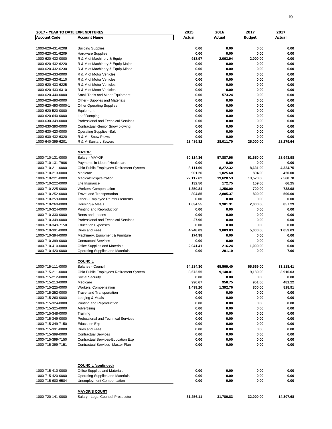| <b>2017 - YEAR TO DATE EXPENDITURES</b> |                                                                   | 2015             | 2016         | 2017          | 2017         |
|-----------------------------------------|-------------------------------------------------------------------|------------------|--------------|---------------|--------------|
| <b>Account Code</b>                     | <b>Account Name</b>                                               | Actual           | Actual       | <b>Budget</b> | Actual       |
|                                         |                                                                   |                  |              |               |              |
| 1000-620-431-6208                       | <b>Building Supplies</b>                                          | 0.00             | 0.00         | 0.00          | 0.00         |
| 1000-620-431-6209                       | <b>Hardware Supplies</b>                                          | 0.00             | 0.00         | 0.00          | 0.00         |
| 1000-620-432-0000                       | R & M of Machinery & Equip                                        | 918.97           | 2,063.94     | 2.000.00      | 0.00         |
| 1000-620-432-6220                       | R & M of Machinery & Equip-Major                                  | 0.00             | 0.00         | 0.00          | 0.00         |
| 1000-620-432-6230                       | R & M of Machinery & Equip-Minor                                  | 0.00             | 0.00         | 0.00          | 0.00         |
| 1000-620-433-0000                       | R & M of Motor Vehicles                                           | 0.00             | 0.00         | 0.00          | 0.00         |
| 1000-620-433-6110                       | R & M of Motor Vehicles                                           | 0.00             | 0.00<br>0.00 | 0.00<br>0.00  | 0.00         |
| 1000-620-433-6225<br>1000-620-433-6310  | R & M of Motor Vehicles<br>R & M of Motor Vehicles                | 0.00<br>0.00     | 0.00         | 0.00          | 0.00<br>0.00 |
| 1000-620-440-0000                       | Small Tools and Minor Equipment                                   | 0.00             | 573.24       | 0.00          | 0.00         |
| 1000-620-490-0000                       | Other - Supplies and Materials                                    | 0.00             | 0.00         | 0.00          | 0.00         |
| 1000-620-490-0000-1                     | <b>Other Operating Supplies</b>                                   | 0.00             | 0.00         | 0.00          | 0.00         |
| 1000-620-520-0000                       | Equipment                                                         | 0.00             | 0.00         | 0.00          | 0.00         |
| 1000-620-640-0000                       | Leaf Dumping                                                      | 0.00             | 0.00         | 0.00          | 0.00         |
| 1000-630-349-0000                       | Professional and Technical Services                               | 0.00             | 0.00         | 0.00          | 0.00         |
| 1000-630-390-0000                       | Contractual -Senior Snow plowing                                  | 0.00             | 0.00         | 0.00          | 0.00         |
| 1000-630-420-0000                       | <b>Operating Supplies -Salt</b>                                   | 0.00             | 0.00         | 0.00          | 0.00         |
| 1000-630-432-6320                       | R & M - Snow Plows                                                | 0.00             | 0.00         | 0.00          | 0.00         |
| 1000-640-399-6201                       | R & M-Sanitary Sewers                                             | 28,489.82        | 28,011.70    | 25,000.00     | 28,279.64    |
|                                         |                                                                   |                  |              |               |              |
|                                         | <b>MAYOR</b>                                                      |                  |              |               |              |
| 1000-710-131-0000                       | Salary - MAYOR                                                    | 60,114.36        | 57,887.96    | 61,650.00     | 28,943.98    |
| 1000-710-131-7906                       | Payments in Lieu of Healthcare                                    | 0.00             | 0.00         | 0.00          | 0.00         |
| 1000-710-211-0000                       | Ohio Public Employees Retirement System                           | 8,111.69         | 8,272.32     | 8,631.00      | 4,324.75     |
| 1000-710-213-0000                       | Medicare                                                          | 901.26           | 1,025.60     | 894.00        | 420.00       |
| 1000-710-221-0000                       | Medical/Hospitalization                                           | 22,117.62        | 19,628.53    | 13,570.00     | 7,568.70     |
| 1000-710-222-0000                       | Life Insurance                                                    | 132.50           | 172.75       | 159.00        | 66.25        |
| 1000-710-225-0000                       | <b>Workers' Compensation</b>                                      | 1,350.84         | 1,256.00     | 700.00        | 738.98       |
| 1000-710-252-0000                       | <b>Travel and Transportation</b>                                  | 804.85           | 2,805.37     | 800.00        | 500.00       |
| 1000-710-259-0000                       | Other - Employee Reimbursements                                   | 0.00             | 0.00         | 0.00          | 0.00         |
| 1000-710-260-0000                       | Housing & Meals                                                   | 1,034.55         | 3,901.31     | 2,000.00      | 857.29       |
| 1000-710-324-0000                       | Printing and Reproduction                                         | 0.00             | 0.00         | 0.00          | 0.00         |
| 1000-710-330-0000                       | Rents and Leases                                                  | 0.00             | 0.00         | 0.00          | 0.00         |
| 1000-710-349-0000                       | Professional and Technical Services                               | 27.96            | 0.00         | 0.00          | 0.00         |
| 1000-710-349-7150                       | <b>Education Expenses</b>                                         | 0.00             | 0.00         | 0.00          | 0.00         |
| 1000-710-391-0000                       | Dues and Fees                                                     | 4,248.03         | 3,803.03     | 5,000.00      | 1,053.03     |
| 1000-710-394-0000<br>1000-710-399-0000  | Machinery, Equipment & Furniture                                  | 174.98<br>0.00   | 0.00<br>0.00 | 0.00<br>0.00  | 0.00         |
| 1000-710-410-0000                       | <b>Contractual Services</b>                                       |                  | 216.24       | 1,000.00      | 0.00<br>0.00 |
| 1000-710-420-0000                       | Office Supplies and Materials<br>Operating Supplies and Materials | 2,041.41<br>0.00 | 201.10       | 0.00          | 7.96         |
|                                         |                                                                   |                  |              |               |              |
|                                         | <b>COUNCIL</b>                                                    |                  |              |               |              |
| 1000-715-111-0000                       | Salaries - Council                                                | 64,284.30        | 65,569.40    | 65,569.00     | 33,118.41    |
| 1000-715-211-0000                       | Ohio Public Employees Retirement System                           | 8,672.55         | 9,140.01     | 9,180.00      | 3,916.03     |
| 1000-715-212-0000                       | Social Security                                                   | 0.00             | 0.00         | 0.00          | 0.00         |
| 1000-715-213-0000                       | Medicare                                                          | 996.67           | 950.75       | 951.00        | 481.22       |
| 1000-715-225-0000                       | <b>Workers' Compensation</b>                                      | 1,499.20         | 1,392.76     | 800.00        | 818.91       |
| 1000-715-252-0000                       | Travel and Transportation                                         | 0.00             | 0.00         | 0.00          | 0.00         |
| 1000-715-260-0000                       | Lodging & Meals                                                   | 0.00             | 0.00         | 0.00          | 0.00         |
| 1000-715-324-0000                       | Printing and Reproduction                                         | 0.00             | 0.00         | 0.00          | 0.00         |
| 1000-715-325-0000                       | Advertising                                                       | 0.00             | 0.00         | 0.00          | 0.00         |
| 1000-715-348-0000                       | Training                                                          | 0.00             | 0.00         | 0.00          | 0.00         |
| 1000-715-349-0000                       | Professional and Technical Services                               | 0.00             | 0.00         | 0.00          | 0.00         |
| 1000-715-349-7150                       | <b>Education Exp</b>                                              | 0.00             | 0.00         | 0.00          | 0.00         |
| 1000-715-391-0000                       | Dues and Fees                                                     | 0.00             | 0.00         | 0.00          | 0.00         |
| 1000-715-399-0000                       | <b>Contractual Services</b>                                       | 0.00             | 0.00         | 0.00          | 0.00         |
| 1000-715-399-7150                       | Contractual Services-Education Exp                                | 0.00             | 0.00         | 0.00          | 0.00         |
| 1000-715-399-7151                       | Contractual Services- Master Plan                                 | 0.00             | 0.00         | 0.00          | 0.00         |
|                                         | <b>COUNCIL (continued)</b>                                        |                  |              |               |              |
| 1000-715-410-0000                       | Office Supplies and Materials                                     | 0.00             | 0.00         | 0.00          | 0.00         |
| 1000-715-420-0000                       | <b>Operating Supplies and Materials</b>                           | 0.00             | 0.00         | 0.00          | 0.00         |
| 1000-715-600-6584                       | Unemployment Compensation                                         | 0.00             | 0.00         | 0.00          | 0.00         |
|                                         | <b>MAYOR'S COURT</b>                                              |                  |              |               |              |
| 1000-720-141-0000                       | Salary - Legal Counsel-Prosecutor                                 | 31,256.11        | 31,780.83    | 32,000.00     | 14,307.68    |
|                                         |                                                                   |                  |              |               |              |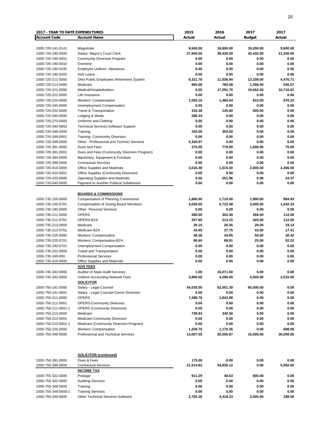| <b>2017 - YEAR TO DATE EXPENDITURES</b> |                                             | 2015      | 2016      | 2017          | 2017      |
|-----------------------------------------|---------------------------------------------|-----------|-----------|---------------|-----------|
| <b>Account Code</b>                     | <b>Account Name</b>                         | Actual    | Actual    | <b>Budget</b> | Actual    |
|                                         |                                             |           |           |               |           |
| 1000-720-141-0141                       | Magistrate                                  | 9,600.00  | 18,800.00 | 19,200.00     | 9,600.00  |
| 1000-720-190-0000                       | Salary- Mayor's Court Clerk                 | 27,940.50 | 39,430.00 | 42,432.00     | 21,200.00 |
| 1000-720-190-0001                       | <b>Community Diversion Program</b>          | 0.00      | 0.00      | 0.00          | 0.00      |
| 1000-720-190-0010                       | Overtime                                    | 0.00      | 0.00      | 0.00          | 0.00      |
| 1000-720-190-0195                       | Employee Uniform Allowance                  | 0.00      | 0.00      | 0.00          | 0.00      |
| 1000-720-190-0202                       | Sick Leave                                  | 0.00      | 0.00      | 0.00          | 0.00      |
| 1000-720-211-0000                       | Ohio Public Employees Retirement System     | 9,321.78  | 11,036.94 | 13,108.00     | 4,470.71  |
| 1000-720-213-0000                       | Medicare                                    | 965.68    | 780.08    | 1,358.00      | 636.57    |
| 1000-720-221-0000                       | Medical/Hospitalization                     | 0.00      | 17,091.75 | 19,662.00     | 10,710.81 |
| 1000-720-222-0000                       | Life Insurance                              | 0.00      | 0.00      | 0.00          | 0.00      |
| 1000-720-225-0000                       | Workers' Compensation                       | 1,593.16  | 1,480.04  | 810.00        | 870.22    |
| 1000-720-240-0000                       | <b>Unemployment Compensation</b>            | 0.00      | 0.00      | 0.00          | 0.00      |
| 1000-720-252-0000                       | Travel & Transportation                     | 316.38    | 145.80    | 500.00        | 0.00      |
| 1000-720-260-0000                       | Lodging & Meals                             | 286.34    | 0.00      | 0.00          | 0.00      |
| 1000-720-270-0000                       | Uniforms and Clothing                       | 0.00      | 0.00      | 0.00          | 0.00      |
| 1000-720-340-0853                       | <b>Technical Services-Software Support</b>  | 0.00      | 0.00      | 0.00          | 0.00      |
| 1000-720-348-0000                       | Training                                    | 150.00    | 350.00    | 0.00          | 0.00      |
| 1000-720-348-0001                       | <b>Training- Community Diversion</b>        | 0.00      | 0.00      | 0.00          | 0.00      |
| 1000-720-349-0000                       | Other - Professional and Technicl Services  | 2,320.97  | 0.00      | 0.00          | 0.00      |
| 1000-720-391-0000                       | Dues and Fees                               | 375.00    | 770.00    | 1,000.00      | 75.00     |
| 1000-720-391-0001                       | Dues and Fees (Community Diversion Program) | 0.00      | 0.00      | 0.00          | 0.00      |
| 1000-720-394-0000                       | Machinery, Equipment & Furniture            | 0.00      | 0.00      | 0.00          | 0.00      |
| 1000-720-399-0000                       | <b>Contractual Services</b>                 | 0.00      | 0.00      | 0.00          | 0.00      |
| 1000-720-410-0000                       | Office Supplies and Materials               | 3,016.49  | 1,515.50  | 2,000.00      | 2,366.50  |
| 1000-720-410-0001                       | Office Supplies (Community Diversion)       | 0.00      | 0.00      | 0.00          | 0.00      |
| 1000-720-420-0000                       | <b>Operating Supplies and Materials</b>     | 0.00      | 251.96    | 0.00          | 24.37     |
| 1000-720-640-0000                       | Payment to Another Political Subdivision    | 0.00      | 0.00      | 0.00          | 0.00      |
|                                         |                                             |           |           |               |           |
|                                         | <b>BOARDS &amp; COMMISSIONS</b>             |           |           |               |           |
| 1000-735-150-0000                       | Compensation of Planning Commission         | 1,800.00  | 1,710.00  | 1,900.00      | 984.93    |
| 1000-735-150-0701                       | Compensation of Zoning Board Members        | 3,030.00  | 2,722.48  | 3,000.00      | 1,042.32  |
| 1000-735-190-0000                       | <b>Other- Personal Services</b>             | 0.00      | 0.00      | 0.00          | 0.00      |
| 1000-735-211-0000                       | <b>OPERS</b>                                | 280.00    | 302.40    | 266.00        | 112.00    |
| 1000-735-211-0701                       | OPERS-BZA                                   | 257.60    | 213.15    | 420.00        | 112.00    |
| 1000-735-213-0000                       | Medicare                                    | 26.10     | 26.55     | 28.00         | 19.14     |
| 1000-735-213-0701                       | Medicare-BZA                                | 43.95     | 37.75     | 43.00         | 17.41     |
| 1000-735-225-0000                       | Workers' Compensation                       | 48.38     | 44.95     | 50.00         | 26.42     |
| 1000-735-225-0701                       | Workers' Compensation-BZA                   | 95.60     | 88.81     | 25.00         | 52.22     |
| 1000-735-240-0701                       | Unemployment Compensation                   | 0.00      | 0.00      | 0.00          | 0.00      |
| 1000-735-252-0000                       | <b>Travel and Transportation</b>            | 0.00      | 0.00      | 0.00          | 0.00      |
| 1000-735-349-000                        | <b>Professional Services</b>                | 0.00      | 0.00      | 0.00          | 0.00      |
| 1000-735-410-0000                       | Office Supplies and Materials               | 0.00      | 0.00      | 0.00          | 0.00      |
|                                         | <b>AOS FEES</b>                             |           |           |               |           |
| 1000-745-342-0000                       | Auditor of State Audit Services             | 1.00      | 16,071.50 | 0.00          | 0.00      |
| 1000-745-343-0000                       | Uniform Accounting Network Fees             | 3,800.00  | 4,296.00  | 4,500.00      | 2,010.00  |
|                                         | SOLICITOR                                   |           |           |               |           |
| 1000-750-141-0000                       | Salary - Legal Counsel                      | 54,035.00 | 62,001.30 | 60,000.00     | 0.00      |
| 1000-750-141-0001                       | Salary - Legal Counsel-Comm Diversion       | 0.00      | 0.00      | 0.00          | 0.00      |
| 1000-750-211-0000                       | <b>OPERS</b>                                | 7,289.78  | 1,843.89  | 0.00          | 0.00      |
| 1000-750-211-0001                       | <b>OPERS-Community Diversion</b>            | 0.00      | 0.00      | 0.00          | 0.00      |
| 1000-750-211-0001-1                     | <b>OPERS (Community Diversion)</b>          | 0.00      | 0.00      | 0.00          | 0.00      |
| 1000-750-213-0000                       | Medicare                                    | 739.93    | 340.58    | 0.00          | 0.00      |
| 1000-750-213-0001                       | Medicare-Community Diversion                | 0.00      | 0.00      | 0.00          | 0.00      |
| 1000-750-213-0001-1                     | Medicare (Community Diversion Program)      | 0.00      | 0.00      | 0.00          | 0.00      |
| 1000-750-225-0000                       | <b>Workers' Compensation</b>                | 1,259.70  | 1,170.26  | 0.00          | 688.09    |
| 1000-750-349-0000                       | Professional and Technical Services         | 14,007.55 | 20,056.87 | 15,000.00     | 30,000.00 |
|                                         |                                             |           |           |               |           |
| 1000-750-391-0000                       | <b>SOLICITOR (continued)</b><br>Dues & Fees | 175.00    | 0.00      | 0.00          | 0.00      |
| 1000-750-399-0000                       | <b>Contractual Services</b>                 | 21,514.83 | 54,936.12 | 0.00          | 5,950.00  |
|                                         | <b>INCOME TAX</b>                           |           |           |               |           |
| 1000-755-322-0000                       | Postage                                     | 911.29    | 48.63     | 600.00        | 0.00      |
| 1000-755-342-0000                       | <b>Auditing Services</b>                    | 0.00      | 0.00      | 0.00          | 0.00      |
| 1000-755-348-0000                       | Training                                    | 0.00      | 0.00      | 0.00          | 0.00      |
| 1000-755-348-0000-1                     | <b>Training Services</b>                    | 0.00      | 0.00      | 0.00          | 0.00      |
| 1000-755-349-0000                       | Other Technical Services-Software           | 2,782.26  | 3,418.33  | 3,000.00      | 188.50    |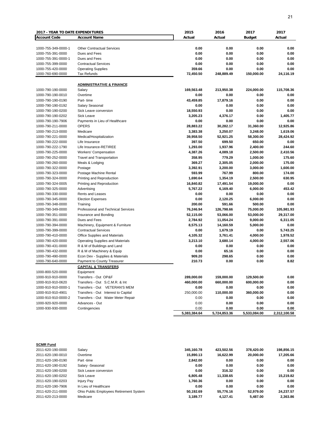| <b>2017 - YEAR TO DATE EXPENDITURES</b> |                                                                | 2015           | 2016           | 2017          | 2017                 |
|-----------------------------------------|----------------------------------------------------------------|----------------|----------------|---------------|----------------------|
| <b>Account Code</b>                     | <b>Account Name</b>                                            | Actual         | Actual         | <b>Budget</b> | Actual               |
|                                         |                                                                |                |                |               |                      |
| 1000-755-349-0000-1                     | <b>Other Contractual Services</b>                              | 0.00           | 0.00           | 0.00          | 0.00                 |
| 1000-755-391-0000                       | Dues and Fees                                                  | 0.00           | 0.00           | 0.00          | 0.00                 |
| 1000-755-391-0000-1                     | Dues and Fees                                                  | 0.00           | 0.00           | 0.00          | 0.00                 |
| 1000-755-399-0000                       | <b>Contractual Services</b>                                    | 0.00           | 0.00           | 0.00          | 0.00                 |
| 1000-755-420-0000                       | <b>Operating Supplies</b>                                      | 359.66         | 0.00           | 0.00          | 0.00                 |
| 1000-760-690-0000                       | <b>Tax Refunds</b>                                             | 72,450.50      | 248,889.49     | 150,000.00    | 24,116.19            |
|                                         |                                                                |                |                |               |                      |
|                                         | <b>ADMINISTRATIVE &amp; FINANCE</b>                            |                |                |               |                      |
| 1000-790-190-0000                       | Salary                                                         | 169,563.48     | 213,950.38     | 224,000.00    | 115,708.36           |
| 1000-790-190-0010                       | Overtime                                                       | 0.00           | 0.00           | 0.00          | 0.00                 |
| 1000-790-190-0190                       | Part-time                                                      | 43,459.85      | 17,879.16      | 0.00          | 0.00                 |
| 1000-790-190-0192                       | Salary Seasonal                                                | 0.00           | 0.00           | 0.00          | 0.00                 |
| 1000-790-190-0200                       | Sick Leave conversion                                          | 18,550.93      | 0.00           | 0.00          | 0.00                 |
| 1000-790-190-0202                       | Sick Leave                                                     | 3,205.23       | 4,376.17       | 0.00          | 1,405.77             |
| 1000-790-190-7906                       | Payments in Lieu of Healthcare                                 | 0.00           | 0.00           | 0.00          | 0.00                 |
| 1000-790-211-0000                       | <b>OPERS</b>                                                   | 28,883.22      | 30,282.17      | 31,360.00     | 12,925.86            |
| 1000-790-213-0000                       | Medicare                                                       | 3,383.38       | 3,250.07       | 3,248.00      | 1,619.06             |
| 1000-790-221-0000                       | Medical/Hospitalization                                        | 39,958.50      | 52,921.25      | 58,300.00     | 28,424.92            |
| 1000-790-222-0000                       | Life Insurance                                                 | 397.50         | 699.50         | 650.00        | 0.00                 |
| 1000-790-222-1790                       | Life Insurance-RETIREE                                         | 1,293.00       | 1,937.96       | 2,400.00      | 244.60               |
| 1000-790-225-0000                       | Workers' Compensation                                          | 4,387.26       | 4,089.18       | 2,500.00      | 2,410.56             |
| 1000-790-252-0000                       | <b>Travel and Transportation</b>                               | 358.95         | 779.29         | 1,000.00      | 175.60               |
| 1000-790-260-0000                       | Meals & Lodging                                                | 369.27         | 2,305.05       | 2,000.00      | 175.00               |
| 1000-790-322-0000                       | Postage                                                        | 3,392.91       | 3,200.00       | 3,000.00      | 1,600.00             |
| 1000-790-323-0000                       | Postage Machine Rental                                         | 593.99         | 767.99         | 800.00        | 174.00               |
| 1000-790-324-0000                       | Printing and Reproduction                                      | 1,690.64       | 1,354.19       | 2,500.00      | 630.95               |
| 1000-790-324-0005                       | Printing and Reproduction                                      | 16,840.82      | 17,491.54      | 19,000.00     | 0.00                 |
| 1000-790-325-0000                       | Advertising                                                    | 5,767.22       | 6,169.40       | 6,000.00      | 453.42               |
| 1000-790-330-0000                       | Rents and Leases                                               | 0.00           | 0.00           | 0.00          | 0.00                 |
| 1000-790-345-0000                       | <b>Election Expenses</b>                                       | 0.00           | 2,120.25       | 6,000.00      | 0.00                 |
| 1000-790-348-0000                       | Training                                                       | 200.00         | 591.66         | 500.00        | 0.00                 |
| 1000-790-349-0000                       | <b>Professional and Technical Services</b>                     | 76,246.94      | 126,798.66     | 75,000.00     | 105,981.93           |
| 1000-790-351-0000                       | Insurance and Bonding                                          | 52,115.00      | 53,066.00      | 53,000.00     | 29,317.00            |
| 1000-790-391-0000                       | Dues and Fees                                                  | 2,784.92       | 11,054.24      | 9,000.00      | 6,311.05             |
| 1000-790-394-0000                       | Machinery, Equipment & Furniture                               | 8,575.13       | 14,160.59      | 5,000.00      | 0.00                 |
| 1000-790-399-0000                       | <b>Contractual Services</b>                                    | 0.00           | 1,679.19       | 0.00          | 5,743.25             |
| 1000-790-410-0000                       | Office Supplies and Materials                                  | 4,105.32       | 3,761.41       | 4,000.00      |                      |
| 1000-790-420-0000                       |                                                                | 3,213.10       | 3,680.14       |               | 1,978.52<br>2,557.06 |
|                                         | <b>Operating Supplies and Materials</b>                        | 0.00           |                | 4,000.00      | 0.00                 |
| 1000-790-431-0000<br>1000-790-432-0000  | R & M of Buildings and Land                                    |                | 0.00           | 0.00          |                      |
| 1000-790-490-0000                       | R & M of Machinery & Equip                                     | 0.00<br>909.20 | 65.16          | 0.00          | 0.00                 |
| 1000-790-640-0000                       | Econ Dev - Supplies & Materials<br>Payment to County Treasurer | 210.73         | 298.65<br>0.00 | 0.00<br>0.00  | 0.00<br>8.82         |
|                                         | <b>CAPITAL &amp; TRANSFERS</b>                                 |                |                |               |                      |
|                                         |                                                                |                |                |               |                      |
| 1000-800-520-0000                       | Equipment                                                      |                |                |               |                      |
| 1000-910-910-0000                       | Transfers - Out OP&F                                           | 289,000.00     | 159,000.00     | 129,500.00    | 0.00                 |
| 1000-910-910-0620                       | Transfers - Out S.C.M.R. & Int                                 | 460,000.00     | 660,000.00     | 600,000.00    | 0.00                 |
| 1000-910-910-0000-1                     | Transfers - Out VETERAN'S MEM                                  | 0.00           | 0.00           | 0.00          | 0.00                 |
| 1000-910-910-4901                       | Transfers - Out Interest to Capital                            | 250,000.00     | 110,000.00     | 360,000.00    | 0.00                 |
| 1000-910-910-0000-2                     | Transfers - Out Water Meter Repair                             | 0.00           | 0.00           | 0.00          | 0.00                 |
| 1000-920-920-0000                       | Advances - Out                                                 | 0.00           | 0.00           | 0.00          | 0.00                 |
| 1000-930-930-0000                       | Contingencies                                                  | 0.00           | 0.00           | 0.00          | 0.00                 |
|                                         |                                                                | 5,383,384.64   | 5,724,853.36   | 5,533,084.00  | 2,312,100.58         |

| <b>SCMR Fund</b>  |                                         |            |            |            |            |
|-------------------|-----------------------------------------|------------|------------|------------|------------|
| 2011-620-190-0000 | Salarv                                  | 345.160.78 | 423.502.56 | 378.420.00 | 198.856.15 |
| 2011-620-190-0010 | Overtime                                | 15.890.13  | 16.622.99  | 20.000.00  | 17.205.66  |
| 2011-620-190-0190 | Part-time                               | 2.842.00   | 0.00       | 0.00       | 0.00       |
| 2011-620-190-0192 | Salary -Seasonal                        | 0.00       | 0.00       | 0.00       | 0.00       |
| 2011-620-190-0200 | Sick Leave conversion                   | 0.00       | 316.32     | 0.00       | 0.00       |
| 2011-620-190-0202 | Sick Leave                              | 6.805.48   | 11.338.65  | 0.00       | 15.219.82  |
| 2011-620-190-0203 | <b>Injury Pay</b>                       | 1.760.36   | 0.00       | 0.00       | 0.00       |
| 2011-620-190-7906 | In Lieu of Healthcare                   | 0.00       | 0.00       | 0.00       | 0.00       |
| 2011-620-211-0000 | Ohio Public Employees Retirement System | 50.192.69  | 55.776.16  | 52.979.00  | 24.237.57  |
| 2011-620-213-0000 | Medicare                                | 3,189.77   | 4.127.41   | 5.487.00   | 2.363.86   |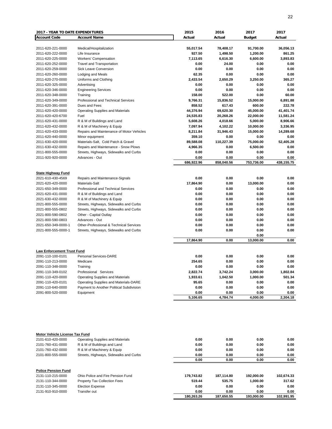| <b>2017 - YEAR TO DATE EXPENDITURES</b> |                                                                      | 2015                  | 2016                  | 2017                  | 2017                  |
|-----------------------------------------|----------------------------------------------------------------------|-----------------------|-----------------------|-----------------------|-----------------------|
| <b>Account Code</b>                     | <b>Account Name</b>                                                  | Actual                | Actual                | <b>Budget</b>         | Actual                |
| 2011-620-221-0000                       | Medical/Hospitalization                                              | 55,017.54             | 78,408.17             | 91,700.00             | 36,056.13             |
| 2011-620-222-0000                       | Life Insurance                                                       | 927.50                | 1,498.50              | 1,200.00              | 861.25                |
| 2011-620-225-0000                       | Workers' Compensation                                                | 7,113.65              | 6,616.30              | 6,600.00              | 3,893.83              |
| 2011-620-252-0000                       | <b>Travel and Transportation</b>                                     | 0.00                  | 24.00                 | 0.00                  | 0.00                  |
| 2011-620-259-0000                       | Sick Leave Conversion                                                | 0.00                  | 0.00                  | 0.00                  | 0.00                  |
| 2011-620-260-0000                       | Lodging and Meals                                                    | 62.35                 | 0.00                  | 0.00                  | 0.00                  |
| 2011-620-270-0000                       | Uniforms and Clothing                                                | 2,433.54              | 2,650.29              | 3,250.00              | 365.27                |
| 2011-620-325-0000                       | Advertising                                                          | 0.00                  | 0.00                  | 0.00                  | 0.00                  |
| 2011-620-346-0000                       | <b>Engineering Services</b>                                          | 0.00                  | 0.00                  | 0.00                  | 0.00                  |
| 2011-620-348-0000                       | Training                                                             | 158.00                | 522.00                | 0.00                  | 60.00                 |
| 2011-620-349-0000                       | Professional and Technical Services                                  | 9,766.31              | 15,836.52             | 15,000.00             | 6,891.88              |
| 2011-620-391-0000                       | Dues and Fees                                                        | 858.52                | 617.43                | 600.00                | 222.78<br>41,401.74   |
| 2011-620-420-0000                       | Operating Supplies and Materials                                     | 44,376.94             | 69,620.30             | 45,000.00             |                       |
| 2011-620-420-6700<br>2011-620-431-0000  | Fuel<br>R & M of Buildings and Land                                  | 24,535.83<br>5,608.26 | 20,268.26<br>4,018.66 | 22,000.00<br>5,000.00 | 11,581.24<br>8,906.66 |
| 2011-620-432-0000                       | R & M of Machinery & Equip                                           | 7,097.94              | 4,102.22              | 10,000.00             | 3,336.95              |
| 2011-620-433-0000                       | Repairs and Maintenance of Motor Vehicles                            | 8,211.84              | 31,946.43             | 15,000.00             | 14,289.68             |
| 2011-620-440-0000                       | Minor equipment                                                      | 359.10                | 0.00                  | 0.00                  | 0.00                  |
| 2011-630-420-0000                       | Materials-Salt, Cold Patch & Gravel                                  | 89,588.08             | 110,227.39            | 75,000.00             | 52,405.28             |
| 2011-630-432-0000                       | Repairs and Maintenance - Snow Plows                                 | 4,966.35              | 0.00                  | 6,500.00              | 0.00                  |
| 2011-800-555-0000                       | Streets, Highways, Sidewalks and Curbs                               | 0.00                  | 0.00                  | 0.00                  | 0.00                  |
| 2011-920-920-0000                       | Advances - Out                                                       | 0.00                  | 0.00                  | 0.00                  | 0.00                  |
|                                         |                                                                      | 686,922.96            | 858,040.56            | 753,736.00            | 438,155.75            |
|                                         |                                                                      |                       |                       |                       |                       |
| <b>State Highway Fund</b>               |                                                                      |                       |                       |                       |                       |
| 2021-610-430-4569                       | Repairs and Maintenance-Signals                                      | 0.00                  | 0.00                  | 0.00                  | 0.00                  |
| 2021-620-420-0000                       | Materials-Salt                                                       | 17,864.90             | 0.00                  | 13,000.00             | 0.00                  |
| 2021-650-349-0000                       | Professional and Technical Services                                  | 0.00                  | 0.00                  | 0.00                  | 0.00                  |
| 2021-620-431-0000                       | R & M of Buildings and Land                                          | 0.00                  | 0.00                  | 0.00                  | 0.00                  |
| 2021-630-432-0000                       | R & M of Machinery & Equip                                           | 0.00                  | 0.00                  | 0.00                  | 0.00                  |
| 2021-800-555-0000                       | Streets, Highways, Sidewalks and Curbs                               | 0.00                  | 0.00                  | 0.00                  | 0.00                  |
| 2021-800-555-0802                       | Streets, Highways, Sidewalks and Curbs                               | 0.00<br>0.00          | 0.00<br>0.00          | 0.00                  | 0.00<br>0.00          |
| 2021-800-590-0802<br>2021-800-590-0803  | Other - Capital Outlay<br>Advances - Out                             | 0.00                  | 0.00                  | 0.00<br>0.00          | 0.00                  |
| 2021-650-349-0000-1                     | Other-Professional & Technical Services                              | 0.00                  | 0.00                  | 0.00                  | 0.00                  |
| 2021-800-555-0000-1                     | Streets, Highways, Sidewalks and Curbs                               | 0.00                  | 0.00                  | 0.00                  | 0.00                  |
|                                         |                                                                      |                       |                       | 0.00                  |                       |
|                                         |                                                                      | 17,864.90             | 0.00                  | 13,000.00             | 0.00                  |
|                                         |                                                                      |                       |                       |                       |                       |
| <b>Law Enforcement Trust Fund</b>       |                                                                      |                       |                       |                       |                       |
| 2091-110-100-0101                       | Personal Services-DARE                                               | 0.00                  | 0.00                  | 0.00                  | 0.00                  |
| 2091-110-213-0000<br>2091-110-348-0000  | Medicare                                                             | 254.65<br>0.00        | 0.00<br>0.00          | 0.00<br>0.00          | 0.00<br>0.00          |
|                                         | Training                                                             |                       |                       |                       |                       |
| 2091-110-349-0102<br>2091-110-420-0000  | Professional Services<br><b>Operating Supplies and Materials</b>     | 2,822.74<br>1,933.61  | 3,742.24<br>1,042.50  | 3,000.00<br>1,000.00  | 1,802.84<br>501.34    |
| 2091-110-420-0101                       | Operating Supplies and Materials-DARE                                | 95.65                 | 0.00                  | 0.00                  | 0.00                  |
| 2091-110-640-0000                       | Payment to Another Political Subdivision                             | 0.00                  | 0.00                  | 0.00                  | 0.00                  |
| 2091-800-520-0000                       | Equipment                                                            | 0.00                  | 0.00                  | 0.00                  | 0.00                  |
|                                         |                                                                      | 5,106.65              | 4,784.74              | 4,000.00              | 2,304.18              |
|                                         |                                                                      |                       |                       |                       |                       |
|                                         |                                                                      |                       |                       |                       |                       |
|                                         |                                                                      |                       |                       |                       |                       |
|                                         |                                                                      |                       |                       |                       |                       |
|                                         |                                                                      |                       |                       |                       |                       |
|                                         |                                                                      |                       |                       |                       |                       |
| Motor Vehicle License Tax Fund          |                                                                      |                       |                       |                       |                       |
| 2101-610-420-0000                       | <b>Operating Supplies and Materials</b>                              | 0.00                  | 0.00                  | 0.00                  | 0.00                  |
| 2101-760-431-0000                       | R & M of Buildings and Land                                          | 0.00                  | 0.00                  | 0.00                  | 0.00                  |
| 2101-760-432-0000<br>2101-800-555-0000  | R & M of Machinery & Equip<br>Streets, Highways, Sidewalks and Curbs | 0.00<br>0.00          | 0.00<br>0.00          | 0.00<br>0.00          | 0.00<br>0.00          |
|                                         |                                                                      | 0.00                  | 0.00                  | 0.00                  | 0.00                  |
|                                         |                                                                      |                       |                       |                       |                       |
| <b>Police Pension Fund</b>              |                                                                      |                       |                       |                       |                       |
| 2131-110-215-0000                       | Ohio Police and Fire Pension Fund                                    | 179,743.82            | 187,114.80            | 192,000.00            | 102,674.33            |
| 2131-110-344-0000                       | Property Tax Collection Fees                                         | 519.44                | 535.75                | 1,000.00              | 317.62                |

2131-110-345-0000 Election Expense **0.00** 0.00 0.00 0.00 0.00 0.00 0.00<br>2131-910-910-0000 Transfer out **180,263.26** 187,650.55 193,000.00 102,991.95

**180,263.26 187,650.55 193,000.00 102,991.95**

2131-910-910-0000 Transfer out **0.00 0.00 0.00 0.00**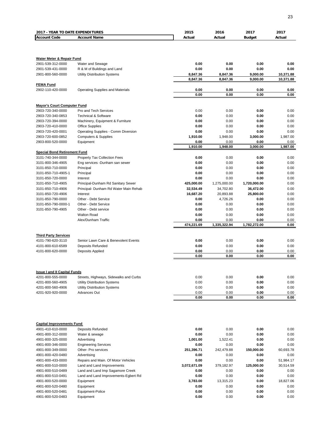| <b>2017 - YEAR TO DATE EXPENDITURES</b>               |                                         | 2015                 | 2016             | 2017             | 2017                   |
|-------------------------------------------------------|-----------------------------------------|----------------------|------------------|------------------|------------------------|
| <b>Account Code</b>                                   | <b>Account Name</b>                     | Actual               | Actual           | <b>Budget</b>    | Actual                 |
|                                                       |                                         |                      |                  |                  |                        |
|                                                       |                                         |                      |                  |                  |                        |
| <b>Water Meter &amp; Repair Fund</b>                  |                                         |                      |                  |                  |                        |
| 2901-539-312-0000                                     | Water and Sewage                        | 0.00                 | 0.00             | 0.00             | 0.00                   |
| 2901-539-431-0000                                     | R & M of Buildings and Land             | 0.00                 | 0.00             | 0.00             | 0.00                   |
| 2901-800-560-0000                                     | Utility Distribution Systems            | 8,847.36<br>8,847.36 | 8,847.36         | 9,000.00         | 10,371.88<br>10,371.88 |
|                                                       |                                         |                      | 8,847.36         | 9,000.00         |                        |
| <b>FEMA Fund</b><br>2902-110-420-0000                 | <b>Operating Supplies and Materials</b> | 0.00                 | 0.00             | 0.00             | 0.00                   |
|                                                       |                                         | 0.00                 | 0.00             | 0.00             | 0.00                   |
|                                                       |                                         |                      |                  |                  |                        |
| <b>Mayor's Court Computer Fund</b>                    |                                         |                      |                  |                  |                        |
| 2903-720-340-0000                                     | Pro and Tech Services                   | 0.00                 | 0.00             | 0.00             | 0.00                   |
| 2903-720-340-0853                                     | <b>Technical &amp; Software</b>         | 0.00                 | 0.00             | 0.00             | 0.00                   |
| 2903-720-394-0000                                     | Machinery, Equipment & Furniture        | 0.00                 | 0.00             | 0.00             | 0.00                   |
| 2903-720-410-0000                                     | <b>Office Supplies</b>                  | 0.00<br>0.00         | 0.00             | 0.00             | 0.00<br>0.00           |
| 2903-720-420-0001                                     | Operating Supplies - Comm Diversion     |                      | 0.00             | 0.00             |                        |
| 2903-720-600-0852                                     | <b>Computers &amp; Supplies</b>         | 1,910.00             | 1,948.00         | 3,000.00         | 1,987.00               |
| 2903-800-520-0000                                     | Equipment                               | 0.00<br>1,910.00     | 0.00<br>1,948.00 | 0.00<br>3,000.00 | 0.00<br>1,987.00       |
| <b>Special Bond Retirement Fund</b>                   |                                         |                      |                  |                  |                        |
| 3101-740-344-0000                                     | Property Tax Collection Fees            | 0.00                 | 0.00             | 0.00             | 0.00                   |
| 3101-800-346-4905                                     | Eng services -Dunham san sewer          | 0.00                 | 0.00             | 0.00             | 0.00                   |
| 3101-850-710-0000                                     | Principal                               | 0.00                 | 0.00             | 0.00             | 0.00                   |
| 3101-850-710-4905-1                                   | Principal                               | 0.00                 | 0.00             | 0.00             | 0.00                   |
| 3101-850-720-0000                                     | Interest                                | 0.00                 | 0.00             | 0.00             | 0.00                   |
| 3101-850-710-4905                                     | Principal-Dunham Rd Sanitary Sewer      | 425,000.00           | 1,275,000.00     | 1,720,000.00     | 0.00                   |
| 3101-850-710-4906                                     | Principal- Dunham Rd Water Main Rehab   | 32,534.49            | 34,702.80        | 36,472.00        | 0.00                   |
| 3101-850-720-4906                                     | Interest                                | 16,687.20            | 20,893.88        | 25,800.00        | 0.00                   |
| 3101-850-790-0000                                     | Other - Debt Service                    | 0.00                 | 4,726.26         | 0.00             | 0.00                   |
| 3101-850-790-0000-1                                   | Other - Debt Service                    | 0.00                 | 0.00             | 0.00             | 0.00                   |
| 3101-850-790-4905                                     | Other - Debt service                    | 0.00                 | 0.00             | 0.00             | 0.00                   |
|                                                       | <b>Walton Road</b>                      | 0.00                 | 0.00             | 0.00             | 0.00                   |
|                                                       | Alex/Dunham Traffic                     | 0.00                 | 0.00             | 0.00             | 0.00                   |
|                                                       |                                         | 474,221.69           | 1,335,322.94     | 1,782,272.00     | 0.00                   |
| <b>Third Party Services</b>                           |                                         |                      |                  |                  |                        |
| 4101-790-620-3110                                     | Senior Lawn Care & Benevolent Events    | 0.00                 | 0.00             | 0.00             | 0.00                   |
| 4101-800-610-6589                                     | <b>Deposits Refunded</b>                | 0.00                 | 0.00             | 0.00             | 0.00                   |
| 4101-800-620-0000                                     | Deposits Applied                        | 0.00                 | 0.00             | 0.00             | 0.00                   |
|                                                       |                                         | 0.00                 | 0.00             | 0.00             | 0.00                   |
|                                                       |                                         |                      |                  |                  |                        |
| <b>Issue I and II Capital Funds</b>                   |                                         |                      |                  |                  |                        |
| 4201-800-555-0000                                     | Streets, Highways, Sidewalks and Curbs  | 0.00                 | 0.00             | 0.00             | 0.00                   |
| 4201-800-560-4905                                     | <b>Utility Distribution Systems</b>     | 0.00                 | 0.00             | 0.00             | 0.00                   |
| 4201-800-560-4906                                     | <b>Utility Distribution Systems</b>     | 0.00                 | 0.00             | 0.00             | 0.00                   |
| 4201-920-920-0000                                     | Advances Out                            | 0.00                 | 0.00             | 0.00             | 0.00                   |
|                                                       |                                         | 0.00                 | 0.00             | 0.00             | 0.00                   |
|                                                       |                                         |                      |                  |                  |                        |
| <b>Capital Improvements Fund</b><br>4901-410-610-0000 | <b>Deposits Refunded</b>                | 0.00                 | 0.00             | 0.00             | 0.00                   |
| 4901-800-312-0000                                     | Water & sewage                          | 0.00                 | 0.00             | 0.00             | 0.00                   |
| 4901-800-325-0000                                     | Advertising                             | 1,001.00             | 1,522.41         | 0.00             | 0.00                   |
| 4901-800-346-0000                                     | <b>Engineering Services</b>             | 0.00                 | 0.00             | 0.00             | 0.00                   |
| 4901-800-349-0000                                     | Other- Pro services                     | 251,396.71           | 242,479.88       | 150,000.00       | 60,693.78              |
| 4901-800-420-0480                                     | Advertising                             | 0.00                 | 0.00             | 0.00             | 0.00                   |
| 4901-800-433-0000                                     | Repairs and Main. Of Motor Vehicles     | 0.00                 | 0.00             | 0.00             | 51,984.17              |
| 4901-800-510-0000                                     | Land and Land Improvements              | 3,072,671.09         | 379,182.97       | 125,000.00       | 30,514.59              |
| 4901-800-510-0489                                     | Land and Land Imp Sagamore Creek        | 0.00                 | 0.00             | 0.00             | 0.00                   |
| 4901-800-510-0491                                     | Land and Land Improvements-Egbert Rd    | 0.00                 | 0.00             | 0.00             | 0.00                   |
| 4901-800-520-0000                                     | Equipment                               | 3,783.00             | 13,315.23        | 0.00             | 18,827.06              |
| 4901-800-520-0480                                     | Equipment                               | 0.00                 | 0.00             | 0.00             | 0.00                   |
| 4901-800-520-0481                                     | Equipment-Police                        | 0.00                 | 0.00             | 0.00             | 0.00                   |
| 4901-800-520-0483                                     | Equipment                               | 0.00                 | 0.00             | 0.00             | 0.00                   |
|                                                       |                                         |                      |                  |                  |                        |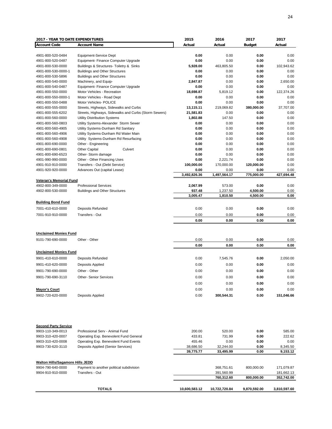| <b>2017 - YEAR TO DATE EXPENDITURES</b> |                                                       | 2015          | 2016                     | 2017          | 2017                     |
|-----------------------------------------|-------------------------------------------------------|---------------|--------------------------|---------------|--------------------------|
| <b>Account Code</b>                     | <b>Account Name</b>                                   | Actual        | Actual                   | <b>Budget</b> | Actual                   |
|                                         |                                                       |               |                          |               |                          |
| 4901-800-520-0484                       | Equipment-Service Dept                                | 0.00          | 0.00                     | 0.00          | 0.00                     |
| 4901-800-520-0487                       | Equipment- Finance Computer Upgrade                   | 0.00          | 0.00                     | 0.00          | 0.00                     |
| 4901-800-530-0000                       | Buildings & Structures- Toiletry & Sinks              | 5.928.00      | 463,805.50               | 0.00          | 102,943.62               |
| 4901-800-530-0000-1                     | <b>Buildings and Other Structures</b>                 | 0.00          | 0.00                     | 0.00          | 0.00                     |
| 4901-800-530-5896                       | <b>Buildings and Other Structures</b>                 | 0.00          | 0.00                     | 0.00          | 0.00                     |
|                                         |                                                       |               | 0.00                     |               | 2,650.00                 |
| 4901-800-540-0000                       | Machinery, and Equip-                                 | 2,847.87      | 0.00                     | 0.00          |                          |
| 4901-800-540-0487                       | Equipment- Finance Computer Upgrade                   | 0.00          |                          | 0.00          | 0.00                     |
| 4901-800-550-0000                       | Motor Vehicles - Recreation                           | 18,698.87     | 5,819.12                 | 0.00          | 122,374.26               |
| 4901-800-550-0000-1                     | Motor Vehicles - Road Dept                            | 0.00          | 0.00                     | 0.00          | 0.00                     |
| 4901-800-550-0488                       | Motor Vehicles- POLICE                                | 0.00          | 0.00                     | 0.00          | 0.00                     |
| 4901-800-555-0000                       | Streets, Highways, Sidewalks and Curbs                | 13,115.11     | 219,069.82               | 380,000.00    | 37,707.00                |
| 4901-800-555-6202                       | Streets, Highways, Sidewalks and Curbs (Storm Sewers) | 21,581.83     | 0.00                     | 0.00          | 0.00                     |
| 4901-800-560-0000                       | <b>Utility Distribution Systems</b>                   | 1,802.88      | 147.50                   | 0.00          | 0.00                     |
| 4901-800-560-0803                       | Utility Systems-Alexander Storm Sewer                 | 0.00          | 0.00                     | 0.00          | 0.00                     |
| 4901-800-560-4905                       | Utility Systems-Dunham Rd Sanitary                    | 0.00          | 0.00                     | 0.00          | 0.00                     |
| 4901-800-560-4906                       | Utility Systems-Dunham Rd Water Main                  | 0.00          | 0.00                     | 0.00          | 0.00                     |
| 4901-800-560-4908                       | Utility Systems-Dunham Rd Resurfacing                 | 0.00          | 0.00                     | 0.00          | 0.00                     |
| 4901-800-690-0000                       | Other - Engineering                                   | 0.00          | 0.00                     | 0.00          | 0.00                     |
| 4901-800-690-0801                       | <b>Other Capital</b><br>Culvert                       | 0.00          | 0.00                     | 0.00          | 0.00                     |
| 4901-800-690-6523                       | Other-Storm damage                                    | 0.00          | 0.00                     | 0.00          | 0.00                     |
| 4901-990-990-0000                       | Other - Other Financing Uses                          | 0.00          | 2,221.74                 | 0.00          | 0.00                     |
| 4901-910-910-0000                       | Transfers - Out (Debt Service)                        | 100,000.00    | 170,000.00               | 120,000.00    | 0.00                     |
| 4901-920-920-0000                       | Advances Out (capital Lease)                          | 0.00          | 0.00                     | 0.00          | 0.00                     |
|                                         |                                                       | 3,492,826.36  | 1,497,564.17             | 775,000.00    | 427,694.48               |
| <b>Veteran's Memorial Fund</b>          |                                                       |               |                          |               |                          |
| 4902-800-349-0000                       | <b>Professional Services</b>                          | 2,067.99      | 573.00                   | 0.00          | 0.00                     |
| 4902-800-530-0000                       | <b>Buildings and Other Structures</b>                 | 937.48        | 1,237.50                 | 4,500.00      | 0.00                     |
|                                         |                                                       | 3,005.47      | 1,810.50                 | 4,500.00      | 0.00                     |
|                                         |                                                       |               |                          |               |                          |
| <b>Building Bond Fund</b>               |                                                       |               |                          |               |                          |
| 7001-410-610-0000                       | Deposits Refunded                                     | 0.00          | 0.00                     | 0.00          | 0.00                     |
| 7001-910-910-0000                       | Transfers - Out                                       | 0.00          | 0.00                     | 0.00          | 0.00                     |
|                                         |                                                       | 0.00          | 0.00                     | 0.00          | 0.00                     |
|                                         |                                                       |               |                          |               |                          |
|                                         |                                                       |               |                          |               |                          |
| <b>Unclaimed Monies Fund</b>            |                                                       |               |                          |               |                          |
| 9101-790-690-0000                       | Other - Other                                         | 0.00          | 0.00                     | 0.00          | 0.00                     |
|                                         |                                                       | 0.00          | 0.00                     | 0.00          | 0.00                     |
| <b>Unclaimed Monies Fund</b>            |                                                       |               |                          |               |                          |
|                                         |                                                       |               |                          |               |                          |
| 9901-410-610-0000                       | Deposits Refunded                                     | 0.00          | 7,545.76                 | 0.00          | 2,050.00                 |
| 9901-410-620-0000                       | Deposits Applied                                      | 0.00          | 0.00                     | 0.00          | 0.00                     |
| 9901-790-690-0000                       | Other - Other                                         | 0.00          | 0.00                     | 0.00          | 0.00                     |
| 9901-790-690-3110                       | <b>Other- Senior Services</b>                         | 0.00          | 0.00                     | 0.00          | 0.00                     |
|                                         |                                                       |               |                          |               |                          |
|                                         |                                                       | 0.00          | 0.00                     | 0.00          | 0.00                     |
| <b>Mayor's Court</b>                    |                                                       | 0.00          | 0.00                     | 0.00          | 0.00                     |
| 9902-720-620-0000                       | Deposits Applied                                      | 0.00          | 300,544.31               | 0.00          | 151,046.66               |
|                                         |                                                       |               |                          |               |                          |
|                                         |                                                       |               |                          |               |                          |
| <b>Second Party Service</b>             |                                                       |               |                          |               |                          |
| 9903-110-349-0013                       | Professional Serv - Animal Fund                       | 200.00        | 520.00                   | 0.00          | 585.00                   |
| 9903-310-420-0007                       | Operating Exp. Benevolent Fund General                | 433.81        | 731.99                   | 0.00          | 222.62                   |
| 9903-310-420-0008                       | Operating Exp. Benevolent Fund Events                 | 455.46        | 0.00                     | 0.00          | 0.00                     |
| 9903-730-620-3110                       | Deposits Applied (Senior Services)                    | 38,686.50     | 32,244.00                | 0.00          | 8,345.50                 |
|                                         |                                                       | 39,775.77     | 33,495.99                | 0.00          | 9,153.12                 |
|                                         |                                                       |               |                          |               |                          |
|                                         |                                                       |               |                          |               |                          |
| <b>Walton Hills/Sagamore Hills JEDD</b> |                                                       |               |                          |               |                          |
| 9904-790-640-0000                       | Payment to another political subdivision              |               | 368,751.61               | 800,000.00    | 171,079.87               |
| 9904-910-910-0000                       | Transfers - Out                                       |               | 391,560.99<br>760,312.60 | 800,000.00    | 181,662.13<br>352,742.00 |
|                                         |                                                       |               |                          |               |                          |
|                                         |                                                       |               |                          |               |                          |
|                                         | <b>TOTALS</b>                                         | 10,600,583.12 | 10,722,720.84            | 9,870,592.00  | 3,810,597.60             |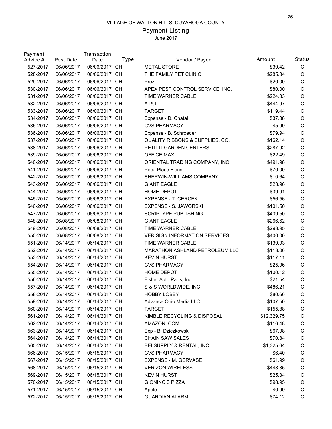# Payment Listing

| Payment<br>Advice # | Post Date  | Transaction<br>Date | Type      | Vendor / Payee                       | Amount      | Status       |
|---------------------|------------|---------------------|-----------|--------------------------------------|-------------|--------------|
| 527-2017            | 06/06/2017 | 06/06/2017 CH       |           | <b>METAL STORE</b>                   | \$39.42     | $\mathsf C$  |
| 528-2017            | 06/06/2017 | 06/06/2017 CH       |           | THE FAMILY PET CLINIC                | \$285.84    | C            |
| 529-2017            | 06/06/2017 | 06/06/2017 CH       |           | Prezi                                | \$20.00     | $\mathsf C$  |
| 530-2017            | 06/06/2017 | 06/06/2017 CH       |           | APEX PEST CONTROL SERVICE, INC.      | \$80.00     | $\mathsf C$  |
| 531-2017            | 06/06/2017 | 06/06/2017 CH       |           | TIME WARNER CABLE                    | \$224.33    | $\mathsf C$  |
| 532-2017            | 06/06/2017 | 06/06/2017 CH       |           | AT&T                                 | \$444.97    | $\mathsf C$  |
| 533-2017            | 06/06/2017 | 06/06/2017 CH       |           | <b>TARGET</b>                        | \$119.44    | $\mathsf C$  |
| 534-2017            | 06/06/2017 | 06/06/2017 CH       |           | Expense - D. Chatal                  | \$37.38     | $\mathsf C$  |
| 535-2017            | 06/06/2017 | 06/06/2017 CH       |           | <b>CVS PHARMACY</b>                  | \$5.99      | $\mathsf C$  |
| 536-2017            | 06/06/2017 | 06/06/2017          | <b>CH</b> | Expense - B. Schroeder               | \$79.94     | $\mathsf C$  |
| 537-2017            | 06/06/2017 | 06/06/2017 CH       |           | QUALITY RIBBONS & SUPPLIES, CO.      | \$162.14    | $\mathsf C$  |
| 538-2017            | 06/06/2017 | 06/06/2017 CH       |           | PETITTI GARDEN CENTERS               | \$287.92    | $\mathsf C$  |
| 539-2017            | 06/06/2017 | 06/06/2017 CH       |           | <b>OFFICE MAX</b>                    | \$22.49     | $\mathsf{C}$ |
| 540-2017            | 06/06/2017 | 06/06/2017 CH       |           | ORIENTAL TRADING COMPANY, INC.       | \$491.98    | $\mathsf C$  |
| 541-2017            | 06/06/2017 | 06/06/2017 CH       |           | <b>Petal Place Florist</b>           | \$70.00     | $\mathsf C$  |
| 542-2017            | 06/06/2017 | 06/06/2017 CH       |           | SHERWIN-WILLIAMS COMPANY             | \$10.64     | $\mathsf C$  |
| 543-2017            | 06/06/2017 | 06/06/2017 CH       |           | <b>GIANT EAGLE</b>                   | \$23.96     | $\mathsf C$  |
| 544-2017            | 06/06/2017 | 06/06/2017 CH       |           | HOME DEPOT                           | \$39.91     | $\mathsf C$  |
| 545-2017            | 06/06/2017 | 06/06/2017 CH       |           | <b>EXPENSE - T. CERCEK</b>           | \$56.56     | $\mathsf C$  |
| 546-2017            | 06/06/2017 | 06/06/2017 CH       |           | <b>EXPENSE - S. JAWORSKI</b>         | \$101.50    | $\mathsf C$  |
| 547-2017            | 06/06/2017 | 06/06/2017 CH       |           | <b>SCRIPTYPE PUBLISHING</b>          | \$409.50    | $\mathsf C$  |
| 548-2017            | 06/08/2017 | 06/08/2017 CH       |           | <b>GIANT EAGLE</b>                   | \$266.62    | $\mathsf C$  |
| 549-2017            | 06/08/2017 | 06/08/2017 CH       |           | TIME WARNER CABLE                    | \$293.95    | $\mathsf C$  |
| 550-2017            | 06/08/2017 | 06/08/2017 CH       |           | <b>VERISIGN INFORMATION SERVICES</b> | \$400.00    | $\mathsf{C}$ |
| 551-2017            | 06/14/2017 | 06/14/2017 CH       |           | TIME WARNER CABLE                    | \$139.93    | $\mathsf{C}$ |
| 552-2017            | 06/14/2017 | 06/14/2017 CH       |           | MARATHON ASHLAND PETROLEUM LLC       | \$113.06    | $\mathsf C$  |
| 553-2017            | 06/14/2017 | 06/14/2017 CH       |           | <b>KEVIN HURST</b>                   | \$117.11    | $\mathsf C$  |
| 554-2017            | 06/14/2017 | 06/14/2017 CH       |           | <b>CVS PHARMACY</b>                  | \$25.96     | $\mathsf C$  |
| 555-2017            | 06/14/2017 | 06/14/2017 CH       |           | HOME DEPOT                           | \$100.12    | $\mathsf{C}$ |
| 556-2017            | 06/14/2017 | 06/14/2017 CH       |           | Fisher Auto Parts, Inc.              | \$21.54     | $\mathsf C$  |
| 557-2017            | 06/14/2017 | 06/14/2017 CH       |           | S & S WORLDWIDE, INC.                | \$486.21    | $\mathsf C$  |
| 558-2017            | 06/14/2017 | 06/14/2017 CH       |           | <b>HOBBY LOBBY</b>                   | \$80.66     | $\mathsf C$  |
| 559-2017            | 06/14/2017 | 06/14/2017 CH       |           | Advance Ohio Media LLC               | \$107.50    | C            |
| 560-2017            | 06/14/2017 | 06/14/2017 CH       |           | <b>TARGET</b>                        | \$155.88    | C            |
| 561-2017            | 06/14/2017 | 06/14/2017 CH       |           | KIMBLE RECYCLING & DISPOSAL          | \$12,329.75 | C            |
| 562-2017            | 06/14/2017 | 06/14/2017 CH       |           | AMAZON .COM                          | \$116.48    | C            |
| 563-2017            | 06/14/2017 | 06/14/2017 CH       |           | Exp - B. Dziczkowski                 | \$67.98     | C            |
| 564-2017            | 06/14/2017 | 06/14/2017 CH       |           | <b>CHAIN SAW SALES</b>               | \$70.84     | $\mathsf C$  |
| 565-2017            | 06/14/2017 | 06/14/2017 CH       |           | BEI SUPPLY & RENTAL, INC             | \$1,325.64  | C            |
| 566-2017            | 06/15/2017 | 06/15/2017 CH       |           | <b>CVS PHARMACY</b>                  | \$6.40      | $\mathsf C$  |
| 567-2017            | 06/15/2017 | 06/15/2017 CH       |           | EXPENSE - M. GERVASE                 | \$61.99     | $\mathsf C$  |
| 568-2017            | 06/15/2017 | 06/15/2017 CH       |           | <b>VERIZON WIRELESS</b>              | \$448.35    | $\mathsf C$  |
| 569-2017            | 06/15/2017 | 06/15/2017 CH       |           | <b>KEVIN HURST</b>                   | \$25.34     | C            |
| 570-2017            | 06/15/2017 | 06/15/2017 CH       |           | <b>GIONINO'S PIZZA</b>               | \$98.95     | C            |
| 571-2017            | 06/15/2017 | 06/15/2017 CH       |           | Apple                                | \$0.99      | $\mathsf C$  |
| 572-2017            | 06/15/2017 | 06/15/2017 CH       |           | <b>GUARDIAN ALARM</b>                | \$74.12     | $\mathsf C$  |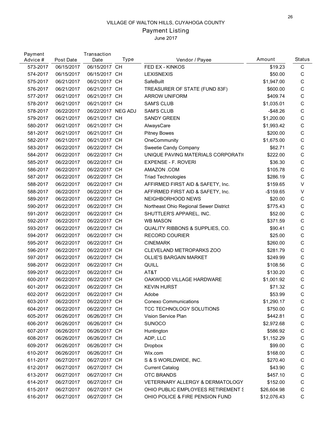# Payment Listing

| Payment<br>Advice # | Post Date  | Transaction<br>Date | Type      | Vendor / Payee                             | Amount      | <b>Status</b> |
|---------------------|------------|---------------------|-----------|--------------------------------------------|-------------|---------------|
| 573-2017            | 06/15/2017 | 06/15/2017 CH       |           | FED EX - KINKOS                            | \$19.23     | $\mathsf C$   |
| 574-2017            | 06/15/2017 | 06/15/2017 CH       |           | <b>LEXISNEXIS</b>                          | \$50.00     | $\mathsf C$   |
| 575-2017            | 06/21/2017 | 06/21/2017 CH       |           | SafeBuilt                                  | \$1,947.00  | $\mathsf C$   |
| 576-2017            | 06/21/2017 | 06/21/2017 CH       |           | TREASURER OF STATE (FUND 83F)              | \$600.00    | $\mathsf C$   |
| 577-2017            | 06/21/2017 | 06/21/2017 CH       |           | <b>ARROW UNIFORM</b>                       | \$409.74    | $\mathsf C$   |
| 578-2017            | 06/21/2017 | 06/21/2017 CH       |           | <b>SAM'S CLUB</b>                          | \$1,035.01  | $\mathsf C$   |
| 578-2017            | 06/22/2017 | 06/22/2017 NEG ADJ  |           | <b>SAM'S CLUB</b>                          | $-$ \$48.26 | $\mathsf C$   |
| 579-2017            | 06/21/2017 | 06/21/2017 CH       |           | <b>SANDY GREEN</b>                         | \$1,200.00  | $\mathsf C$   |
| 580-2017            | 06/21/2017 | 06/21/2017 CH       |           | AlwaysCare                                 | \$1,993.42  | $\mathsf C$   |
| 581-2017            | 06/21/2017 | 06/21/2017 CH       |           | <b>Pitney Bowes</b>                        | \$200.00    | $\mathsf C$   |
| 582-2017            | 06/21/2017 | 06/21/2017 CH       |           | OneCommunity                               | \$1,675.00  | $\mathsf C$   |
| 583-2017            | 06/22/2017 | 06/22/2017 CH       |           | Sweetie Candy Company                      | \$62.71     | $\mathsf{C}$  |
| 584-2017            | 06/22/2017 | 06/22/2017 CH       |           | UNIQUE PAVING MATERIALS CORPORATIO         | \$222.00    | $\mathsf{C}$  |
| 585-2017            | 06/22/2017 | 06/22/2017 CH       |           | <b>EXPENSE - F. ROVERI</b>                 | \$36.30     | $\mathsf{C}$  |
| 586-2017            | 06/22/2017 | 06/22/2017 CH       |           | AMAZON .COM                                | \$105.78    | $\mathsf C$   |
| 587-2017            | 06/22/2017 | 06/22/2017 CH       |           | <b>Triad Technologies</b>                  | \$286.19    | $\mathsf{C}$  |
| 588-2017            | 06/22/2017 | 06/22/2017 CH       |           | AFFIRMED FIRST AID & SAFETY, Inc.          | \$159.65    | $\vee$        |
| 588-2017            | 06/22/2017 | 06/22/2017 CH       |           | AFFIRMED FIRST AID & SAFETY, Inc.          | $-$159.65$  | $\vee$        |
| 589-2017            | 06/22/2017 | 06/22/2017 CH       |           | NEIGHBORHOOD NEWS                          | \$20.00     | $\mathsf C$   |
| 590-2017            | 06/22/2017 | 06/22/2017 CH       |           | Northeast Ohio Regional Sewer District     | \$775.43    | $\mathsf C$   |
| 591-2017            | 06/22/2017 | 06/22/2017 CH       |           | SHUTTLER'S APPAREL, INC.                   | \$52.00     | $\mathsf C$   |
| 592-2017            | 06/22/2017 | 06/22/2017 CH       |           | <b>WB MASON</b>                            | \$371.59    | $\mathsf{C}$  |
| 593-2017            | 06/22/2017 | 06/22/2017          | CH        | <b>QUALITY RIBBONS &amp; SUPPLIES, CO.</b> | \$90.41     | $\mathsf C$   |
| 594-2017            | 06/22/2017 | 06/22/2017 CH       |           | <b>RECORD COURIER</b>                      | \$25.00     | $\mathsf{C}$  |
| 595-2017            | 06/22/2017 | 06/22/2017          | <b>CH</b> | <b>CINEMARK</b>                            | \$260.00    | $\mathsf{C}$  |
| 596-2017            | 06/22/2017 | 06/22/2017 CH       |           | CLEVELAND METROPARKS ZOO                   | \$281.79    | $\mathsf C$   |
| 597-2017            | 06/22/2017 | 06/22/2017          | <b>CH</b> | <b>OLLIE'S BARGAIN MARKET</b>              | \$249.99    | $\mathsf C$   |
| 598-2017            | 06/22/2017 | 06/22/2017 CH       |           | QUILL                                      | \$108.56    | $\mathsf C$   |
| 599-2017            | 06/22/2017 | 06/22/2017 CH       |           | AT&T                                       | \$130.20    | $\mathsf C$   |
| 600-2017            | 06/22/2017 | 06/22/2017 CH       |           | OAKWOOD VILLAGE HARDWARE                   | \$1,001.92  | $\mathsf C$   |
| 601-2017            | 06/22/2017 | 06/22/2017          | CH        | <b>KEVIN HURST</b>                         | \$71.32     | $\mathsf C$   |
| 602-2017            | 06/22/2017 | 06/22/2017 CH       |           | Adobe                                      | \$53.99     | $\mathsf C$   |
| 603-2017            | 06/22/2017 | 06/22/2017 CH       |           | <b>Conexo Communications</b>               | \$1,290.17  | C             |
| 604-2017            | 06/22/2017 | 06/22/2017 CH       |           | TCC TECHNOLOGY SOLUTIONS                   | \$750.00    | C             |
| 605-2017            | 06/26/2017 | 06/26/2017 CH       |           | Vision Service Plan                        | \$442.81    | C             |
| 606-2017            | 06/26/2017 | 06/26/2017 CH       |           | <b>SUNOCO</b>                              | \$2,972.68  | C             |
| 607-2017            | 06/26/2017 | 06/26/2017 CH       |           | Huntington                                 | \$586.92    | $\mathsf C$   |
| 608-2017            | 06/26/2017 | 06/26/2017 CH       |           | ADP, LLC                                   | \$1,152.29  | $\mathsf C$   |
| 609-2017            | 06/26/2017 | 06/26/2017 CH       |           | Dropbox                                    | \$99.00     | C             |
| 610-2017            | 06/26/2017 | 06/26/2017 CH       |           | Wix.com                                    | \$168.00    | $\mathsf C$   |
| 611-2017            | 06/27/2017 | 06/27/2017 CH       |           | S & S WORLDWIDE, INC.                      | \$270.40    | $\mathsf C$   |
| 612-2017            | 06/27/2017 | 06/27/2017 CH       |           | <b>Current Catalog</b>                     | \$43.90     | $\mathsf C$   |
| 613-2017            | 06/27/2017 | 06/27/2017 CH       |           | <b>OTC BRANDS</b>                          | \$457.10    | $\mathsf C$   |
| 614-2017            | 06/27/2017 | 06/27/2017 CH       |           | VETERINARY ALLERGY & DERMATOLOGY           | \$152.00    | C             |
| 615-2017            | 06/27/2017 | 06/27/2017 CH       |           | OHIO PUBLIC EMPLOYEES RETIREMENT S         | \$26,604.98 | $\mathsf C$   |
| 616-2017            | 06/27/2017 | 06/27/2017 CH       |           | OHIO POLICE & FIRE PENSION FUND            | \$12,076.43 | $\mathsf C$   |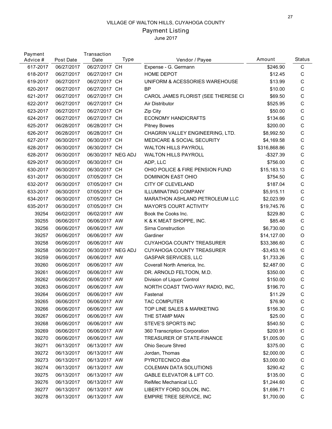# Payment Listing

| Payment<br>Advice # | Post Date  | Transaction<br>Date | Type | Vendor / Payee                        | Amount         | Status       |
|---------------------|------------|---------------------|------|---------------------------------------|----------------|--------------|
| 617-2017            | 06/27/2017 | 06/27/2017 CH       |      | Expense - G. Germann                  | \$246.90       | $\mathsf C$  |
| 618-2017            | 06/27/2017 | 06/27/2017 CH       |      | HOME DEPOT                            | \$12.45        | C            |
| 619-2017            | 06/27/2017 | 06/27/2017 CH       |      | UNIFORM & ACESSORIES WAREHOUSE        | \$13.99        | $\mathsf C$  |
| 620-2017            | 06/27/2017 | 06/27/2017 CH       |      | <b>BP</b>                             | \$10.00        | $\mathsf C$  |
| 621-2017            | 06/27/2017 | 06/27/2017 CH       |      | CAROL JAMES FLORIST (SEE THERESE CI   | \$69.50        | $\mathsf C$  |
| 622-2017            | 06/27/2017 | 06/27/2017 CH       |      | Air Distributor                       | \$525.95       | $\mathsf C$  |
| 623-2017            | 06/27/2017 | 06/27/2017 CH       |      | Zip City                              | \$50.00        | $\mathsf C$  |
| 624-2017            | 06/27/2017 | 06/27/2017 CH       |      | <b>ECONOMY HANDICRAFTS</b>            | \$134.66       | $\mathsf C$  |
| 625-2017            | 06/28/2017 | 06/28/2017 CH       |      | <b>Pitney Bowes</b>                   | \$200.00       | $\mathsf C$  |
| 626-2017            | 06/28/2017 | 06/28/2017 CH       |      | CHAGRIN VALLEY ENGINEERING, LTD.      | \$8,992.50     | $\mathsf C$  |
| 627-2017            | 06/30/2017 | 06/30/2017 CH       |      | <b>MEDICARE &amp; SOCIAL SECURITY</b> | \$4,169.58     | $\mathsf C$  |
| 628-2017            | 06/30/2017 | 06/30/2017 CH       |      | <b>WALTON HILLS PAYROLL</b>           | \$316,868.86   | $\mathsf C$  |
| 628-2017            | 06/30/2017 | 06/30/2017 NEG ADJ  |      | <b>WALTON HILLS PAYROLL</b>           | -\$327.39      | $\mathsf C$  |
| 629-2017            | 06/30/2017 | 06/30/2017 CH       |      | ADP, LLC                              | \$756.00       | $\mathsf C$  |
| 630-2017            | 06/30/2017 | 06/30/2017 CH       |      | OHIO POLICE & FIRE PENSION FUND       | \$15,183.13    | $\mathsf C$  |
| 631-2017            | 06/30/2017 | 07/05/2017 CH       |      | DOMINION EAST OHIO                    | \$754.50       | $\mathsf C$  |
| 632-2017            | 06/30/2017 | 07/05/2017 CH       |      | CITY OF CLEVELAND                     | \$187.04       | $\mathsf C$  |
| 633-2017            | 06/30/2017 | 07/05/2017 CH       |      | <b>ILLUMINATING COMPANY</b>           | \$5,915.11     | $\mathsf C$  |
| 634-2017            | 06/30/2017 | 07/05/2017 CH       |      | MARATHON ASHLAND PETROLEUM LLC        | \$2,023.99     | $\mathsf C$  |
| 635-2017            | 06/30/2017 | 07/05/2017 CH       |      | <b>MAYOR'S COURT ACTIVITY</b>         | \$19,745.76    | $\mathsf C$  |
| 39254               | 06/02/2017 | 06/02/2017 AW       |      | Book the Cooks Inc.                   | \$229.80       | $\mathsf C$  |
| 39255               | 06/06/2017 | 06/06/2017 AW       |      | K & K MEAT SHOPPE, INC.               | \$85.48        | $\mathsf C$  |
| 39256               | 06/06/2017 | 06/06/2017 AW       |      | Sirna Construction                    | \$6,730.00     | $\mathsf C$  |
| 39257               | 06/06/2017 | 06/06/2017 AW       |      | Gardiner                              | \$14,127.00    | O            |
| 39258               | 06/06/2017 | 06/06/2017 AW       |      | <b>CUYAHOGA COUNTY TREASURER</b>      | \$33,386.60    | $\mathsf C$  |
| 39258               | 06/30/2017 | 06/30/2017 NEG ADJ  |      | <b>CUYAHOGA COUNTY TREASURER</b>      | $-$ \$3,453.16 | $\mathsf{C}$ |
| 39259               | 06/06/2017 | 06/06/2017 AW       |      | <b>GASPAR SERVICES, LLC</b>           | \$1,733.26     | $\mathsf C$  |
| 39260               | 06/06/2017 | 06/06/2017 AW       |      | Coverall North America, Inc.          | \$2,487.00     | $\mathsf C$  |
| 39261               | 06/06/2017 | 06/06/2017 AW       |      | DR. ARNOLD FELTOON, M.D.              | \$350.00       | $\mathsf C$  |
| 39262               | 06/06/2017 | 06/06/2017 AW       |      | Division of Liquor Control            | \$150.00       | $\mathsf C$  |
| 39263               | 06/06/2017 | 06/06/2017 AW       |      | NORTH COAST TWO-WAY RADIO, INC,       | \$196.70       | $\mathsf C$  |
| 39264               | 06/06/2017 | 06/06/2017 AW       |      | Fastenal                              | \$11.29        | $\mathsf C$  |
| 39265               | 06/06/2017 | 06/06/2017 AW       |      | <b>TAC COMPUTER</b>                   | \$76.90        | C            |
| 39266               | 06/06/2017 | 06/06/2017 AW       |      | TOP LINE SALES & MARKETING            | \$156.30       | C            |
| 39267               | 06/06/2017 | 06/06/2017 AW       |      | THE STAMP MAN                         | \$25.00        | $\mathsf C$  |
| 39268               | 06/06/2017 | 06/06/2017 AW       |      | STEVE'S SPORTS INC                    | \$540.50       | C            |
| 39269               | 06/06/2017 | 06/06/2017 AW       |      | 360 Transcription Corporation         | \$200.91       | $\mathsf C$  |
| 39270               | 06/06/2017 | 06/06/2017 AW       |      | TREASURER OF STATE-FINANCE            | \$1,005.00     | $\mathsf C$  |
| 39271               | 06/13/2017 | 06/13/2017 AW       |      | Ohio Secure Shred                     | \$375.00       | $\mathsf C$  |
| 39272               | 06/13/2017 | 06/13/2017 AW       |      | Jordan, Thomas                        | \$2,000.00     | $\mathsf C$  |
| 39273               | 06/13/2017 | 06/13/2017 AW       |      | PYROTECNICO dba                       | \$3,000.00     | C            |
| 39274               | 06/13/2017 | 06/13/2017 AW       |      | COLEMAN DATA SOLUTIONS                | \$290.42       | $\mathsf C$  |
| 39275               | 06/13/2017 | 06/13/2017 AW       |      | GABLE ELEVATOR & LIFT CO.             | \$135.00       | $\mathsf C$  |
| 39276               | 06/13/2017 | 06/13/2017 AW       |      | RelMec Mechanical LLC                 | \$1,244.60     | C            |
| 39277               | 06/13/2017 | 06/13/2017 AW       |      | LIBERTY FORD SOLON, INC.              | \$1,696.71     | $\mathsf C$  |
| 39278               | 06/13/2017 | 06/13/2017 AW       |      | EMPIRE TREE SERVICE, INC              | \$1,700.00     | $\mathsf C$  |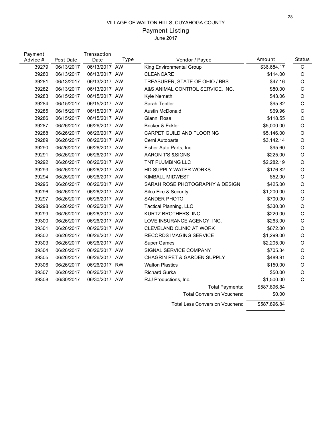# Payment Listing

| Payment<br>Advice # | Post Date  | Transaction<br>Date | Type | Vendor / Payee                         | Amount       | <b>Status</b> |
|---------------------|------------|---------------------|------|----------------------------------------|--------------|---------------|
| 39279               | 06/13/2017 | 06/13/2017 AW       |      | King Environmental Group               | \$36,684.17  | $\mathbf C$   |
| 39280               | 06/13/2017 | 06/13/2017 AW       |      | <b>CLEANCARE</b>                       | \$114.00     | C             |
| 39281               | 06/13/2017 | 06/13/2017 AW       |      | TREASURER, STATE OF OHIO / BBS         | \$47.16      | $\mathsf O$   |
| 39282               | 06/13/2017 | 06/13/2017 AW       |      | A&S ANIMAL CONTROL SERVICE, INC.       | \$80.00      | $\mathsf C$   |
| 39283               | 06/15/2017 | 06/15/2017 AW       |      | Kyle Nemeth                            | \$43.06      | O             |
| 39284               | 06/15/2017 | 06/15/2017 AW       |      | Sarah Tentler                          | \$95.82      | $\mathsf C$   |
| 39285               | 06/15/2017 | 06/15/2017 AW       |      | Austin McDonald                        | \$69.96      | $\mathsf C$   |
| 39286               | 06/15/2017 | 06/15/2017 AW       |      | Gianni Rosa                            | \$118.55     | $\mathsf C$   |
| 39287               | 06/26/2017 | 06/26/2017 AW       |      | Bricker & Eckler                       | \$5,000.00   | O             |
| 39288               | 06/26/2017 | 06/26/2017 AW       |      | CARPET GUILD AND FLOORING              | \$5,146.00   | $\circ$       |
| 39289               | 06/26/2017 | 06/26/2017 AW       |      | Cerni Autoparts                        | \$3,142.14   | O             |
| 39290               | 06/26/2017 | 06/26/2017 AW       |      | Fisher Auto Parts, Inc                 | \$95.60      | O             |
| 39291               | 06/26/2017 | 06/26/2017 AW       |      | <b>AARON T'S &amp;SIGNS</b>            | \$225.00     | $\circ$       |
| 39292               | 06/26/2017 | 06/26/2017 AW       |      | TNT PLUMBING LLC                       | \$2,282.19   | $\circ$       |
| 39293               | 06/26/2017 | 06/26/2017 AW       |      | HD SUPPLY WATER WORKS                  | \$176.82     | $\circ$       |
| 39294               | 06/26/2017 | 06/26/2017 AW       |      | KIMBALL MIDWEST                        | \$52.00      | O             |
| 39295               | 06/26/2017 | 06/26/2017 AW       |      | SARAH ROSE PHOTOGRAPHY & DESIGN        | \$425.00     | O             |
| 39296               | 06/26/2017 | 06/26/2017 AW       |      | Silco Fire & Security                  | \$1,200.00   | $\mathsf O$   |
| 39297               | 06/26/2017 | 06/26/2017 AW       |      | <b>SANDER PHOTO</b>                    | \$700.00     | O             |
| 39298               | 06/26/2017 | 06/26/2017 AW       |      | <b>Tactical Planning, LLC</b>          | \$330.00     | $\circ$       |
| 39299               | 06/26/2017 | 06/26/2017 AW       |      | KURTZ BROTHERS, INC.                   | \$220.00     | C             |
| 39300               | 06/26/2017 | 06/26/2017 AW       |      | LOVE INSURANCE AGENCY, INC.            | \$263.00     | C             |
| 39301               | 06/26/2017 | 06/26/2017 AW       |      | <b>CLEVELAND CLINIC AT WORK</b>        | \$672.00     | $\mathsf O$   |
| 39302               | 06/26/2017 | 06/26/2017 AW       |      | <b>RECORDS IMAGING SERVICE</b>         | \$1,299.00   | O             |
| 39303               | 06/26/2017 | 06/26/2017 AW       |      | <b>Super Games</b>                     | \$2,205.00   | $\circ$       |
| 39304               | 06/26/2017 | 06/26/2017 AW       |      | SIGNAL SERVICE COMPANY                 | \$705.34     | $\mathsf C$   |
| 39305               | 06/26/2017 | 06/26/2017 AW       |      | <b>CHAGRIN PET &amp; GARDEN SUPPLY</b> | \$489.91     | $\circ$       |
| 39306               | 06/26/2017 | 06/26/2017 RW       |      | <b>Walton Plastics</b>                 | \$150.00     | O             |
| 39307               | 06/26/2017 | 06/26/2017 AW       |      | <b>Richard Gurka</b>                   | \$50.00      | $\circ$       |
| 39308               | 06/30/2017 | 06/30/2017 AW       |      | RJJ Productions, Inc.                  | \$1,500.00   | C             |
|                     |            |                     |      | <b>Total Payments:</b>                 | \$587,896.84 |               |
|                     |            |                     |      | <b>Total Conversion Vouchers:</b>      | \$0.00       |               |
|                     |            |                     |      | <b>Total Less Conversion Vouchers:</b> | \$587,896.84 |               |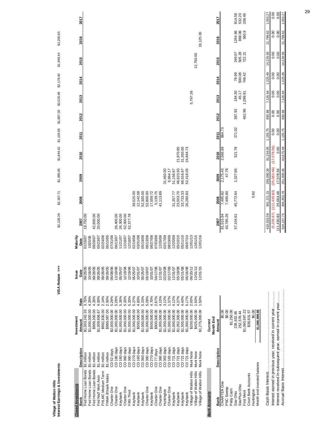| Interest Earnings & Investments                                                                                            |                                      |                                |                  | VISA Rebate >>>      |                      | \$2,228.39               | \$2,307.71                 | \$1,985.85               | \$1,844.42          | \$1,104.65   | \$1,887.00   | \$2,025.46   | \$2,178.40   | \$1,949.44   | \$2,200.65    |              |
|----------------------------------------------------------------------------------------------------------------------------|--------------------------------------|--------------------------------|------------------|----------------------|----------------------|--------------------------|----------------------------|--------------------------|---------------------|--------------|--------------|--------------|--------------|--------------|---------------|--------------|
| <b>Closed Investments</b>                                                                                                  |                                      | Investment                     |                  | Issue                | Maturity             |                          |                            |                          |                     |              |              |              |              |              |               |              |
| Bank                                                                                                                       | Description                          | Amount                         | Rate             | Date                 | Date                 | 2007                     | 2008                       | 2009                     | 2010                | <b>2011</b>  | 2012         | 2013         | 2014         | 2015         | 2016          | 2017         |
| Fed Home Loan Bonds                                                                                                        | \$1 million                          | \$1,003,242.33                 | 3.75%            | 09/26/05             | 01/16/07             | 18,750.00                |                            |                          |                     |              |              |              |              |              |               |              |
| Fed Home Loan Bonds                                                                                                        | \$1 million                          | \$1,000,000.00                 | 4.20%            | 10/18/05             | 1020/06              |                          |                            |                          |                     |              |              |              |              |              |               |              |
| Fed Home Loan Bonds                                                                                                        | \$1 million                          | \$999,200.00                   | 4.26%            | 09/28/05             | 09/28/07             | 42,600.00                |                            |                          |                     |              |              |              |              |              |               |              |
| Fed Nat'l Mort Assn                                                                                                        | \$1 million<br>\$1 million           | \$992,830.00<br>\$1,009,656.67 | 4.00%            | 09/26/05             | 02/24/06<br>05/23/07 | 20,000.00                |                            |                          |                     |              |              |              |              |              |               |              |
| FHLMC Medium Term                                                                                                          |                                      |                                | 2.14%            | 09/26/05             |                      |                          |                            |                          |                     |              |              |              |              |              |               |              |
| FNMA B'mark Notes<br>Charter One                                                                                           | CD <sub>52</sub> days<br>\$1 million | \$2,000,000.00<br>\$989,087.00 | 2.50%<br>5.28%   | 09/26/05<br>06/08/06 | 07/31/06<br>06/15/06 |                          |                            |                          |                     |              |              |              |              |              |               |              |
| Charter One                                                                                                                | CD <sub>180</sub> days               | \$1,000,000.00                 | 5.28%            | 12/19/06             | 06/13/07             | 26,400.00                |                            |                          |                     |              |              |              |              |              |               |              |
| Keybank                                                                                                                    | CD <sub>180</sub> days               | \$1,000,000.00                 | 5.26%            | 05/25/07             | 11/21/07             | 26,300.00                |                            |                          |                     |              |              |              |              |              |               |              |
| Charter One                                                                                                                | CD 360 days                          | \$1,000,000.00                 | 5.20%            | 12/19/06             | 12/18/07             | 52,000.00                |                            |                          |                     |              |              |              |              |              |               |              |
| Fifth Third                                                                                                                | CD 360 days                          | \$1,000,000.00                 | 5.20%            | 12/19/06             | 12/18/07             | 52,577.78                |                            |                          |                     |              |              |              |              |              |               |              |
| Keybank                                                                                                                    | CD 270 days                          | \$1,000,000.00                 | 5.27%            | 05/25/07             | 02/19/08             |                          | 39,525.00                  |                          |                     |              |              |              |              |              |               |              |
| Keybank                                                                                                                    | CD 180 days                          | \$500,000.00                   | 4.83%            | 10/01/07             | 03/31/08             |                          | 12, 142.08                 |                          |                     |              |              |              |              |              |               |              |
| Keybank                                                                                                                    | CD 360 days<br>CD 360 days           | \$1,000,000.00                 | 5.23%            | 05/25/07             | 05/19/08             |                          | 52,300.00                  |                          |                     |              |              |              |              |              |               |              |
| Charter One                                                                                                                |                                      | \$1,000,000.00                 | 5.28%            | 06/19/07             | 06/13/08             |                          | 52,800.00                  |                          |                     |              |              |              |              |              |               |              |
| Keybank                                                                                                                    | CD <sub>270</sub> days               | \$500,000.00                   | 4.70%            | 10/01/07             | 06/27/08             |                          | 17,559.72                  |                          |                     |              |              |              |              |              |               |              |
| Charter One                                                                                                                | CD <sub>77</sub> days                | \$900,000.00                   | 2.67%            | 04/17/08             | 07/03/08             |                          | 5,139.75                   |                          |                     |              |              |              |              |              |               |              |
| Charter One                                                                                                                | CD 360 days                          | \$1,000,000.00                 | 4.10%            | 12/31/07             | 12/26/08             |                          | 41,113.89                  |                          |                     |              |              |              |              |              |               |              |
| Huntington                                                                                                                 | CD 363 days                          | \$1,000,000.00                 | 3.12%            | 02/20/08             | 02/17/09             |                          |                            | 31,460.00                |                     |              |              |              |              |              |               |              |
| Charter One                                                                                                                | CD 183 days                          | \$1,000,000.00                 | 1.37%            | 02/17/09             | 08/19/09             |                          |                            | 6,964.17                 |                     |              |              |              |              |              |               |              |
| Keybank                                                                                                                    | CD <sub>721</sub> days               | \$1,000,000.00                 | 4.12%            | 12/31/07             | 12/20/09             |                          | 31,357.77                  | 51,156.67                |                     |              |              |              |              |              |               |              |
| Keybank                                                                                                                    | CD 721 days                          | \$1,052,300.00                 | 4.37%            | 05/19/08             | 05/10/10             |                          | 23,503.70                  | 46,623.93                | 21,970.85           |              |              |              |              |              |               |              |
| Keybank                                                                                                                    | CD 721 days                          | \$1,500,000.00                 | 4.40%            | 05/21/08             | 05/11/10             |                          | 33,733.33<br>26,280.83     | 66,916.67                | 31,350.00           |              |              |              |              |              |               |              |
| Keybank                                                                                                                    | CD 721 days                          | \$1,000,000.00                 | 5.17%            | 06/16/08             | 06/07/10             |                          |                            | 52,418.05                | 24,844.73           |              |              |              |              |              |               |              |
| Village of Walton Hills                                                                                                    | Muni Note                            | \$200,000.00                   | 2.00%            | 06/20/12             | 12/01/13             |                          |                            |                          |                     |              |              | 5,797.26     |              |              |               |              |
| Village of Walton Hills                                                                                                    | Muni Note                            | \$425,000.00                   | 1.50%            | 12/01/13             | 12/01/15             |                          |                            |                          |                     |              |              |              |              | 12,750.00    |               |              |
| Village of Walton Hills                                                                                                    | Muni Note                            | \$1,275,000.00                 | 1.50%            | 12/01/15             | 12/01/16             |                          |                            |                          |                     |              |              |              |              |              | 19,125.00     |              |
| <b>Bank Accounts</b>                                                                                                       |                                      | Current                        |                  |                      |                      |                          |                            |                          |                     |              |              |              |              |              |               |              |
|                                                                                                                            |                                      | Month End                      |                  |                      |                      |                          |                            |                          |                     |              |              |              |              |              |               |              |
| Bank                                                                                                                       | Description                          | Amount                         |                  |                      |                      | 2007                     | 2008                       | 2009                     | 2010                | <b>2011</b>  | 2012         | 2013         | 2014         | 2015         | 2016          | 2017         |
| <b>CHARTER One</b>                                                                                                         |                                      | <u>ទេ</u><br>ទ                 |                  |                      |                      | 81,515.94                | 7,495.82                   | 2,175.43                 | 2,566.69            | 884.73       |              |              |              |              |               |              |
| PNC Sweep                                                                                                                  |                                      | \$0.00                         |                  |                      |                      | 40,785.26                | 7,495.80                   | 47.79                    |                     |              |              |              |              |              |               |              |
| Petty Cash                                                                                                                 |                                      | \$1,250.00                     |                  |                      |                      |                          |                            |                          |                     |              |              |              |              |              |               |              |
| Star Ohio                                                                                                                  |                                      | 235,932.65                     |                  |                      |                      | 57,104.61                | 40,772.64                  | 1,327.65                 | 521.78              | 271.02       | 367.92       | 184.30       | 76.99        | 249.07       | 1244.66       | 814.58       |
| StarPlus Ohio                                                                                                              |                                      | 252,578.44                     |                  |                      |                      |                          |                            |                          |                     |              |              | 45.17        | 500.08       | 505.28       | 869.06        | 532.23       |
| <b>First Merit</b>                                                                                                         |                                      | \$1,060,597.22                 |                  |                      |                      |                          |                            |                          |                     |              | 462.96       | 1,099.91     | 748.42       | 722.21       | 560.9         | 206.46       |
| Court Bank Accounts                                                                                                        |                                      | \$38,631.57                    |                  |                      |                      |                          |                            |                          |                     |              |              |              |              |              |               |              |
| Month end invested balance<br>Huntington                                                                                   |                                      | \$0.00<br>\$1,588,989.88       |                  |                      |                      |                          | 0.82                       |                          |                     |              |              |              |              |              |               |              |
| Cash Basis Interest                                                                                                        |                                      |                                |                  |                      |                      | 418,033.59               | 391,221.15                 | 259,090.36               | 81,254.05           | 1,155.75     | 830.88       | 7,126.64     | 1,325.49     | 14,226.56    | ,799.62<br>21 | 1,553.27     |
|                                                                                                                            |                                      |                                |                  |                      |                      |                          |                            |                          |                     |              |              |              |              |              |               |              |
| Interest received In subsequent year, earned in current year<br>Interest earned in previous year, received in current year |                                      |                                |                  |                      |                      | (5,226.67)<br>111,430.83 | (111, 430.83)<br>25,063.46 | (25,063.46)<br>17,578.56 | (17,578.56)<br>0.00 | 0.00<br>0.00 | 0.00<br>0.00 | 0.00<br>0.00 | 0.00<br>0.00 | 0.00<br>0.00 | 0.00<br>0.00  | 0.00<br>0.00 |
| Accrual Basis Interest                                                                                                     |                                      |                                |                  |                      |                      |                          |                            |                          |                     |              |              |              |              |              | 21,799.62     | 1,553.27     |
|                                                                                                                            |                                      |                                | :<br>:<br>:<br>: |                      |                      | 524,237.75               | 304,853.78                 | 251,605.46               | 63,675.49           | 1,155.75     | 830.88       | 7,126.64     | 1,325.49     | 14,226.56    |               |              |

Village of Walton Hills<br>Interest Earnings & Inve **Village of Walton Hills**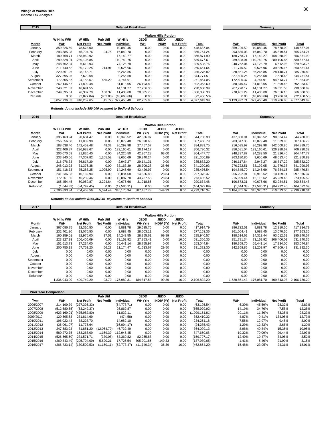| 2015      |              |            |                   | <b>Detailed Breakdown</b> |             |                             |                   |              |              | Summary             |                   |              |
|-----------|--------------|------------|-------------------|---------------------------|-------------|-----------------------------|-------------------|--------------|--------------|---------------------|-------------------|--------------|
|           |              |            |                   |                           |             | <b>Walton Hills Portion</b> |                   |              |              |                     |                   |              |
|           | W Hills W/H  | W Hills    | Pub Util          | W Hills                   | <b>JEDD</b> | <b>JEDD</b>                 | JEDD              |              |              |                     |                   |              |
| Month     | W/H          | Net Profit | <b>Net Profit</b> | Individual                | <b>WH</b>   | <b>INDIV</b>                | <b>Net Profit</b> | Total        | W/H          | Individual          | <b>Net Profit</b> | Total        |
| January   | 359,226.59   | 78,578.00  |                   | 10,882.45                 | 0.00        | 0.00                        | 0.00              | 448.687.04   | 359,226.59   | 10,882.45           | 78,578.00         | 448,687.04   |
| February  | 293,885.03   | 45,794.76  | 24.75             | 16.049.70                 | 0.00        | 0.00                        | 0.00              | 355,754.24   | 293,885.03   | 16,049.70           | 45,819.51         | 355,754.24   |
| March     | 180.768.71   | 158.960.92 |                   | 17.142.27                 | 0.00        | 0.00                        | 0.00              | 356.871.90   | 180.768.71   | 17.142.27           | 158.960.92        | 356.871.90   |
| April     | 289,828.01   | 289.106.85 |                   | 110.742.75                | 0.00        | 0.00                        | 0.00              | 689.677.61   | 289.828.01   | 110.742.75          | 289,106.85        | 689,677.61   |
| May       | 248.762.04   | 6.612.93   |                   | 74.128.79                 | 0.00        | 0.00                        | 0.00              | 329.503.76   | 248.762.04   | 74.128.79           | 6,612.93          | 329,503.76   |
| June      | 211,740.52   | 39,170.25  | 214.91            | 9,525.96                  | 0.00        | 0.00                        | 0.00              | 260,651.64   | 211,740.52   | 9,525.96            | 39,385.16         | 260,651.64   |
| July      | 220,861.26   | 28,148.71  |                   | 36,265.85                 | 0.00        | 0.00                        | 0.00              | 285,275.82   | 220,861.26   | 36,265.85           | 28,148.71         | 285,275.82   |
| August    | 327,895.25   | 7,620.68   |                   | 9,255.58                  | 0.00        | 0.00                        | 0.00              | 344.771.51   | 327.895.25   | 9.255.58            | 7,620.68          | 344.771.51   |
| September | 172.505.37   | 94.158.57  | 455.20            | 4.744.91                  | 0.00        | 0.00                        | 0.00              | 271.864.05   | 172.505.37   | 4.744.91            | 94.613.77         | 271.864.05   |
| October   | 262.146.67   | 71,899.48  |                   | 31,813.65                 | 26,193.80   | 0.00                        | 0.00              | 392.053.60   | 288,340.47   | 31.813.65           | 71,899.48         | 392,053.60   |
| November  | 240.521.87   | 16,691.55  |                   | 14,131.27                 | 27.256.30   | 0.00                        | 0.00              | 298.600.99   | 267.778.17   | 14.131.27           | 16,691.55         | 298,600.99   |
| December  | 249,595.51   | 76,387.79  | 168.37            | 11,430.88                 | 28,805.78   | 0.00                        | 0.00              | 366,388.33   | 278,401.29   | 11,430.88           | 76,556.16         | 366,388.33   |
| Refunds   | 0.00         | (2,877.84) | (909.00)          | (18,663.66)               | 0.00        | 0.00                        | 0.00              | (22, 450.50) |              | 0.00<br>(18,663.66) | (3,786.84)        | (22, 450.50) |
|           | 3,057,736.83 | 910.252.65 | (45.77)           | 327,450.40                | 82.255.88   | 0.00                        | 0.00              | 4.377.649.99 | 3,139,992.71 | 327.450.40          | 910.206.88        | 4.377.649.99 |

*Refunds do not include \$50,000 payment to Bedford Schools*

| 2016      |              |                   |                   | <b>Detailed Breakdown</b> |             |                             |                   |               |              | Summary     |                   |               |
|-----------|--------------|-------------------|-------------------|---------------------------|-------------|-----------------------------|-------------------|---------------|--------------|-------------|-------------------|---------------|
|           |              |                   |                   |                           |             | <b>Walton Hills Portion</b> |                   |               |              |             |                   |               |
|           | W Hills W/H  | W Hills           | Pub Util          | W Hills                   | <b>JEDD</b> | <b>JEDD</b>                 | <b>JEDD</b>       |               |              |             |                   |               |
| Month     | W/H          | <b>Net Profit</b> | <b>Net Profit</b> | Individual                | WH (Yr)     | <b>INDIV (Yr)</b>           | <b>Net Profit</b> | Total         | W/H          | Individual  | <b>Net Profit</b> | Total         |
| January   | 395,163.94   | 90,634.47         | 0.00              | 16,345.52                 | 42,636.97   | 0.00                        | 0.00              | 544.780.90    | 437,800.91   | 16,345.52   | 90,634.47         | 544,780.90    |
| February  | 256.656.68   | 11.039.98         | 0.00              | 13.079.48                 | 26.690.65   | 0.00                        | 0.00              | 307.466.79    | 283.347.33   | 13.079.48   | 11.039.98         | 307.466.79    |
| March     | 188,638.40   | 142.452.48        | 48.32             | 26,292.98                 | 27.457.57   | 0.00                        | 0.00              | 384.889.75    | 216.095.97   | 26.292.98   | 142.500.80        | 384,889.75    |
| April     | 322,406.87   | 226,988.67        | 0.00              | 129,160.61                | 28,174.17   | 0.00                        | 0.00              | 706,730.32    | 350.581.04   | 129.160.61  | 226,988.67        | 706,730.32    |
| May       | 206.070.59   | 21,826.40         | 0.00              | 34,220.50                 | 42.267.28   | 63.00                       | 0.00              | 304.447.77    | 248.337.87   | 34.283.50   | 21,826.40         | 304.447.77    |
| June      | 233,840.56   | 47,307.82         | 1,205.58          | 9,656.69                  | 29.340.24   | 0.00                        | 0.00              | 321,350.89    | 263,180.80   | 9,656.69    | 48,513.40         | 321,350.89    |
| July      | 216.976.33   | 36.817.29         | 0.00              | 2.947.27                  | 29.141.31   | 0.00                        | 0.00              | 285.882.20    | 246.117.64   | 2.947.27    | 36,817.29         | 285,882.20    |
| August    | 248.013.23   | 31,376.38         | 0.00              | 33,163.39                 | 28.709.28   | 28.66                       | 0.00              | 341.290.93    | 276.722.51   | 33.192.05   | 31,376.38         | 341,290.93    |
| September | 151.418.73   | 75,288.25         | 1,095.90          | 14,246.69                 | 43.426.97   | 0.00                        | 0.00              | 285.476.54    | 194.845.70   | 14.246.69   | 76,384.15         | 285,476.54    |
| October   | 241.636.03   | 10.169.94         | 0.00              | 30.884.68                 | 14.656.88   | 28.84                       | 0.00              | 297.376.37    | 256.292.91   | 30.913.52   | 10.169.94         | 297.376.37    |
| November  | 172.261.86   | 45.289.46         | 0.00              | 12.087.78                 | 43.737.58   | 28.84                       | 0.00              | 273.405.52    | 215.999.44   | 12.116.62   | 45,289.46         | 273.405.52    |
| December  | 165,454.45   | 50,059.87         | 3,224.64          | 40,676.66                 | 31,218.86   | 0.00                        | 0.00              | 290,634.48    | 196,673.31   | 40,676.66   | 53,284.51         | 290,634.48    |
| Refunds*  | (1,644.33)   | (84.792.45)       | 0.00              | (17, 585.31)              | 0.00        | 0.00                        | 0.00              | (104, 022.09) | (1.644.33)   | (17.585.31) | (84, 792.45)      | (104, 022.09) |
|           | 2,796,893.34 | 704,458.56        | 5,574.44          | 345,176.94                | 387,457.73  | 149.33                      | 0.00              | 4,239,710.34  | 3,184,351.07 | 345.326.27  | 710,033.00        | 4,239,710.34  |

*Refunds do not include \$144,867.40 payments to Bedford Schools*

| 2017      |              |                   |                   | <b>Detailed Breakdown</b> |             |                             |                   |              |              | Summary    |                   |              |
|-----------|--------------|-------------------|-------------------|---------------------------|-------------|-----------------------------|-------------------|--------------|--------------|------------|-------------------|--------------|
|           |              |                   |                   |                           |             | <b>Walton Hills Portion</b> |                   |              |              |            |                   |              |
|           | W Hills W/H  | W Hills           | Pub Util          | W Hills                   | <b>JEDD</b> | <b>JEDD</b>                 | <b>JEDD</b>       |              |              |            |                   |              |
| Month     | W/H          | <b>Net Profit</b> | <b>Net Profit</b> | Individual                | WH (Yr)     | <b>INDIV (Yr)</b>           | <b>Net Profit</b> | Total        | W/H          | Individual | <b>Net Profit</b> | <b>Total</b> |
| January   | 367,086.75   | 12,310.50         | 0.00              | 8,881.78                  | 29,635.76   | 0.00                        | 0.00              | 417,914.79   | 396,722.51   | 8,881.78   | 12,310.50         | 417,914.79   |
| February  | 232,401.30   | 13,070.50         | 0.00              | 3,088.45                  | 28,603.11   | 0.00                        | 0.00              | 277,163.36   | 261,004.41   | 3,088.45   | 13,070.50         | 277,163.36   |
| March     | 160,259.01   | 92.975.00         | 37.51             | 14,243.55                 | 28,355.61   | 69.89                       | 0.00              | 295.940.57   | 188.614.62   | 14,313.44  | 93,012.51         | 295,940.57   |
| April     | 223.927.93   | 206,406.09        | 0.00              | 73,152.92                 | 27.853.41   | 0.00                        | 16.00             | 531,356.35   | 251.781.34   | 73.152.92  | 206,406.09        | 531,340.35   |
| May       | 151.613.73   | 17.234.00         | 0.00              | 55.441.14                 | 28.755.97   | 0.00                        | 0.00              | 253.044.84   | 180.369.70   | 55.441.14  | 17,234.00         | 253.044.84   |
| June      | 200,755.18   | 67,753.20         | 56.28             | 21.174.47                 | 41.613.67   | 29.50                       | 0.00              | 331,382.30   | 242,368.85   | 21,203.97  | 67,809.48         | 331,382.30   |
| July      | 0.00         | 0.00              | 0.00              | 0.00                      | 0.00        | 0.00                        | 0.00              | 0.00         | 0.00         | 0.00       | 0.00              | 0.00         |
| August    | 0.00         | 0.00              | 0.00              | 0.00                      | 0.00        | 0.00                        | 0.00              | 0.00         | 0.00         | 0.00       | 0.00              | 0.00         |
| September | 0.00         | 0.00              | 0.00              | 0.00                      | 0.00        | 0.00                        | 0.00              | 0.00         | 0.00         | 0.00       | 0.00              | 0.00         |
| October   | 0.00         | 0.00              | 0.00              | 0.00                      | 0.00        | 0.00                        | 0.00              | 0.00         | 0.00         | 0.00       | 0.00              | 0.00         |
| November  | 0.00         | 0.00              | 0.00              | 0.00                      | 0.00        | 0.00                        | 0.00              | 0.00         | 0.00         | 0.00       | 0.00              | 0.00         |
| December  | 0.00         | 0.00              | 0.00              | 0.00                      | 0.00        | 0.00                        | 0.00              | 0.00         | 0.00         | 0.00       | 0.00              | 0.00         |
| Refunds*  | 0.00         | 0.00              | 0.00              | 0.00                      | 0.00        | 0.00                        | 0.00              | 0.00         | 0.00         | 0.00       | 0.00              | 0.00         |
|           | 1,336,043.90 | 409,749.29        | 93.79             | 175,982.31                | 184.817.53  | 99.39                       | 16.00             | 2,106,802.20 | 1,520,861.43 | 176,081.70 | 409.843.08        | 2,106,786.20 |

| <b>Prior Year Comparison</b> |              |                   |                   |              |             |                   |                   |                |           |            |                   |              |
|------------------------------|--------------|-------------------|-------------------|--------------|-------------|-------------------|-------------------|----------------|-----------|------------|-------------------|--------------|
|                              |              |                   | Pub Util          |              | <b>JEDD</b> | <b>JEDD</b>       | <b>JEDD</b>       |                |           |            |                   |              |
| <u>Year</u>                  | W/H          | <b>Net Profit</b> | <b>Net Profit</b> | Individual   | WH (Yr)     | <b>INDIV (Yr)</b> | <b>Net Profit</b> | <u>Total</u>   | W/H       | Individual | <b>Net Profit</b> | <u>Total</u> |
| 2006/2007                    | 214.199.79   | (277.395.33)      |                   | (64, 778.71) | 0.00        | 0.00              | 0.00              | (63.195.54)    | 6.30%     | $-45.59%$  | $-28.32%$         | $-2.83%$     |
| 2007/2008                    | (512.680.55) | (53.249.37)       |                   | 26.869.87    | 0.00        | 0.00              | 0.00              | (565, 929.92)  | $-14.19%$ | 34.76%     | $-7.58%$          | $-12.28%$    |
| 2008/2009                    | (623.169.01) | (475, 982.80)     |                   | 11.832.11    | 0.00        | 0.00              | 0.00              | (1.099.151.81) | $-20.11%$ | 11.36%     | $-73.35%$         | $-28.23%$    |
| 2009/2010                    | 120.595.63   | 231.814.69        |                   | (474.58)     | 0.00        | 0.00              | 0.00              | 352.410.32     | 4.87%     | $-0.41%$   | 134.05%           | 12.73%       |
| 2010/2011                    | 196.022.48   | 38.228.70         |                   | 14.982.10    | 0.00        | 0.00              | 0.00              | 234.251.18     | 7.55%     | 12.97%     | 9.45%             | 8.00%        |
| 2011/2012                    | (36.061.07)  | 11.775.64         |                   | (16.094.17)  | 0.00        | 0.00              | 0.00              | (24, 285.43)   | $-1.29%$  | $-12.33%$  | 2.66%             | $-1.20%$     |
| 2012/2013                    | 247.583.23   | 81.851.20         | (12.064.79)       | 46.729.49    | 0.00        | 0.00              | 0.00              | 364.099.13     | 8.98%     | 40.84%     | 15.35%            | 10.95%       |
| 2013/2014                    | 580.272.75   | 153.263.09        | 1.169.39          | 112.945.45   | 0.00        | 0.00              | 0.00              | 847.650.68     | 19.32%    | 70.09%     | 29.44%            | 22.97%       |
| 2014/2015                    | (526.565.50) | 231.571.71        | (330.08)          | 53.360.82    | 82.255.88   | 0.00              | 0.00              | (159.707.17)   | $-12.40%$ | 19.47%     | 34.06%            | $-3.52%$     |
| 2015/2016                    | (260.843.49) | (205.794.09)      | 5.620.21          | 17.726.54    | 305.201.85  | 149.33            | 0.00              | (137.939.65)   | 1.41%     | 5.46%      | $-21.99%$         | $-3.15%$     |
| 2016/2017                    | (266.733.14) | (130.500.53)      | (1.160.11)        | (52.773.47)  | (11.749.34) | 36.39             | 16.00             | (462, 864.20)  | $-15.48%$ | $-23.05%$  | $-24.31%$         | $-18.01%$    |

| W/H          | Individual  | <b>Net Profit</b> | Total        |
|--------------|-------------|-------------------|--------------|
| 359.226.59   | 10.882.45   | 78.578.00         | 448.687.04   |
| 293.885.03   | 16.049.70   | 45.819.51         | 355.754.24   |
| 180.768.71   | 17.142.27   | 158.960.92        | 356.871.90   |
| 289.828.01   | 110.742.75  | 289.106.85        | 689.677.61   |
| 248.762.04   | 74.128.79   | 6.612.93          | 329.503.76   |
| 211.740.52   | 9.525.96    | 39,385.16         | 260.651.64   |
| 220.861.26   | 36.265.85   | 28.148.71         | 285.275.82   |
| 327.895.25   | 9.255.58    | 7.620.68          | 344.771.51   |
| 172.505.37   | 4.744.91    | 94.613.77         | 271.864.05   |
| 288.340.47   | 31.813.65   | 71.899.48         | 392.053.60   |
| 267.778.17   | 14.131.27   | 16.691.55         | 298.600.99   |
| 278.401.29   | 11.430.88   | 76.556.16         | 366.388.33   |
| 0.00         | (18.663.66) | (3.786.84)        | (22,450.50)  |
| 3.139.992.71 | 327.450.40  | 910.206.88        | 4,377,649.99 |

| W/H          | Individual  | Net Profit  | Total         |
|--------------|-------------|-------------|---------------|
| 437.800.91   | 16.345.52   | 90.634.47   | 544.780.90    |
| 283.347.33   | 13.079.48   | 11.039.98   | 307.466.79    |
| 216.095.97   | 26.292.98   | 142.500.80  | 384.889.75    |
| 350.581.04   | 129.160.61  | 226.988.67  | 706.730.32    |
| 248.337.87   | 34.283.50   | 21.826.40   | 304.447.77    |
| 263,180.80   | 9.656.69    | 48.513.40   | 321,350.89    |
| 246.117.64   | 2.947.27    | 36.817.29   | 285.882.20    |
| 276.722.51   | 33.192.05   | 31.376.38   | 341.290.93    |
| 194.845.70   | 14.246.69   | 76.384.15   | 285.476.54    |
| 256.292.91   | 30.913.52   | 10.169.94   | 297.376.37    |
| 215.999.44   | 12.116.62   | 45.289.46   | 273.405.52    |
| 196.673.31   | 40,676.66   | 53.284.51   | 290,634.48    |
| (1.644.33)   | (17.585.31) | (84.792.45) | (104, 022.09) |
| 3.184.351.07 | 345.326.27  | 710.033.00  | 4.239.710.34  |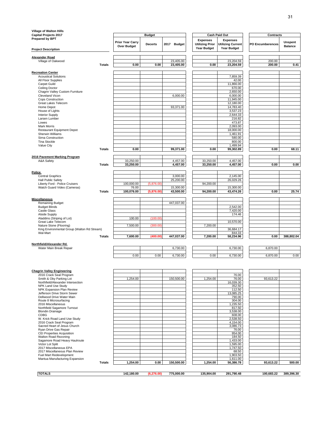| <b>Village of Walton Hills</b>                               |               |                                        |                |             |                                                                 |                                                                   |                         |                                  |
|--------------------------------------------------------------|---------------|----------------------------------------|----------------|-------------|-----------------------------------------------------------------|-------------------------------------------------------------------|-------------------------|----------------------------------|
| <b>Capital Projects 2017</b><br>Prepared by BPT              |               |                                        | <b>Budget</b>  |             |                                                                 | <b>Cash Paid Out</b>                                              | <b>Contracts</b>        |                                  |
| <b>Project Description</b>                                   |               | <b>Prior Year Carry</b><br>Over Budget | <b>Decerts</b> | 2017 Budget | <b>Expenses</b><br><b>Utilizing Prior</b><br><b>Year Budget</b> | <b>Expenses</b><br><b>Utilizing Current</b><br><b>Year Budget</b> | <b>PO Encumberences</b> | <b>Unspent</b><br><b>Balance</b> |
|                                                              |               |                                        |                |             |                                                                 |                                                                   |                         |                                  |
| <b>Alexander Road</b><br>Village of Oakwood                  |               |                                        |                | 23,405.00   |                                                                 | 23,204.59                                                         | 200.00                  |                                  |
|                                                              | <b>Totals</b> | 0.00                                   | 0.00           | 23,405.00   | 0.00                                                            | 23,204.59                                                         | 200.00                  | 0.41                             |
|                                                              |               |                                        |                |             |                                                                 |                                                                   |                         |                                  |
| <b>Recreation Center</b>                                     |               |                                        |                |             |                                                                 |                                                                   |                         |                                  |
| <b>Acoustical Solutions</b><br>All Floor Supplies            |               |                                        |                |             |                                                                 | 7,859.39<br>42.00                                                 |                         |                                  |
| Carpet Guild                                                 |               |                                        |                |             |                                                                 | 11,866.00                                                         |                         |                                  |
| Ceiling Doctor                                               |               |                                        |                |             |                                                                 | 670.00                                                            |                         |                                  |
| Chagrin Valley Custom Furniture                              |               |                                        |                |             |                                                                 | 2,650.00                                                          |                         |                                  |
| Cleveland Vicon                                              |               |                                        |                | 6,000.00    |                                                                 | 6,000.00                                                          |                         |                                  |
| Cops Construction<br>Great Lakes Telecom                     |               |                                        |                |             |                                                                 | 11,945.00<br>12,180.00                                            |                         |                                  |
| Home Depot                                                   |               |                                        |                | 93,371.00   |                                                                 | 14,783.40                                                         |                         |                                  |
| House of Lights                                              |               |                                        |                |             |                                                                 | 3,537.23                                                          |                         |                                  |
| <b>Interior Supply</b>                                       |               |                                        |                |             |                                                                 | 2,644.33                                                          |                         |                                  |
| Larsen Lumber<br>Lowes                                       |               |                                        |                |             |                                                                 | 216.82<br>473.87                                                  |                         |                                  |
| <b>Mark Morris</b>                                           |               |                                        |                |             |                                                                 | 2,093.00                                                          |                         |                                  |
| Restaurant Equipment Depot                                   |               |                                        |                |             |                                                                 | 18,000.00                                                         |                         |                                  |
| Sherwin Williams                                             |               |                                        |                |             |                                                                 | 1,461.91                                                          |                         |                                  |
| Sirna Construction<br><b>Tina Stockle</b>                    |               |                                        |                |             |                                                                 | 580.00<br>800.00                                                  |                         |                                  |
| Value City                                                   |               |                                        |                |             |                                                                 | 1,499.94                                                          |                         |                                  |
|                                                              | <b>Totals</b> | 0.00                                   |                | 99,371.00   | 0.00                                                            | 99,302.89                                                         | 0.00                    | 68.11                            |
|                                                              |               |                                        |                |             |                                                                 |                                                                   |                         |                                  |
| 2016 Pavement Marking Program<br>A&A Safety                  |               | 33,250.00                              |                | 4,457.00    | 33,250.00                                                       | 4,457.00                                                          |                         |                                  |
|                                                              | <b>Totals</b> | 33,250.00                              |                | 4,457.00    | 33,250.00                                                       | 4,457.00                                                          | 0.00                    | 0.00                             |
|                                                              |               |                                        |                |             |                                                                 |                                                                   |                         |                                  |
| <b>Police</b>                                                |               |                                        |                |             |                                                                 |                                                                   |                         |                                  |
| <b>Central Graphics</b>                                      |               |                                        |                | 3,000.00    |                                                                 | 2,145.00                                                          |                         |                                  |
| <b>Hall Public Safety</b><br>Liberty Ford - Police Cruisers  |               | 100,000.00                             | (5,876.00)     | 25,200.00   | 94,200.00                                                       | 26,029.26                                                         |                         |                                  |
| Watch Guard Video (Cameras)                                  |               | 76.00                                  |                | 15,300.00   |                                                                 | 15,300.00                                                         |                         |                                  |
|                                                              | <b>Totals</b> | 100,076.00                             | (5,876.00)     | 43,500.00   | 94,200.00                                                       | 43,474.26                                                         | 0.00                    | 25.74                            |
|                                                              |               |                                        |                |             |                                                                 |                                                                   |                         |                                  |
| <b>Miscellaneous</b><br>Remaining Budget                     |               |                                        |                | 447,037.00  |                                                                 |                                                                   |                         |                                  |
| <b>Budget Blinds</b>                                         |               |                                        |                |             |                                                                 | 2,542.00                                                          |                         |                                  |
| Castle Glass                                                 |               |                                        |                |             |                                                                 | 7,420.00                                                          |                         |                                  |
| <b>Alside Supply</b>                                         |               |                                        |                |             |                                                                 | 174.46                                                            |                         |                                  |
| Aladdins (Striping of Lot)<br>Great Lake Telecom             |               | 100.00                                 | (100.00)       |             |                                                                 | 10,570.00                                                         |                         |                                  |
| Nature Stone (Flooring)                                      |               | 7,500.00                               | (300.00)       |             | 7,200.00                                                        |                                                                   |                         |                                  |
| King Environmental Group (Walton Rd Stream)                  |               |                                        |                |             |                                                                 | 36,684.17                                                         |                         |                                  |
| Wal-Mart                                                     | <b>Totals</b> | 7,600.00                               | (400.00)       | 447,037.00  | 7,200.00                                                        | 844.33<br>58,234.96                                               | 0.00                    | 388,802.04                       |
|                                                              |               |                                        |                |             |                                                                 |                                                                   |                         |                                  |
| Northfield/Alexander Rd.                                     |               |                                        |                |             |                                                                 |                                                                   |                         |                                  |
| Water Main Break Repair                                      |               |                                        |                | 6,730.00    |                                                                 | 6,730.00                                                          | 6,870.00                |                                  |
|                                                              |               | 0.00                                   | 0.00           | 6,730.00    | 0.00                                                            | 6,730.00                                                          | 6,870.00                | 0.00                             |
|                                                              |               |                                        |                |             |                                                                 |                                                                   |                         |                                  |
|                                                              |               |                                        |                |             |                                                                 |                                                                   |                         |                                  |
|                                                              |               |                                        |                |             |                                                                 |                                                                   |                         |                                  |
| <b>Chagrin Valley Engineering</b><br>2016 Crack Seal Program |               |                                        |                |             |                                                                 | 76.00                                                             |                         |                                  |
| Smith & Oby Parking Lot                                      |               | 1,254.00                               |                | 150,500.00  | 1,254.00                                                        | 76.00                                                             | 93,613.22               |                                  |
| Northfield/Alexander Intersection                            |               |                                        |                |             |                                                                 | 16,039.30                                                         |                         |                                  |
| NPK Land Use Study<br>NPK Expansion Plan Review              |               |                                        |                |             |                                                                 | 352.50<br>112.50                                                  |                         |                                  |
| Jefferson Drive Storm Sewer                                  |               |                                        |                |             |                                                                 | 13,085.25                                                         |                         |                                  |
| Dellwood Drive Water Main                                    |               |                                        |                |             |                                                                 | 790.00                                                            |                         |                                  |
| Route 8 Microsurfacing<br>2016 Miscellaneous                 |               |                                        |                |             |                                                                 | 304.00<br>1,235.50                                                |                         |                                  |
| Northfield Sagamore Turnout                                  |               |                                        |                |             |                                                                 | 817.50                                                            |                         |                                  |
| <b>Blondin Drainage</b>                                      |               |                                        |                |             |                                                                 | 3,538.00                                                          |                         |                                  |
| <b>CDBG</b>                                                  |               |                                        |                |             |                                                                 | 608.00                                                            |                         |                                  |
| W. Krick Road Land Use Study<br>2016 Crack Seal Program      |               |                                        |                |             |                                                                 | 2,538.50<br>4,154.00                                              |                         |                                  |
| Sacred Heart of Jesus Church                                 |               |                                        |                |             |                                                                 | 3,086.73                                                          |                         |                                  |
| Ryan Drive Gas Repair<br><b>CEI Properties Acquisition</b>   |               |                                        |                |             |                                                                 | 76.00                                                             |                         |                                  |
| Walton Road Rezoning                                         |               |                                        |                |             |                                                                 | 954.00<br>184.50                                                  |                         |                                  |
| Sagamore Road Heavy Haulroute                                |               |                                        |                |             |                                                                 | 1,433.00                                                          |                         |                                  |
| Victor Lot Split                                             |               |                                        |                |             |                                                                 | 1,595.00                                                          |                         |                                  |
| 2017 Miscellaneous EPA<br>2017 Miscellaneous Plan Review     |               |                                        |                |             |                                                                 | 1,747.50<br>68.50                                                 |                         |                                  |
| Fuel Mart Redevelopment                                      |               |                                        |                |             |                                                                 | 1,903.50                                                          |                         |                                  |
| Mantua Manufacturing Expansion                               |               |                                        |                |             |                                                                 | 1,611.00                                                          |                         |                                  |
|                                                              | <b>Totals</b> | 1,254.00                               | 0.00           | 150,500.00  | 1,254.00                                                        | 56,386.78                                                         | 93,613.22               | 500.00                           |
|                                                              |               |                                        |                |             |                                                                 |                                                                   |                         |                                  |

**TOTALS 142,180.00 (6,276.00) 775,000.00 135,904.00 291,790.48 100,683.22 389,396.30**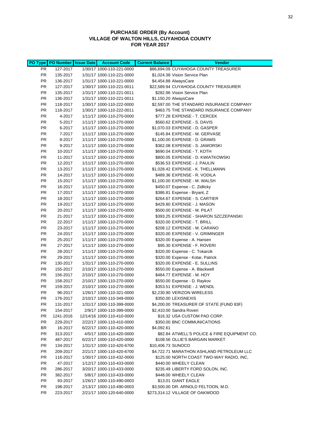## **PURCHASE ORDER (By Account) VILLAGE OF WALTON HILLS, CUYAHOGA COUNTY FOR YEAR 2017**

|                        | PO Type   PO Number   Issue Date | <b>Account Code</b>                                    | <b>Current Balance</b> | <b>Vendor</b>                                                   |
|------------------------|----------------------------------|--------------------------------------------------------|------------------------|-----------------------------------------------------------------|
| PR.                    | 127-2017                         | 1/30/17 1000-110-221-0000                              |                        | \$86,694.09 CUYAHOGA COUNTY TREASURER                           |
| <b>PR</b>              | 135-2017                         | 1/31/17 1000-110-221-0000                              |                        | \$1,024.38 Vision Service Plan                                  |
| <b>PR</b>              | 136-2017                         | 1/31/17 1000-110-221-0000                              |                        | \$4,454.88 AlwaysCare                                           |
| PR.                    | 127-2017                         | 1/30/17 1000-110-221-0011                              |                        | \$22,589.94 CUYAHOGA COUNTY TREASURER                           |
| <b>PR</b>              | 135-2017                         | 1/31/17 1000-110-221-0011                              |                        | \$282.96 Vision Service Plan                                    |
| <b>PR</b>              | 136-2017                         | 1/31/17 1000-110-221-0011                              |                        | \$1,150.20 AlwaysCare                                           |
| <b>PR</b>              | 118-2017                         | 1/30/17 1000-110-222-0000                              |                        | \$2,597.00 THE STANDARD INSURANCE COMPANY                       |
| <b>PR</b>              | 118-2017                         | 1/30/17 1000-110-222-0011                              |                        | \$463.75 THE STANDARD INSURANCE COMPANY                         |
| PR.                    | 4-2017                           | 1/11/17 1000-110-270-0000                              |                        | \$777.28 EXPENSE - T. CERCEK                                    |
| <b>PR</b>              | 5-2017                           | 1/11/17 1000-110-270-0000                              |                        | \$560.62 EXPENSE - S. DAVIS                                     |
| <b>PR</b>              | 6-2017                           | 1/11/17 1000-110-270-0000                              |                        | \$1,070.03 EXPENSE - D. GASPER                                  |
| <b>PR</b>              | 7-2017                           | 1/11/17 1000-110-270-0000                              |                        | \$145.84 EXPENSE - M. GERVASE                                   |
| <b>PR</b>              | 8-2017                           | 1/11/17 1000-110-270-0000                              |                        | \$1,100.00 EXPENSE - D. GRAMS                                   |
| <b>PR</b>              | 9-2017                           | 1/11/17 1000-110-270-0000                              |                        | \$362.08 EXPENSE - S. JAWORSKI                                  |
| <b>PR</b>              | 10-2017                          | 1/11/17 1000-110-270-0000                              |                        | \$690.04 EXPENSE - T. KOTH                                      |
| <b>PR</b>              | 11-2017                          | 1/11/17 1000-110-270-0000                              |                        | \$800.05 EXPENSE - D. KWIATKOWSKI                               |
| PR                     | 12-2017                          | 1/11/17 1000-110-270-0000                              |                        | \$536.53 EXPENSE - J. PAULIN                                    |
| <b>PR</b>              | 13-2017                          | 1/11/17 1000-110-270-0000                              |                        | \$1,028.42 EXPENSE - K. THELLMANN                               |
| <b>PR</b>              | 14-2017                          | 1/11/17 1000-110-270-0000                              |                        | \$489.36 EXPENSE - R. VODILA                                    |
| <b>PR</b>              | 15-2017                          | 1/11/17 1000-110-270-0000                              |                        | \$1,100.00 EXPENSE - M. WALSH                                   |
| <b>PR</b>              | 16-2017                          | 1/11/17 1000-110-270-0000                              |                        | \$450.07 Expense - C. Zidlicky                                  |
| <b>PR</b>              | 17-2017                          | 1/11/17 1000-110-270-0000                              |                        | \$386.81 Expense - Bryant, Z                                    |
| <b>PR</b>              | 18-2017                          | 1/11/17 1000-110-270-0000                              |                        | \$264.67 EXPENSE - S. CARTIER                                   |
| <b>PR</b>              | 19-2017                          | 1/11/17 1000-110-270-0000                              |                        | \$429.80 EXPENSE - J. MASON                                     |
| <b>PR</b>              | 20-2017                          | 1/11/17 1000-110-270-0000                              |                        | \$500.00 EXPENSE - M. PILAT                                     |
| <b>PR</b>              | 21-2017                          | 1/11/17 1000-110-270-0000                              |                        | \$393.25 EXPENSE - SHARON SZCZEPANSKI                           |
| <b>PR</b><br><b>PR</b> | 22-2017                          | 1/11/17 1000-110-270-0000                              |                        | \$320.00 EXPENSE - T. BRILL                                     |
| <b>PR</b>              | 23-2017                          | 1/11/17 1000-110-270-0000                              |                        | \$208.12 EXPENSE - M. CARANO                                    |
| PR.                    | 24-2017<br>25-2017               | 1/11/17 1000-110-270-0000<br>1/11/17 1000-110-270-0000 |                        | \$320.00 EXPENSE - V. GRIMINGER<br>\$320.00 Expense - A. Hansen |
| <b>PR</b>              | 27-2017                          | 1/11/17 1000-110-270-0000                              |                        | \$95.30 EXPENSE - F. ROVERI                                     |
| <b>PR</b>              | 28-2017                          | 1/11/17 1000-110-270-0000                              |                        | \$320.00 Expense - C. Tokarcik                                  |
| <b>PR</b>              | 29-2017                          | 1/11/17 1000-110-270-0000                              |                        | \$320.00 Expense - Kotar, Patrick                               |
| <b>PR</b>              | 130-2017                         | 1/31/17 1000-110-270-0000                              |                        | \$320.00 EXPENSE - E. SULLINS                                   |
| <b>PR</b>              | 155-2017                         | 2/10/17 1000-110-270-0000                              |                        | \$550.00 Expense - A. Blackwell                                 |
| <b>PR</b>              | 156-2017                         | 2/10/17 1000-110-270-0000                              |                        | \$484.77 EXPENSE - M. HOY                                       |
| <b>PR</b>              | 158-2017                         | 2/10/17 1000-110-270-0000                              |                        | \$550.00 Expense - D. Raykov                                    |
| <b>PR</b>              | 159-2017                         | 2/10/17 1000-110-270-0000                              |                        | \$353.51 EXPENSE - J. WENDL                                     |
| <b>PR</b>              | 96-2017                          | 1/26/17 1000-110-321-0000                              |                        | \$2,230.90 VERIZON WIRELESS                                     |
| PR                     | 176-2017                         | 2/10/17 1000-110-349-0000                              |                        | \$350.00 LEXISNEXIS                                             |
| PR                     | 131-2017                         | 1/31/17 1000-110-399-0000                              |                        | \$4,200.00 TREASURER OF STATE (FUND 83F)                        |
| <b>PR</b>              | 154-2017                         | 2/9/17 1000-110-399-0000                               |                        | \$2,410.00 Sandra Roveri                                        |
| PR.                    | 1241-2016                        | 12/14/16 1000-110-410-0000                             |                        | \$16.32 USA CUSTOM PAD CORP.                                    |
| <b>PR</b>              | 229-2017                         | 2/22/17 1000-110-410-0000                              |                        | \$350.00 BNC COMMUNICATIONS                                     |
| BR                     | 16-2017                          | 6/22/17 1000-110-420-0000                              | \$4,092.61             |                                                                 |
| PR.                    | 313-2017                         | 4/5/17 1000-110-420-0000                               |                        | \$82.84 ATWELL'S POLICE & FIRE EQUIPMENT CO.                    |
| <b>PR</b>              | 487-2017                         | 6/22/17 1000-110-420-0000                              |                        | \$108.56 OLLIE'S BARGAIN MARKET                                 |
| <b>PR</b>              | 134-2017                         | 1/31/17 1000-110-420-6700                              | \$10,406.73 SUNOCO     |                                                                 |
| PR.                    | 209-2017                         | 2/21/17 1000-110-420-6700                              |                        | \$4,722.71 MARATHON ASHLAND PETROLEUM LLC                       |
| PR.                    | 116-2017                         | 1/30/17 1000-110-432-0000                              |                        | \$125.00 NORTH COAST TWO-WAY RADIO, INC.                        |
| PR.                    | 47-2017                          | 1/12/17 1000-110-433-0000                              |                        | \$440.00 WHEELY CLEAN                                           |
| <b>PR</b>              | 286-2017                         | 3/20/17 1000-110-433-0000                              |                        | \$235.49 LIBERTY FORD SOLON, INC.                               |
| <b>PR</b>              | 382-2017                         | 5/8/17 1000-110-433-0000                               |                        | \$448.00 WHEELY CLEAN                                           |
| PR                     | 93-2017                          | 1/26/17 1000-110-490-0003                              |                        | \$13.01 GIANT EAGLE                                             |
| <b>PR</b>              | 198-2017                         | 2/13/17 1000-110-490-0003                              |                        | \$3,500.00 DR. ARNOLD FELTOON, M.D.                             |
| PR.                    | 223-2017                         | 2/21/17 1000-120-640-0000                              |                        | \$273,314.12 VILLAGE OF OAKWOOD                                 |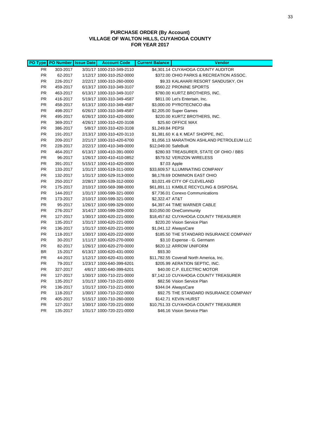## **PURCHASE ORDER (By Account) VILLAGE OF WALTON HILLS, CUYAHOGA COUNTY FOR YEAR 2017**

|           | PO Type   PO Number   Issue Date | <b>Account Code</b>       | <b>Current Balance</b> | <b>Vendor</b>                             |
|-----------|----------------------------------|---------------------------|------------------------|-------------------------------------------|
| <b>PR</b> | 303-2017                         | 3/31/17 1000-210-349-2110 |                        | \$4,301.14 CUYAHOGA COUNTY AUDITOR        |
| <b>PR</b> | 62-2017                          | 1/12/17 1000-310-252-0000 |                        | \$372.00 OHIO PARKS & RECREATION ASSOC.   |
| <b>PR</b> | 226-2017                         | 2/22/17 1000-310-260-0000 |                        | \$9.33 KALAHARI RESORT SANDUSKY, OH       |
| <b>PR</b> | 459-2017                         | 6/13/17 1000-310-349-3107 |                        | \$560.22 PRONINE SPORTS                   |
| <b>PR</b> | 463-2017                         | 6/13/17 1000-310-349-3107 |                        | \$780.00 KURTZ BROTHERS, INC.             |
| <b>PR</b> | 416-2017                         | 5/19/17 1000-310-349-4587 |                        | \$811.00 Let's Entertain, Inc.            |
| <b>PR</b> | 458-2017                         | 6/13/17 1000-310-349-4587 |                        | \$3,000.00 PYROTECNICO dba                |
| <b>PR</b> | 498-2017                         | 6/26/17 1000-310-349-4587 |                        | \$2,205.00 Super Games                    |
| <b>PR</b> | 495-2017                         | 6/26/17 1000-310-420-0000 |                        | \$220.00 KURTZ BROTHERS, INC.             |
| <b>PR</b> | 369-2017                         | 4/26/17 1000-310-420-3108 |                        | \$25.60 OFFICE MAX                        |
| <b>PR</b> | 386-2017                         | 5/8/17 1000-310-420-3108  | \$1,249.84 PEPSI       |                                           |
| <b>PR</b> | 191-2017                         | 2/13/17 1000-310-420-3110 |                        | \$1,381.60 K & K MEAT SHOPPE, INC.        |
| <b>PR</b> | 209-2017                         | 2/21/17 1000-310-420-6700 |                        | \$1,056.13 MARATHON ASHLAND PETROLEUM LLC |
| <b>PR</b> | 228-2017                         | 2/22/17 1000-410-349-0000 | \$12,049.00 SafeBuilt  |                                           |
| <b>PR</b> | 464-2017                         | 6/13/17 1000-410-391-0000 |                        | \$280.93 TREASURER, STATE OF OHIO / BBS   |
| <b>PR</b> | 96-2017                          | 1/26/17 1000-410-410-0852 |                        | \$579.52 VERIZON WIRELESS                 |
| <b>PR</b> | 391-2017                         | 5/15/17 1000-410-420-0000 |                        | \$7.03 Apple                              |
| <b>PR</b> | 133-2017                         | 1/31/17 1000-519-311-0000 |                        | \$33,609.57 ILLUMINATING COMPANY          |
| <b>PR</b> | 132-2017                         | 1/31/17 1000-529-313-0000 |                        | \$8,178.69 DOMINION EAST OHIO             |
| <b>PR</b> | 250-2017                         | 2/28/17 1000-539-312-0000 |                        | \$3,021.49 CITY OF CLEVELAND              |
| <b>PR</b> | 175-2017                         | 2/10/17 1000-569-398-0000 |                        | \$61,891.11 KIMBLE RECYCLING & DISPOSAL   |
| <b>PR</b> | 144-2017                         | 1/31/17 1000-599-321-0000 |                        | \$7,736.01 Conexo Communications          |
| <b>PR</b> | 173-2017                         | 2/10/17 1000-599-321-0000 | \$2,322.47 AT&T        |                                           |
| <b>PR</b> | 95-2017                          | 1/26/17 1000-599-329-0000 |                        | \$4,397.44 TIME WARNER CABLE              |
| <b>PR</b> | 276-2017                         | 3/14/17 1000-599-329-0000 |                        | \$10,050.00 OneCommunity                  |
| <b>PR</b> | 127-2017                         | 1/30/17 1000-620-221-0000 |                        | \$18,457.62 CUYAHOGA COUNTY TREASURER     |
| <b>PR</b> | 135-2017                         | 1/31/17 1000-620-221-0000 |                        | \$220.20 Vision Service Plan              |
| <b>PR</b> | 136-2017                         | 1/31/17 1000-620-221-0000 |                        | \$1,041.12 AlwaysCare                     |
| <b>PR</b> | 118-2017                         | 1/30/17 1000-620-222-0000 |                        | \$185.50 THE STANDARD INSURANCE COMPANY   |
| <b>PR</b> | 30-2017                          | 1/11/17 1000-620-270-0000 |                        | \$3.10 Expense - G. Germann               |
| <b>PR</b> | 82-2017                          | 1/26/17 1000-620-270-0000 |                        | \$620.12 ARROW UNIFORM                    |
| <b>BR</b> | 15-2017                          | 6/13/17 1000-620-431-0000 | \$93.30                |                                           |
| <b>PR</b> | 44-2017                          | 1/12/17 1000-620-431-0000 |                        | \$11,782.55 Coverall North America, Inc.  |
| <b>PR</b> | 79-2017                          | 1/23/17 1000-640-399-6201 |                        | \$205.99 AERATION SEPTIC, INC.            |
| <b>PR</b> | 327-2017                         | 4/6/17 1000-640-399-6201  |                        | \$40.00 C.P. ELECTRIC MOTOR               |
| <b>PR</b> | 127-2017                         | 1/30/17 1000-710-221-0000 |                        | \$7,142.10 CUYAHOGA COUNTY TREASURER      |
| <b>PR</b> | 135-2017                         | 1/31/17 1000-710-221-0000 |                        | \$82.56 Vision Service Plan               |
| <b>PR</b> | 136-2017                         | 1/31/17 1000-710-221-0000 |                        | \$344.04 AlwaysCare                       |
| <b>PR</b> | 118-2017                         | 1/30/17 1000-710-222-0000 |                        | \$92.75 THE STANDARD INSURANCE COMPANY    |
| <b>PR</b> | 405-2017                         | 5/15/17 1000-710-260-0000 |                        | \$142.71 KEVIN HURST                      |
| <b>PR</b> | 127-2017                         | 1/30/17 1000-720-221-0000 |                        | \$10,751.33 CUYAHOGA COUNTY TREASURER     |
| <b>PR</b> | 135-2017                         | 1/31/17 1000-720-221-0000 |                        | \$46.16 Vision Service Plan               |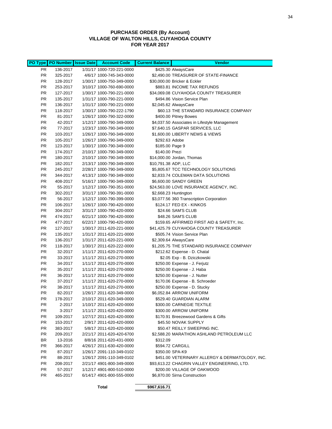## **PURCHASE ORDER (By Account) VILLAGE OF WALTON HILLS, CUYAHOGA COUNTY FOR YEAR 2017**

|           | PO Type   PO Number   Issue Date | <b>Account Code</b>       | <b>Current Balance</b> | <b>Vendor</b>                                   |
|-----------|----------------------------------|---------------------------|------------------------|-------------------------------------------------|
| PR.       | 136-2017                         | 1/31/17 1000-720-221-0000 |                        | \$425.30 AlwaysCare                             |
| <b>PR</b> | 325-2017                         | 4/6/17 1000-745-343-0000  |                        | \$2,490.00 TREASURER OF STATE-FINANCE           |
| <b>PR</b> | 128-2017                         | 1/30/17 1000-750-349-0000 |                        | \$30,000.00 Bricker & Eckler                    |
| <b>PR</b> | 253-2017                         | 3/10/17 1000-760-690-0000 |                        | \$883.81 INCOME TAX REFUNDS                     |
| <b>PR</b> | 127-2017                         | 1/30/17 1000-790-221-0000 |                        | \$34,069.08 CUYAHOGA COUNTY TREASURER           |
| <b>PR</b> | 135-2017                         | 1/31/17 1000-790-221-0000 |                        | \$494.86 Vision Service Plan                    |
| PR.       | 136-2017                         | 1/31/17 1000-790-221-0000 |                        | \$2,045.62 AlwaysCare                           |
| <b>PR</b> | 118-2017                         | 1/30/17 1000-790-222-1790 |                        | \$60.13 THE STANDARD INSURANCE COMPANY          |
| <b>PR</b> | 81-2017                          | 1/26/17 1000-790-322-0000 |                        | \$400.00 Pitney Bowes                           |
| <b>PR</b> | 42-2017                          | 1/12/17 1000-790-349-0000 |                        | \$4,037.50 Associates in Lifestyle Management   |
| <b>PR</b> | 77-2017                          | 1/23/17 1000-790-349-0000 |                        | \$7,640.15 GASPAR SERVICES, LLC                 |
| <b>PR</b> | 103-2017                         | 1/26/17 1000-790-349-0000 |                        | \$1,600.00 LIBERTY NEWS & VIEWS                 |
| <b>PR</b> | 105-2017                         | 1/26/17 1000-790-349-0000 | \$292.63 Adobe         |                                                 |
| <b>PR</b> | 123-2017                         | 1/30/17 1000-790-349-0000 | \$185.00 Page 9        |                                                 |
| PR.       | 174-2017                         | 2/10/17 1000-790-349-0000 | \$140.00 Prezi         |                                                 |
| <b>PR</b> | 180-2017                         | 2/10/17 1000-790-349-0000 |                        | \$14,000.00 Jordan, Thomas                      |
| <b>PR</b> | 182-2017                         | 2/13/17 1000-790-349-0000 | \$10,791.38 ADP, LLC   |                                                 |
| <b>PR</b> | 245-2017                         | 2/28/17 1000-790-349-0000 |                        | \$5,805.67 TCC TECHNOLOGY SOLUTIONS             |
| <b>PR</b> | 344-2017                         | 4/13/17 1000-790-349-0000 |                        | \$2,833.74 COLEMAN DATA SOLUTIONS               |
| <b>PR</b> | 408-2017                         | 5/16/17 1000-790-349-0000 |                        | \$6,600.00 SANDY GREEN                          |
| <b>PR</b> | 55-2017                          | 1/12/17 1000-790-351-0000 |                        | \$24,563.00 LOVE INSURANCE AGENCY, INC.         |
| <b>PR</b> | 302-2017                         | 3/31/17 1000-790-391-0000 |                        | \$2,668.23 Huntington                           |
| <b>PR</b> | 56-2017                          | 1/12/17 1000-790-399-0000 |                        | \$3,077.56 360 Transcription Corporation        |
| <b>PR</b> | 106-2017                         | 1/26/17 1000-790-420-0000 |                        | \$124.17 FED EX - KINKOS                        |
| <b>PR</b> | 304-2017                         | 3/31/17 1000-790-420-0000 |                        | \$24.66 SAM'S CLUB                              |
| <b>PR</b> | 474-2017                         | 6/21/17 1000-790-420-0000 |                        | \$48.26 SAM'S CLUB                              |
| <b>PR</b> | 477-2017                         | 6/22/17 1000-790-420-0000 |                        | \$159.65 AFFIRMED FIRST AID & SAFETY, Inc.      |
| PR.       | 127-2017                         | 1/30/17 2011-620-221-0000 |                        | \$41,425.79 CUYAHOGA COUNTY TREASURER           |
| <b>PR</b> | 135-2017                         | 1/31/17 2011-620-221-0000 |                        | \$505.74 Vision Service Plan                    |
| <b>PR</b> | 136-2017                         | 1/31/17 2011-620-221-0000 |                        | \$2,309.64 AlwaysCare                           |
| <b>PR</b> | 118-2017                         | 1/30/17 2011-620-222-0000 |                        | \$1,205.75 THE STANDARD INSURANCE COMPANY       |
| <b>PR</b> | 32-2017                          | 1/11/17 2011-620-270-0000 |                        | \$212.62 Expense - D. Chatal                    |
| <b>PR</b> | 33-2017                          | 1/11/17 2011-620-270-0000 |                        | \$2.05 Exp - B. Dziczkowski                     |
| <b>PR</b> | 34-2017                          | 1/11/17 2011-620-270-0000 |                        | \$250.00 Expense - J. Ferjutz                   |
| <b>PR</b> | 35-2017                          | 1/11/17 2011-620-270-0000 |                        | \$250.00 Expense - J. Haba                      |
| PR.       | 36-2017                          | 1/11/17 2011-620-270-0000 |                        | \$250.00 Expense - J. Nutter                    |
| <b>PR</b> | 37-2017                          | 1/11/17 2011-620-270-0000 |                        | \$170.06 Expense - B. Schroeder                 |
| PR        | 38-2017                          | 1/11/17 2011-620-270-0000 |                        | \$250.00 Expense - D. Stucky                    |
| <b>PR</b> | 82-2017                          | 1/26/17 2011-620-349-0000 |                        | \$6,052.84 ARROW UNIFORM                        |
| PR        | 178-2017                         | 2/10/17 2011-620-349-0000 |                        | \$529.40 GUARDIAN ALARM                         |
| PR.       | 2-2017                           | 1/10/17 2011-620-420-0000 |                        | \$300.00 CARNEGIE TEXTILE                       |
| <b>PR</b> | 3-2017                           | 1/11/17 2011-620-420-0000 |                        | \$300.00 ARROW UNIFORM                          |
| PR.       | 109-2017                         | 1/27/17 2011-620-420-0000 |                        | \$170.91 Breezewood Gardens & Gifts             |
| PR.       | 153-2017                         | 2/9/17 2011-620-420-0000  |                        | \$45.50 NOVAK SUPPLY                            |
| <b>PR</b> | 383-2017                         | 5/8/17 2011-620-420-0000  |                        | \$50.47 REILLY SWEEPING INC.                    |
| <b>PR</b> | 209-2017                         | 2/21/17 2011-620-420-6700 |                        | \$2,588.20 MARATHON ASHLAND PETROLEUM LLC       |
| BR        | 13-2016                          | 8/8/16 2011-620-431-0000  | \$312.09               |                                                 |
| PR.       | 366-2017                         | 4/26/17 2011-630-420-0000 |                        | \$594.72 CARGILL                                |
| PR.       | 87-2017                          | 1/26/17 2091-110-349-0102 |                        | \$350.00 SPA-K9                                 |
| PR.       | 88-2017                          | 1/26/17 2091-110-349-0102 |                        | \$451.00 VETERINARY ALLERGY & DERMATOLOGY, INC. |
| PR.       | 208-2017                         | 2/21/17 4901-800-349-0000 |                        | \$93,613.22 CHAGRIN VALLEY ENGINEERING, LTD.    |
| PR.       | 57-2017                          | 1/12/17 4901-800-510-0000 |                        | \$200.00 VILLAGE OF OAKWOOD                     |
| <b>PR</b> | 465-2017                         | 6/14/17 4901-800-555-0000 |                        | \$6,870.00 Sirna Construction                   |

**Total \$967,616.71**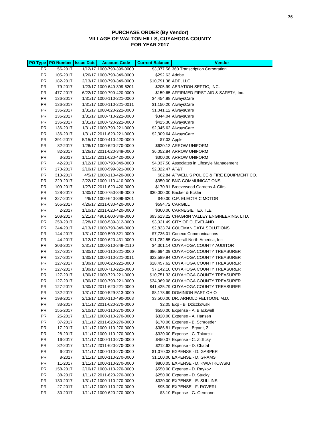## **PURCHASE ORDER (By Vendor) VILLAGE OF WALTON HILLS, CUYAHOGA COUNTY FOR YEAR 2017**

|                        | PO Type PO Number Issue Date | <b>Account Code</b>                                    | <b>Current Balance</b> | <b>Vendor</b>                                                      |
|------------------------|------------------------------|--------------------------------------------------------|------------------------|--------------------------------------------------------------------|
| PR.                    | 56-2017                      | 1/12/17 1000-790-399-0000                              |                        | \$3,077.56 360 Transcription Corporation                           |
| <b>PR</b>              | 105-2017                     | 1/26/17 1000-790-349-0000                              | \$292.63 Adobe         |                                                                    |
| <b>PR</b>              | 182-2017                     | 2/13/17 1000-790-349-0000                              | \$10,791.38 ADP, LLC   |                                                                    |
| <b>PR</b>              | 79-2017                      | 1/23/17 1000-640-399-6201                              |                        | \$205.99 AERATION SEPTIC, INC.                                     |
| <b>PR</b>              | 477-2017                     | 6/22/17 1000-790-420-0000                              |                        | \$159.65 AFFIRMED FIRST AID & SAFETY, Inc.                         |
| <b>PR</b>              | 136-2017                     | 1/31/17 1000-110-221-0000                              |                        | \$4,454.88 AlwaysCare                                              |
| <b>PR</b>              | 136-2017                     | 1/31/17 1000-110-221-0011                              |                        | \$1,150.20 AlwaysCare                                              |
| <b>PR</b>              | 136-2017                     | 1/31/17 1000-620-221-0000                              |                        | \$1,041.12 AlwaysCare                                              |
| PR.                    | 136-2017                     | 1/31/17 1000-710-221-0000                              |                        | \$344.04 AlwaysCare                                                |
| <b>PR</b>              | 136-2017                     | 1/31/17 1000-720-221-0000                              |                        | \$425.30 AlwaysCare                                                |
| <b>PR</b>              | 136-2017                     | 1/31/17 1000-790-221-0000                              |                        | \$2,045.62 AlwaysCare                                              |
| <b>PR</b>              | 136-2017                     | 1/31/17 2011-620-221-0000                              |                        | \$2,309.64 AlwaysCare                                              |
| <b>PR</b>              | 391-2017                     | 5/15/17 1000-410-420-0000                              |                        | \$7.03 Apple                                                       |
| <b>PR</b>              | 82-2017                      | 1/26/17 1000-620-270-0000                              |                        | \$620.12 ARROW UNIFORM                                             |
| <b>PR</b>              | 82-2017                      | 1/26/17 2011-620-349-0000                              |                        | \$6,052.84 ARROW UNIFORM                                           |
| <b>PR</b>              | 3-2017                       | 1/11/17 2011-620-420-0000                              |                        | \$300.00 ARROW UNIFORM                                             |
| PR                     | 42-2017                      | 1/12/17 1000-790-349-0000                              |                        | \$4,037.50 Associates in Lifestyle Management                      |
| <b>PR</b>              | 173-2017                     | 2/10/17 1000-599-321-0000                              | \$2,322.47 AT&T        |                                                                    |
| <b>PR</b><br><b>PR</b> | 313-2017                     | 4/5/17 1000-110-420-0000                               |                        | \$82.84 ATWELL'S POLICE & FIRE EQUIPMENT CO.                       |
| PR.                    | 229-2017<br>109-2017         | 2/22/17 1000-110-410-0000<br>1/27/17 2011-620-420-0000 |                        | \$350.00 BNC COMMUNICATIONS<br>\$170.91 Breezewood Gardens & Gifts |
| <b>PR</b>              | 128-2017                     | 1/30/17 1000-750-349-0000                              |                        | \$30,000.00 Bricker & Eckler                                       |
| <b>PR</b>              | 327-2017                     | 4/6/17 1000-640-399-6201                               |                        | \$40.00 C.P. ELECTRIC MOTOR                                        |
| PR                     | 366-2017                     | 4/26/17 2011-630-420-0000                              |                        | \$594.72 CARGILL                                                   |
| PR                     | 2-2017                       | 1/10/17 2011-620-420-0000                              |                        | \$300.00 CARNEGIE TEXTILE                                          |
| <b>PR</b>              | 208-2017                     | 2/21/17 4901-800-349-0000                              |                        | \$93,613.22 CHAGRIN VALLEY ENGINEERING, LTD.                       |
| <b>PR</b>              | 250-2017                     | 2/28/17 1000-539-312-0000                              |                        | \$3,021.49 CITY OF CLEVELAND                                       |
| <b>PR</b>              | 344-2017                     | 4/13/17 1000-790-349-0000                              |                        | \$2,833.74 COLEMAN DATA SOLUTIONS                                  |
| PR.                    | 144-2017                     | 1/31/17 1000-599-321-0000                              |                        | \$7,736.01 Conexo Communications                                   |
| PR.                    | 44-2017                      | 1/12/17 1000-620-431-0000                              |                        | \$11,782.55 Coverall North America, Inc.                           |
| <b>PR</b>              | 303-2017                     | 3/31/17 1000-210-349-2110                              |                        | \$4,301.14 CUYAHOGA COUNTY AUDITOR                                 |
| <b>PR</b>              | 127-2017                     | 1/30/17 1000-110-221-0000                              |                        | \$86,694.09 CUYAHOGA COUNTY TREASURER                              |
| <b>PR</b>              | 127-2017                     | 1/30/17 1000-110-221-0011                              |                        | \$22,589.94 CUYAHOGA COUNTY TREASURER                              |
| <b>PR</b>              | 127-2017                     | 1/30/17 1000-620-221-0000                              |                        | \$18,457.62 CUYAHOGA COUNTY TREASURER                              |
| PR.                    | 127-2017                     | 1/30/17 1000-710-221-0000                              |                        | \$7,142.10 CUYAHOGA COUNTY TREASURER                               |
| <b>PR</b>              | 127-2017                     | 1/30/17 1000-720-221-0000                              |                        | \$10,751.33 CUYAHOGA COUNTY TREASURER                              |
| PR                     | 127-2017                     | 1/30/17 1000-790-221-0000                              |                        | \$34,069.08 CUYAHOGA COUNTY TREASURER                              |
| PR                     | 127-2017                     | 1/30/17 2011-620-221-0000                              |                        | \$41,425.79 CUYAHOGA COUNTY TREASURER                              |
| <b>PR</b>              | 132-2017                     | 1/31/17 1000-529-313-0000                              |                        | \$8,178.69 DOMINION EAST OHIO                                      |
| PR                     | 198-2017                     | 2/13/17 1000-110-490-0003                              |                        | \$3,500.00 DR. ARNOLD FELTOON, M.D.                                |
| <b>PR</b>              | 33-2017                      | 1/11/17 2011-620-270-0000                              |                        | \$2.05 Exp - B. Dziczkowski                                        |
| <b>PR</b>              | 155-2017                     | 2/10/17 1000-110-270-0000                              |                        | \$550.00 Expense - A. Blackwell                                    |
| <b>PR</b>              | 25-2017                      | 1/11/17 1000-110-270-0000                              |                        | \$320.00 Expense - A. Hansen                                       |
| <b>PR</b>              | 37-2017                      | 1/11/17 2011-620-270-0000                              |                        | \$170.06 Expense - B. Schroeder<br>\$386.81 Expense - Bryant, Z    |
| PR.<br>PR.             | 17-2017<br>28-2017           | 1/11/17 1000-110-270-0000<br>1/11/17 1000-110-270-0000 |                        | \$320.00 Expense - C. Tokarcik                                     |
| PR.                    | 16-2017                      | 1/11/17 1000-110-270-0000                              |                        | \$450.07 Expense - C. Zidlicky                                     |
| PR                     | 32-2017                      | 1/11/17 2011-620-270-0000                              |                        | \$212.62 Expense - D. Chatal                                       |
| <b>PR</b>              | 6-2017                       | 1/11/17 1000-110-270-0000                              |                        | \$1,070.03 EXPENSE - D. GASPER                                     |
| PR.                    | 8-2017                       | 1/11/17 1000-110-270-0000                              |                        | \$1,100.00 EXPENSE - D. GRAMS                                      |
| PR                     | 11-2017                      | 1/11/17 1000-110-270-0000                              |                        | \$800.05 EXPENSE - D. KWIATKOWSKI                                  |
| <b>PR</b>              | 158-2017                     | 2/10/17 1000-110-270-0000                              |                        | \$550.00 Expense - D. Raykov                                       |
| <b>PR</b>              | 38-2017                      | 1/11/17 2011-620-270-0000                              |                        | \$250.00 Expense - D. Stucky                                       |
| <b>PR</b>              | 130-2017                     | 1/31/17 1000-110-270-0000                              |                        | \$320.00 EXPENSE - E. SULLINS                                      |
| PR.                    | 27-2017                      | 1/11/17 1000-110-270-0000                              |                        | \$95.30 EXPENSE - F. ROVERI                                        |
| PR.                    | 30-2017                      | 1/11/17 1000-620-270-0000                              |                        | \$3.10 Expense - G. Germann                                        |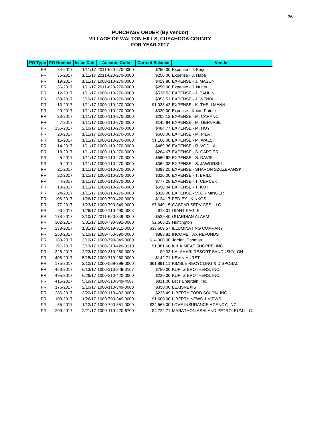## **PURCHASE ORDER (By Vendor) VILLAGE OF WALTON HILLS, CUYAHOGA COUNTY FOR YEAR 2017**

|           | PO Type PO Number | <b>Issue Date</b> | <b>Account Code</b>       | <b>Current Balance</b> | <b>Vendor</b>                             |
|-----------|-------------------|-------------------|---------------------------|------------------------|-------------------------------------------|
| <b>PR</b> | 34-2017           |                   | 1/11/17 2011-620-270-0000 |                        | \$250.00 Expense - J. Ferjutz             |
| <b>PR</b> | 35-2017           |                   | 1/11/17 2011-620-270-0000 |                        | \$250.00 Expense - J. Haba                |
| <b>PR</b> | 19-2017           |                   | 1/11/17 1000-110-270-0000 |                        | \$429.80 EXPENSE - J. MASON               |
| <b>PR</b> | 36-2017           |                   | 1/11/17 2011-620-270-0000 |                        | \$250.00 Expense - J. Nutter              |
| <b>PR</b> | 12-2017           |                   | 1/11/17 1000-110-270-0000 |                        | \$536.53 EXPENSE - J. PAULIN              |
| <b>PR</b> | 159-2017          |                   | 2/10/17 1000-110-270-0000 |                        | \$353.51 EXPENSE - J. WENDL               |
| <b>PR</b> | 13-2017           |                   | 1/11/17 1000-110-270-0000 |                        | \$1,028.42 EXPENSE - K. THELLMANN         |
| <b>PR</b> | 29-2017           |                   | 1/11/17 1000-110-270-0000 |                        | \$320.00 Expense - Kotar, Patrick         |
| <b>PR</b> | 23-2017           |                   | 1/11/17 1000-110-270-0000 |                        | \$208.12 EXPENSE - M. CARANO              |
| <b>PR</b> | 7-2017            |                   | 1/11/17 1000-110-270-0000 |                        | \$145.84 EXPENSE - M. GERVASE             |
| <b>PR</b> | 156-2017          |                   | 2/10/17 1000-110-270-0000 |                        | \$484.77 EXPENSE - M. HOY                 |
| <b>PR</b> | 20-2017           |                   | 1/11/17 1000-110-270-0000 |                        | \$500.00 EXPENSE - M. PILAT               |
| <b>PR</b> | 15-2017           |                   | 1/11/17 1000-110-270-0000 |                        | \$1,100.00 EXPENSE - M. WALSH             |
| <b>PR</b> | 14-2017           |                   | 1/11/17 1000-110-270-0000 |                        | \$489.36 EXPENSE - R. VODILA              |
| <b>PR</b> | 18-2017           |                   | 1/11/17 1000-110-270-0000 |                        | \$264.67 EXPENSE - S. CARTIER             |
| <b>PR</b> | 5-2017            |                   | 1/11/17 1000-110-270-0000 |                        | \$560.62 EXPENSE - S. DAVIS               |
| <b>PR</b> | 9-2017            |                   | 1/11/17 1000-110-270-0000 |                        | \$362.08 EXPENSE - S. JAWORSKI            |
| <b>PR</b> | 21-2017           |                   | 1/11/17 1000-110-270-0000 |                        | \$393.25 EXPENSE - SHARON SZCZEPANSKI     |
| <b>PR</b> | 22-2017           |                   | 1/11/17 1000-110-270-0000 |                        | \$320.00 EXPENSE - T. BRILL               |
| <b>PR</b> | 4-2017            |                   | 1/11/17 1000-110-270-0000 |                        | \$777.28 EXPENSE - T. CERCEK              |
| <b>PR</b> | 10-2017           |                   | 1/11/17 1000-110-270-0000 |                        | \$690.04 EXPENSE - T. KOTH                |
| <b>PR</b> | 24-2017           |                   | 1/11/17 1000-110-270-0000 |                        | \$320.00 EXPENSE - V. GRIMINGER           |
| <b>PR</b> | 106-2017          |                   | 1/26/17 1000-790-420-0000 |                        | \$124.17 FED EX - KINKOS                  |
| <b>PR</b> | 77-2017           |                   | 1/23/17 1000-790-349-0000 |                        | \$7,640.15 GASPAR SERVICES, LLC           |
| <b>PR</b> | 93-2017           |                   | 1/26/17 1000-110-490-0003 |                        | \$13.01 GIANT EAGLE                       |
| PR        | 178-2017          |                   | 2/10/17 2011-620-349-0000 |                        | \$529.40 GUARDIAN ALARM                   |
| <b>PR</b> | 302-2017          |                   | 3/31/17 1000-790-391-0000 |                        | \$2,668.23 Huntington                     |
| <b>PR</b> | 133-2017          |                   | 1/31/17 1000-519-311-0000 |                        | \$33,609.57 ILLUMINATING COMPANY          |
| <b>PR</b> | 253-2017          |                   | 3/10/17 1000-760-690-0000 |                        | \$883.81 INCOME TAX REFUNDS               |
| <b>PR</b> | 180-2017          |                   | 2/10/17 1000-790-349-0000 |                        | \$14,000.00 Jordan, Thomas                |
| <b>PR</b> | 191-2017          |                   | 2/13/17 1000-310-420-3110 |                        | \$1,381.60 K & K MEAT SHOPPE, INC.        |
| <b>PR</b> | 226-2017          |                   | 2/22/17 1000-310-260-0000 |                        | \$9.33 KALAHARI RESORT SANDUSKY, OH       |
| <b>PR</b> | 405-2017          |                   | 5/15/17 1000-710-260-0000 |                        | \$142.71 KEVIN HURST                      |
| <b>PR</b> | 175-2017          |                   | 2/10/17 1000-569-398-0000 |                        | \$61,891.11 KIMBLE RECYCLING & DISPOSAL   |
| <b>PR</b> | 463-2017          |                   | 6/13/17 1000-310-349-3107 |                        | \$780.00 KURTZ BROTHERS, INC.             |
| <b>PR</b> | 495-2017          |                   | 6/26/17 1000-310-420-0000 |                        | \$220.00 KURTZ BROTHERS, INC.             |
| <b>PR</b> | 416-2017          |                   | 5/19/17 1000-310-349-4587 |                        | \$811.00 Let's Entertain, Inc.            |
| <b>PR</b> | 176-2017          |                   | 2/10/17 1000-110-349-0000 |                        | \$350.00 LEXISNEXIS                       |
| <b>PR</b> | 286-2017          |                   | 3/20/17 1000-110-433-0000 |                        | \$235.49 LIBERTY FORD SOLON, INC.         |
| <b>PR</b> | 103-2017          |                   | 1/26/17 1000-790-349-0000 |                        | \$1,600.00 LIBERTY NEWS & VIEWS           |
| <b>PR</b> | 55-2017           |                   | 1/12/17 1000-790-351-0000 |                        | \$24,563.00 LOVE INSURANCE AGENCY, INC.   |
| <b>PR</b> | 209-2017          |                   | 2/21/17 1000-110-420-6700 |                        | \$4,722.71 MARATHON ASHLAND PETROLEUM LLC |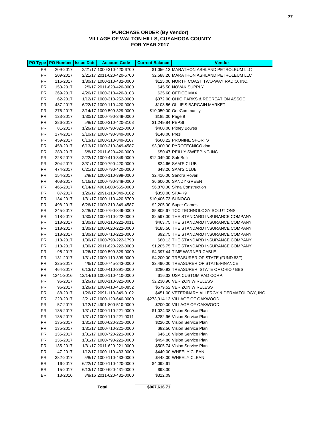## **PURCHASE ORDER (By Vendor) VILLAGE OF WALTON HILLS, CUYAHOGA COUNTY FOR YEAR 2017**

|                        | PO Type   PO Number   Issue Date | <b>Account Code</b>                                    | <b>Current Balance</b> | <b>Vendor</b>                                                                |
|------------------------|----------------------------------|--------------------------------------------------------|------------------------|------------------------------------------------------------------------------|
| PR                     | 209-2017                         | 2/21/17 1000-310-420-6700                              |                        | \$1,056.13 MARATHON ASHLAND PETROLEUM LLC                                    |
| PR                     | 209-2017                         | 2/21/17 2011-620-420-6700                              |                        | \$2,588.20 MARATHON ASHLAND PETROLEUM LLC                                    |
| <b>PR</b>              | 116-2017                         | 1/30/17 1000-110-432-0000                              |                        | \$125.00 NORTH COAST TWO-WAY RADIO, INC,                                     |
| PR                     | 153-2017                         | 2/9/17 2011-620-420-0000                               |                        | \$45.50 NOVAK SUPPLY                                                         |
| <b>PR</b>              | 369-2017                         | 4/26/17 1000-310-420-3108                              |                        | \$25.60 OFFICE MAX                                                           |
| <b>PR</b>              | 62-2017                          | 1/12/17 1000-310-252-0000                              |                        | \$372.00 OHIO PARKS & RECREATION ASSOC.                                      |
| PR                     | 487-2017                         | 6/22/17 1000-110-420-0000                              |                        | \$108.56 OLLIE'S BARGAIN MARKET                                              |
| <b>PR</b>              | 276-2017                         | 3/14/17 1000-599-329-0000                              |                        | \$10,050.00 OneCommunity                                                     |
| <b>PR</b>              | 123-2017                         | 1/30/17 1000-790-349-0000                              | \$185.00 Page 9        |                                                                              |
| <b>PR</b>              | 386-2017                         | 5/8/17 1000-310-420-3108                               | \$1,249.84 PEPSI       |                                                                              |
| <b>PR</b>              | 81-2017                          | 1/26/17 1000-790-322-0000                              |                        | \$400.00 Pitney Bowes                                                        |
| <b>PR</b>              | 174-2017                         | 2/10/17 1000-790-349-0000                              | \$140.00 Prezi         |                                                                              |
| <b>PR</b>              | 459-2017                         | 6/13/17 1000-310-349-3107                              |                        | \$560.22 PRONINE SPORTS                                                      |
| <b>PR</b>              | 458-2017                         | 6/13/17 1000-310-349-4587                              |                        | \$3,000.00 PYROTECNICO dba                                                   |
| PR.                    | 383-2017                         | 5/8/17 2011-620-420-0000                               |                        | \$50.47 REILLY SWEEPING INC.                                                 |
| <b>PR</b>              | 228-2017                         | 2/22/17 1000-410-349-0000                              | \$12,049.00 SafeBuilt  |                                                                              |
| <b>PR</b>              | 304-2017                         | 3/31/17 1000-790-420-0000                              |                        | \$24.66 SAM'S CLUB                                                           |
| <b>PR</b>              | 474-2017                         | 6/21/17 1000-790-420-0000                              |                        | \$48.26 SAM'S CLUB                                                           |
| <b>PR</b>              | 154-2017                         | 2/9/17 1000-110-399-0000                               |                        | \$2,410.00 Sandra Roveri                                                     |
| <b>PR</b>              | 408-2017                         | 5/16/17 1000-790-349-0000                              |                        | \$6,600.00 SANDY GREEN                                                       |
| <b>PR</b>              | 465-2017                         | 6/14/17 4901-800-555-0000                              |                        | \$6,870.00 Sirna Construction                                                |
| <b>PR</b>              | 87-2017                          | 1/26/17 2091-110-349-0102                              |                        | \$350.00 SPA-K9                                                              |
| PR                     | 134-2017                         | 1/31/17 1000-110-420-6700                              | \$10,406.73 SUNOCO     |                                                                              |
| <b>PR</b>              | 498-2017                         | 6/26/17 1000-310-349-4587                              |                        | \$2,205.00 Super Games                                                       |
| <b>PR</b>              | 245-2017                         | 2/28/17 1000-790-349-0000                              |                        | \$5,805.67 TCC TECHNOLOGY SOLUTIONS                                          |
| <b>PR</b>              | 118-2017                         | 1/30/17 1000-110-222-0000                              |                        | \$2,597.00 THE STANDARD INSURANCE COMPANY                                    |
| <b>PR</b>              | 118-2017                         | 1/30/17 1000-110-222-0011                              |                        | \$463.75 THE STANDARD INSURANCE COMPANY                                      |
| PR                     | 118-2017                         | 1/30/17 1000-620-222-0000                              |                        | \$185.50 THE STANDARD INSURANCE COMPANY                                      |
| <b>PR</b>              | 118-2017                         | 1/30/17 1000-710-222-0000                              |                        | \$92.75 THE STANDARD INSURANCE COMPANY                                       |
| <b>PR</b>              | 118-2017                         | 1/30/17 1000-790-222-1790                              |                        | \$60.13 THE STANDARD INSURANCE COMPANY                                       |
| PR.                    | 118-2017                         | 1/30/17 2011-620-222-0000                              |                        | \$1,205.75 THE STANDARD INSURANCE COMPANY                                    |
| <b>PR</b>              | 95-2017                          | 1/26/17 1000-599-329-0000                              |                        | \$4,397.44 TIME WARNER CABLE                                                 |
| <b>PR</b>              | 131-2017                         | 1/31/17 1000-110-399-0000                              |                        | \$4,200.00 TREASURER OF STATE (FUND 83F)                                     |
| <b>PR</b>              | 325-2017                         | 4/6/17 1000-745-343-0000                               |                        | \$2,490.00 TREASURER OF STATE-FINANCE                                        |
| <b>PR</b>              | 464-2017                         | 6/13/17 1000-410-391-0000                              |                        | \$280.93 TREASURER, STATE OF OHIO / BBS                                      |
| PR.                    | 1241-2016                        | 12/14/16 1000-110-410-0000                             |                        | \$16.32 USA CUSTOM PAD CORP.<br>\$2,230.90 VERIZON WIRELESS                  |
| <b>PR</b><br><b>PR</b> | 96-2017                          | 1/26/17 1000-110-321-0000                              |                        |                                                                              |
| <b>PR</b>              | 96-2017<br>88-2017               | 1/26/17 1000-410-410-0852<br>1/26/17 2091-110-349-0102 |                        | \$579.52 VERIZON WIRELESS<br>\$451.00 VETERINARY ALLERGY & DERMATOLOGY, INC. |
| PR                     | 223-2017                         | 2/21/17 1000-120-640-0000                              |                        | \$273,314.12 VILLAGE OF OAKWOOD                                              |
| PR.                    | 57-2017                          | 1/12/17 4901-800-510-0000                              |                        | \$200.00 VILLAGE OF OAKWOOD                                                  |
| <b>PR</b>              | 135-2017                         | 1/31/17 1000-110-221-0000                              |                        | \$1,024.38 Vision Service Plan                                               |
| PR.                    | 135-2017                         | 1/31/17 1000-110-221-0011                              |                        | \$282.96 Vision Service Plan                                                 |
| PR                     | 135-2017                         | 1/31/17 1000-620-221-0000                              |                        | \$220.20 Vision Service Plan                                                 |
| PR.                    | 135-2017                         | 1/31/17 1000-710-221-0000                              |                        | \$82.56 Vision Service Plan                                                  |
| PR.                    | 135-2017                         | 1/31/17 1000-720-221-0000                              |                        | \$46.16 Vision Service Plan                                                  |
| PR.                    | 135-2017                         | 1/31/17 1000-790-221-0000                              |                        | \$494.86 Vision Service Plan                                                 |
| PR.                    | 135-2017                         | 1/31/17 2011-620-221-0000                              |                        | \$505.74 Vision Service Plan                                                 |
| PR.                    | 47-2017                          | 1/12/17 1000-110-433-0000                              |                        | \$440.00 WHEELY CLEAN                                                        |
| PR.                    | 382-2017                         | 5/8/17 1000-110-433-0000                               |                        | \$448.00 WHEELY CLEAN                                                        |
| BR                     | 16-2017                          | 6/22/17 1000-110-420-0000                              | \$4,092.61             |                                                                              |
| BR                     | 15-2017                          | 6/13/17 1000-620-431-0000                              | \$93.30                |                                                                              |
| BR                     | 13-2016                          | 8/8/16 2011-620-431-0000                               | \$312.09               |                                                                              |
|                        |                                  |                                                        |                        |                                                                              |
|                        |                                  | <b>Total</b>                                           | \$967,616.71           |                                                                              |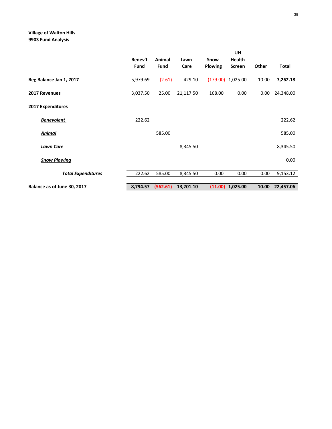# **Village of Walton Hills 9903 Fund Analysis**

|                             | Benev't<br><b>Fund</b> | Animal<br><b>Fund</b> | Lawn<br><b>Care</b> | Snow<br><b>Plowing</b> | <b>UH</b><br><b>Health</b><br><b>Screen</b> | Other | <b>Total</b> |
|-----------------------------|------------------------|-----------------------|---------------------|------------------------|---------------------------------------------|-------|--------------|
| Beg Balance Jan 1, 2017     | 5,979.69               | (2.61)                | 429.10              |                        | $(179.00)$ 1,025.00                         | 10.00 | 7,262.18     |
| 2017 Revenues               | 3,037.50               | 25.00                 | 21,117.50           | 168.00                 | 0.00                                        | 0.00  | 24,348.00    |
| 2017 Expenditures           |                        |                       |                     |                        |                                             |       |              |
| <b>Benevolent</b>           | 222.62                 |                       |                     |                        |                                             |       | 222.62       |
| <b>Animal</b>               |                        | 585.00                |                     |                        |                                             |       | 585.00       |
| <b>Lawn Care</b>            |                        |                       | 8,345.50            |                        |                                             |       | 8,345.50     |
| <b>Snow Plowing</b>         |                        |                       |                     |                        |                                             |       | 0.00         |
| <b>Total Expenditures</b>   | 222.62                 | 585.00                | 8,345.50            | 0.00                   | 0.00                                        | 0.00  | 9,153.12     |
| Balance as of June 30, 2017 | 8,794.57               | (562.61)              | 13,201.10           | (11.00)                | 1,025.00                                    | 10.00 | 22,457.06    |